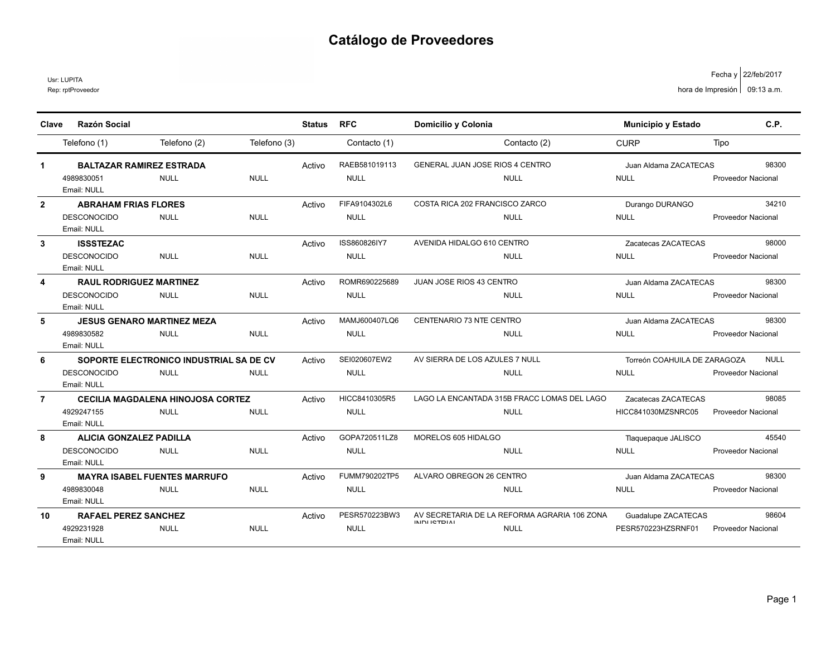Rep: rptProveedor Usr: LUPITA

| Clave          | <b>Razón Social</b>               |                                          |              | <b>Status</b> | <b>RFC</b>    | Domicilio y Colonia                          | <b>Municipio y Estado</b>    | C.P.                      |
|----------------|-----------------------------------|------------------------------------------|--------------|---------------|---------------|----------------------------------------------|------------------------------|---------------------------|
|                | Telefono (1)                      | Telefono (2)                             | Telefono (3) |               | Contacto (1)  | Contacto (2)                                 | <b>CURP</b>                  | Tipo                      |
|                |                                   |                                          |              |               |               |                                              |                              |                           |
| $\mathbf 1$    | <b>BALTAZAR RAMIREZ ESTRADA</b>   |                                          |              | Activo        | RAEB581019113 | GENERAL JUAN JOSE RIOS 4 CENTRO              | Juan Aldama ZACATECAS        | 98300                     |
|                | 4989830051<br>Email: NULL         | <b>NULL</b>                              | <b>NULL</b>  |               | <b>NULL</b>   | <b>NULL</b>                                  | <b>NULL</b>                  | <b>Proveedor Nacional</b> |
| $\overline{2}$ | <b>ABRAHAM FRIAS FLORES</b>       |                                          |              | Activo        | FIFA9104302L6 | COSTA RICA 202 FRANCISCO ZARCO               | Durango DURANGO              | 34210                     |
|                | <b>DESCONOCIDO</b><br>Email: NULL | <b>NULL</b>                              | <b>NULL</b>  |               | <b>NULL</b>   | <b>NULL</b>                                  | <b>NULL</b>                  | <b>Proveedor Nacional</b> |
| 3              | <b>ISSSTEZAC</b>                  |                                          |              | Activo        | ISS860826IY7  | AVENIDA HIDALGO 610 CENTRO                   | Zacatecas ZACATECAS          | 98000                     |
|                | <b>DESCONOCIDO</b><br>Email: NULL | <b>NULL</b>                              | <b>NULL</b>  |               | <b>NULL</b>   | <b>NULL</b>                                  | <b>NULL</b>                  | Proveedor Nacional        |
| 4              | <b>RAUL RODRIGUEZ MARTINEZ</b>    |                                          |              | Activo        | ROMR690225689 | <b>JUAN JOSE RIOS 43 CENTRO</b>              | Juan Aldama ZACATECAS        | 98300                     |
|                | <b>DESCONOCIDO</b><br>Email: NULL | <b>NULL</b>                              | <b>NULL</b>  |               | <b>NULL</b>   | <b>NULL</b>                                  | <b>NULL</b>                  | <b>Proveedor Nacional</b> |
| 5              | <b>JESUS GENARO MARTINEZ MEZA</b> |                                          |              | Activo        | MAMJ600407LQ6 | CENTENARIO 73 NTE CENTRO                     | Juan Aldama ZACATECAS        | 98300                     |
|                | 4989830582<br>Email: NULL         | <b>NULL</b>                              | <b>NULL</b>  |               | <b>NULL</b>   | <b>NULL</b>                                  | <b>NULL</b>                  | <b>Proveedor Nacional</b> |
| 6              |                                   | SOPORTE ELECTRONICO INDUSTRIAL SA DE CV  |              | Activo        | SEI020607EW2  | AV SIERRA DE LOS AZULES 7 NULL               | Torreón COAHUILA DE ZARAGOZA | <b>NULL</b>               |
|                | <b>DESCONOCIDO</b><br>Email: NULL | <b>NULL</b>                              | <b>NULL</b>  |               | <b>NULL</b>   | <b>NULL</b>                                  | <b>NULL</b>                  | <b>Proveedor Nacional</b> |
| $\overline{7}$ |                                   | <b>CECILIA MAGDALENA HINOJOSA CORTEZ</b> |              | Activo        | HICC8410305R5 | LAGO LA ENCANTADA 315B FRACC LOMAS DEL LAGO  | Zacatecas ZACATECAS          | 98085                     |
|                | 4929247155<br>Email: NULL         | <b>NULL</b>                              | <b>NULL</b>  |               | <b>NULL</b>   | <b>NULL</b>                                  | HICC841030MZSNRC05           | <b>Proveedor Nacional</b> |
| 8              | <b>ALICIA GONZALEZ PADILLA</b>    |                                          |              | Activo        | GOPA720511LZ8 | MORELOS 605 HIDALGO                          | Tlaquepaque JALISCO          | 45540                     |
|                | <b>DESCONOCIDO</b><br>Email: NULL | <b>NULL</b>                              | <b>NULL</b>  |               | <b>NULL</b>   | <b>NULL</b>                                  | <b>NULL</b>                  | <b>Proveedor Nacional</b> |
| 9              |                                   | <b>MAYRA ISABEL FUENTES MARRUFO</b>      |              | Activo        | FUMM790202TP5 | ALVARO OBREGON 26 CENTRO                     | Juan Aldama ZACATECAS        | 98300                     |
|                | 4989830048<br>Email: NULL         | <b>NULL</b>                              | <b>NULL</b>  |               | <b>NULL</b>   | <b>NULL</b>                                  | <b>NULL</b>                  | <b>Proveedor Nacional</b> |
| 10             | <b>RAFAEL PEREZ SANCHEZ</b>       |                                          |              | Activo        | PESR570223BW3 | AV SECRETARIA DE LA REFORMA AGRARIA 106 ZONA | Guadalupe ZACATECAS          | 98604                     |
|                | 4929231928<br>Email: NULL         | <b>NULL</b>                              | <b>NULL</b>  |               | <b>NULL</b>   | <b>INIDI ICTDIAL</b><br><b>NULL</b>          | PESR570223HZSRNF01           | <b>Proveedor Nacional</b> |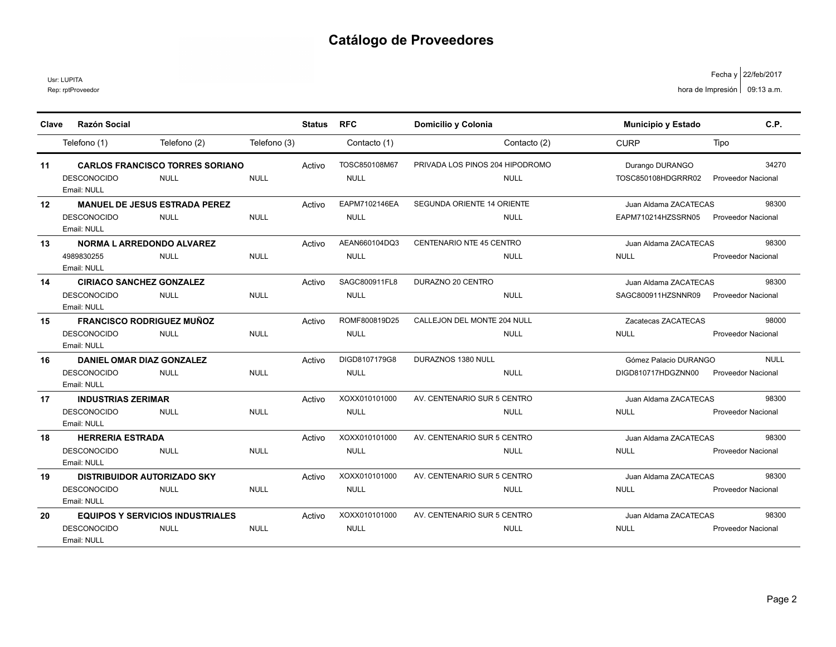Rep: rptProveedor Usr: LUPITA

| Clave | <b>Razón Social</b>                     |              | <b>Status</b> | <b>RFC</b>    | Domicilio y Colonia             | <b>Municipio y Estado</b> | C.P.                      |
|-------|-----------------------------------------|--------------|---------------|---------------|---------------------------------|---------------------------|---------------------------|
|       |                                         |              |               |               |                                 |                           |                           |
|       | Telefono (2)<br>Telefono (1)            | Telefono (3) |               | Contacto (1)  | Contacto (2)                    | <b>CURP</b>               | Tipo                      |
| 11    | <b>CARLOS FRANCISCO TORRES SORIANO</b>  |              | Activo        | TOSC850108M67 | PRIVADA LOS PINOS 204 HIPODROMO | Durango DURANGO           | 34270                     |
|       | <b>DESCONOCIDO</b><br><b>NULL</b>       | <b>NULL</b>  |               | <b>NULL</b>   | <b>NULL</b>                     | TOSC850108HDGRRR02        | <b>Proveedor Nacional</b> |
|       | Email: NULL                             |              |               |               |                                 |                           |                           |
| 12    | <b>MANUEL DE JESUS ESTRADA PEREZ</b>    |              | Activo        | EAPM7102146EA | SEGUNDA ORIENTE 14 ORIENTE      | Juan Aldama ZACATECAS     | 98300                     |
|       | <b>DESCONOCIDO</b><br><b>NULL</b>       | <b>NULL</b>  |               | <b>NULL</b>   | <b>NULL</b>                     | EAPM710214HZSSRN05        | <b>Proveedor Nacional</b> |
|       | Email: NULL                             |              |               |               |                                 |                           |                           |
| 13    | <b>NORMA L ARREDONDO ALVAREZ</b>        |              | Activo        | AEAN660104DQ3 | CENTENARIO NTE 45 CENTRO        | Juan Aldama ZACATECAS     | 98300                     |
|       | 4989830255<br><b>NULL</b>               | <b>NULL</b>  |               | <b>NULL</b>   | <b>NULL</b>                     | <b>NULL</b>               | <b>Proveedor Nacional</b> |
|       | Email: NULL                             |              |               |               |                                 |                           |                           |
| 14    | <b>CIRIACO SANCHEZ GONZALEZ</b>         |              | Activo        | SAGC800911FL8 | DURAZNO 20 CENTRO               | Juan Aldama ZACATECAS     | 98300                     |
|       | <b>NULL</b><br><b>DESCONOCIDO</b>       | <b>NULL</b>  |               | <b>NULL</b>   | <b>NULL</b>                     | SAGC800911HZSNNR09        | <b>Proveedor Nacional</b> |
|       | Email: NULL                             |              |               |               |                                 |                           |                           |
| 15    | <b>FRANCISCO RODRIGUEZ MUÑOZ</b>        |              | Activo        | ROMF800819D25 | CALLEJON DEL MONTE 204 NULL     | Zacatecas ZACATECAS       | 98000                     |
|       | <b>DESCONOCIDO</b><br><b>NULL</b>       | <b>NULL</b>  |               | <b>NULL</b>   | <b>NULL</b>                     | <b>NULL</b>               | Proveedor Nacional        |
|       | Email: NULL                             |              |               |               |                                 |                           |                           |
| 16    | DANIEL OMAR DIAZ GONZALEZ               |              | Activo        | DIGD8107179G8 | DURAZNOS 1380 NULL              | Gómez Palacio DURANGO     | <b>NULL</b>               |
|       | <b>DESCONOCIDO</b><br><b>NULL</b>       | <b>NULL</b>  |               | <b>NULL</b>   | <b>NULL</b>                     | DIGD810717HDGZNN00        | <b>Proveedor Nacional</b> |
|       | Email: NULL                             |              |               |               |                                 |                           |                           |
| 17    | <b>INDUSTRIAS ZERIMAR</b>               |              | Activo        | XOXX010101000 | AV. CENTENARIO SUR 5 CENTRO     | Juan Aldama ZACATECAS     | 98300                     |
|       | <b>DESCONOCIDO</b><br><b>NULL</b>       | <b>NULL</b>  |               | <b>NULL</b>   | <b>NULL</b>                     | <b>NULL</b>               | Proveedor Nacional        |
|       | Email: NULL                             |              |               |               |                                 |                           |                           |
| 18    | <b>HERRERIA ESTRADA</b>                 |              | Activo        | XOXX010101000 | AV. CENTENARIO SUR 5 CENTRO     | Juan Aldama ZACATECAS     | 98300                     |
|       | <b>DESCONOCIDO</b><br><b>NULL</b>       | <b>NULL</b>  |               | <b>NULL</b>   | <b>NULL</b>                     | <b>NULL</b>               | <b>Proveedor Nacional</b> |
|       | Email: NULL                             |              |               |               |                                 |                           |                           |
| 19    | <b>DISTRIBUIDOR AUTORIZADO SKY</b>      |              | Activo        | XOXX010101000 | AV. CENTENARIO SUR 5 CENTRO     | Juan Aldama ZACATECAS     | 98300                     |
|       | <b>DESCONOCIDO</b><br><b>NULL</b>       | <b>NULL</b>  |               | <b>NULL</b>   | <b>NULL</b>                     | <b>NULL</b>               | Proveedor Nacional        |
|       | Email: NULL                             |              |               |               |                                 |                           |                           |
| 20    | <b>EQUIPOS Y SERVICIOS INDUSTRIALES</b> |              | Activo        | XOXX010101000 | AV. CENTENARIO SUR 5 CENTRO     | Juan Aldama ZACATECAS     | 98300                     |
|       | <b>DESCONOCIDO</b><br><b>NULL</b>       | <b>NULL</b>  |               | <b>NULL</b>   | <b>NULL</b>                     | <b>NULL</b>               | Proveedor Nacional        |
|       | Email: NULL                             |              |               |               |                                 |                           |                           |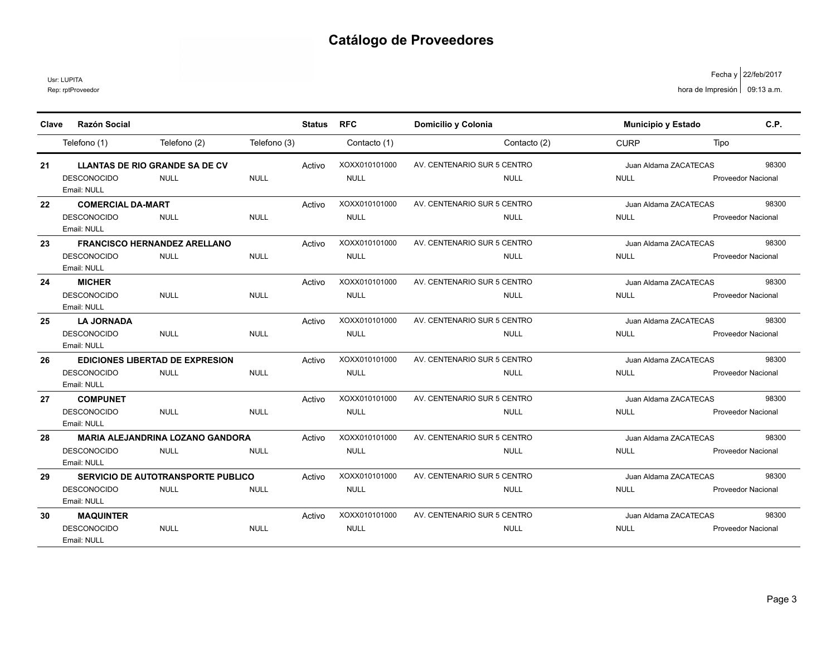Rep: rptProveedor Usr: LUPITA

| Clave | <b>Razón Social</b>               |                                           |              | <b>Status</b> | <b>RFC</b>    | Domicilio y Colonia         |              | Municipio y Estado    | C.P.                      |
|-------|-----------------------------------|-------------------------------------------|--------------|---------------|---------------|-----------------------------|--------------|-----------------------|---------------------------|
|       | Telefono (1)                      | Telefono (2)                              | Telefono (3) |               | Contacto (1)  |                             | Contacto (2) | <b>CURP</b>           | Tipo                      |
| 21    |                                   | <b>LLANTAS DE RIO GRANDE SA DE CV</b>     |              | Activo        | XOXX010101000 | AV. CENTENARIO SUR 5 CENTRO |              | Juan Aldama ZACATECAS | 98300                     |
|       | <b>DESCONOCIDO</b><br>Email: NULL | <b>NULL</b>                               | <b>NULL</b>  |               | <b>NULL</b>   |                             | <b>NULL</b>  | <b>NULL</b>           | <b>Proveedor Nacional</b> |
| 22    | <b>COMERCIAL DA-MART</b>          |                                           |              | Activo        | XOXX010101000 | AV. CENTENARIO SUR 5 CENTRO |              | Juan Aldama ZACATECAS | 98300                     |
|       | <b>DESCONOCIDO</b><br>Email: NULL | <b>NULL</b>                               | <b>NULL</b>  |               | <b>NULL</b>   |                             | <b>NULL</b>  | <b>NULL</b>           | <b>Proveedor Nacional</b> |
| 23    |                                   | <b>FRANCISCO HERNANDEZ ARELLANO</b>       |              | Activo        | XOXX010101000 | AV. CENTENARIO SUR 5 CENTRO |              | Juan Aldama ZACATECAS | 98300                     |
|       | <b>DESCONOCIDO</b><br>Email: NULL | <b>NULL</b>                               | <b>NULL</b>  |               | <b>NULL</b>   |                             | <b>NULL</b>  | <b>NULL</b>           | <b>Proveedor Nacional</b> |
| 24    | <b>MICHER</b>                     |                                           |              | Activo        | XOXX010101000 | AV. CENTENARIO SUR 5 CENTRO |              | Juan Aldama ZACATECAS | 98300                     |
|       | <b>DESCONOCIDO</b><br>Email: NULL | <b>NULL</b>                               | <b>NULL</b>  |               | <b>NULL</b>   |                             | <b>NULL</b>  | <b>NULL</b>           | <b>Proveedor Nacional</b> |
| 25    | <b>LA JORNADA</b>                 |                                           |              | Activo        | XOXX010101000 | AV. CENTENARIO SUR 5 CENTRO |              | Juan Aldama ZACATECAS | 98300                     |
|       | <b>DESCONOCIDO</b><br>Email: NULL | <b>NULL</b>                               | <b>NULL</b>  |               | <b>NULL</b>   |                             | <b>NULL</b>  | <b>NULL</b>           | <b>Proveedor Nacional</b> |
| 26    |                                   | <b>EDICIONES LIBERTAD DE EXPRESION</b>    |              | Activo        | XOXX010101000 | AV. CENTENARIO SUR 5 CENTRO |              | Juan Aldama ZACATECAS | 98300                     |
|       | <b>DESCONOCIDO</b><br>Email: NULL | <b>NULL</b>                               | <b>NULL</b>  |               | <b>NULL</b>   |                             | <b>NULL</b>  | <b>NULL</b>           | <b>Proveedor Nacional</b> |
| 27    | <b>COMPUNET</b>                   |                                           |              | Activo        | XOXX010101000 | AV. CENTENARIO SUR 5 CENTRO |              | Juan Aldama ZACATECAS | 98300                     |
|       | <b>DESCONOCIDO</b><br>Email: NULL | <b>NULL</b>                               | <b>NULL</b>  |               | <b>NULL</b>   |                             | <b>NULL</b>  | <b>NULL</b>           | <b>Proveedor Nacional</b> |
| 28    |                                   | <b>MARIA ALEJANDRINA LOZANO GANDORA</b>   |              | Activo        | XOXX010101000 | AV. CENTENARIO SUR 5 CENTRO |              | Juan Aldama ZACATECAS | 98300                     |
|       | <b>DESCONOCIDO</b><br>Email: NULL | <b>NULL</b>                               | <b>NULL</b>  |               | <b>NULL</b>   |                             | <b>NULL</b>  | <b>NULL</b>           | <b>Proveedor Nacional</b> |
| 29    |                                   | <b>SERVICIO DE AUTOTRANSPORTE PUBLICO</b> |              | Activo        | XOXX010101000 | AV. CENTENARIO SUR 5 CENTRO |              | Juan Aldama ZACATECAS | 98300                     |
|       | <b>DESCONOCIDO</b><br>Email: NULL | <b>NULL</b>                               | <b>NULL</b>  |               | <b>NULL</b>   |                             | <b>NULL</b>  | <b>NULL</b>           | <b>Proveedor Nacional</b> |
| 30    | <b>MAQUINTER</b>                  |                                           |              | Activo        | XOXX010101000 | AV. CENTENARIO SUR 5 CENTRO |              | Juan Aldama ZACATECAS | 98300                     |
|       | DESCONOCIDO<br>Email: NULL        | <b>NULL</b>                               | <b>NULL</b>  |               | <b>NULL</b>   |                             | <b>NULL</b>  | <b>NULL</b>           | <b>Proveedor Nacional</b> |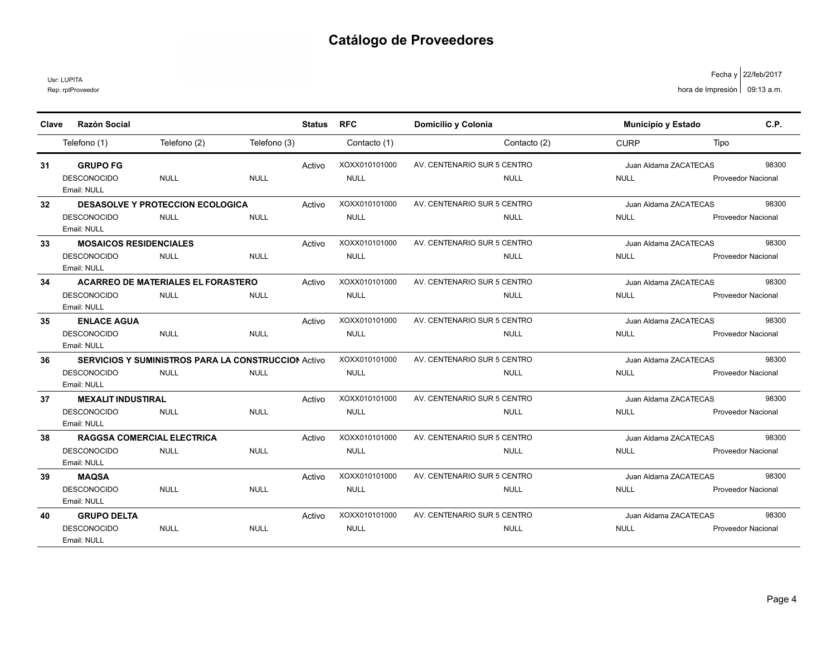Usr: LUPITA

Rep: rptProveedor

| Clave | <b>Razón Social</b>           |                                                            |              | <b>Status</b> | <b>RFC</b>    | Domicilio y Colonia         |              | Municipio y Estado    |      | C.P.                      |
|-------|-------------------------------|------------------------------------------------------------|--------------|---------------|---------------|-----------------------------|--------------|-----------------------|------|---------------------------|
|       |                               | Telefono (2)                                               | Telefono (3) |               |               |                             | Contacto (2) | <b>CURP</b>           |      |                           |
|       | Telefono (1)                  |                                                            |              |               | Contacto (1)  |                             |              |                       | Tipo |                           |
| 31    | <b>GRUPO FG</b>               |                                                            |              | Activo        | XOXX010101000 | AV. CENTENARIO SUR 5 CENTRO |              | Juan Aldama ZACATECAS |      | 98300                     |
|       | <b>DESCONOCIDO</b>            | <b>NULL</b>                                                | <b>NULL</b>  |               | <b>NULL</b>   |                             | <b>NULL</b>  | <b>NULL</b>           |      | Proveedor Nacional        |
|       | Email: NULL                   |                                                            |              |               |               |                             |              |                       |      |                           |
| 32    |                               | <b>DESASOLVE Y PROTECCION ECOLOGICA</b>                    |              | Activo        | XOXX010101000 | AV. CENTENARIO SUR 5 CENTRO |              | Juan Aldama ZACATECAS |      | 98300                     |
|       | <b>DESCONOCIDO</b>            | <b>NULL</b>                                                | <b>NULL</b>  |               | <b>NULL</b>   |                             | <b>NULL</b>  | <b>NULL</b>           |      | <b>Proveedor Nacional</b> |
|       | Email: NULL                   |                                                            |              |               |               |                             |              |                       |      |                           |
| 33    | <b>MOSAICOS RESIDENCIALES</b> |                                                            |              | Activo        | XOXX010101000 | AV. CENTENARIO SUR 5 CENTRO |              | Juan Aldama ZACATECAS |      | 98300                     |
|       | <b>DESCONOCIDO</b>            | <b>NULL</b>                                                | <b>NULL</b>  |               | <b>NULL</b>   |                             | <b>NULL</b>  | <b>NULL</b>           |      | <b>Proveedor Nacional</b> |
|       | Email: NULL                   |                                                            |              |               |               |                             |              |                       |      |                           |
| 34    |                               | <b>ACARREO DE MATERIALES EL FORASTERO</b>                  |              | Activo        | XOXX010101000 | AV. CENTENARIO SUR 5 CENTRO |              | Juan Aldama ZACATECAS |      | 98300                     |
|       | <b>DESCONOCIDO</b>            | <b>NULL</b>                                                | <b>NULL</b>  |               | <b>NULL</b>   |                             | <b>NULL</b>  | <b>NULL</b>           |      | <b>Proveedor Nacional</b> |
|       | Email: NULL                   |                                                            |              |               |               |                             |              |                       |      |                           |
| 35    | <b>ENLACE AGUA</b>            |                                                            |              | Activo        | XOXX010101000 | AV. CENTENARIO SUR 5 CENTRO |              | Juan Aldama ZACATECAS |      | 98300                     |
|       | <b>DESCONOCIDO</b>            | <b>NULL</b>                                                | <b>NULL</b>  |               | <b>NULL</b>   |                             | NULL         | <b>NULL</b>           |      | <b>Proveedor Nacional</b> |
|       | Email: NULL                   |                                                            |              |               |               |                             |              |                       |      |                           |
| 36    |                               | <b>SERVICIOS Y SUMINISTROS PARA LA CONSTRUCCION Activo</b> |              |               | XOXX010101000 | AV. CENTENARIO SUR 5 CENTRO |              | Juan Aldama ZACATECAS |      | 98300                     |
|       | <b>DESCONOCIDO</b>            | <b>NULL</b>                                                | <b>NULL</b>  |               | <b>NULL</b>   |                             | <b>NULL</b>  | <b>NULL</b>           |      | Proveedor Nacional        |
|       | Email: NULL                   |                                                            |              |               |               |                             |              |                       |      |                           |
| 37    | <b>MEXALIT INDUSTIRAL</b>     |                                                            |              | Activo        | XOXX010101000 | AV. CENTENARIO SUR 5 CENTRO |              | Juan Aldama ZACATECAS |      | 98300                     |
|       | <b>DESCONOCIDO</b>            | <b>NULL</b>                                                | <b>NULL</b>  |               | <b>NULL</b>   |                             | <b>NULL</b>  | <b>NULL</b>           |      | <b>Proveedor Nacional</b> |
|       | Email: NULL                   |                                                            |              |               |               |                             |              |                       |      |                           |
| 38    |                               | <b>RAGGSA COMERCIAL ELECTRICA</b>                          |              | Activo        | XOXX010101000 | AV. CENTENARIO SUR 5 CENTRO |              | Juan Aldama ZACATECAS |      | 98300                     |
|       | <b>DESCONOCIDO</b>            | <b>NULL</b>                                                | <b>NULL</b>  |               | <b>NULL</b>   |                             | <b>NULL</b>  | <b>NULL</b>           |      | <b>Proveedor Nacional</b> |
|       | Email: NULL                   |                                                            |              |               |               |                             |              |                       |      |                           |
| 39    | <b>MAQSA</b>                  |                                                            |              | Activo        | XOXX010101000 | AV. CENTENARIO SUR 5 CENTRO |              | Juan Aldama ZACATECAS |      | 98300                     |
|       | <b>DESCONOCIDO</b>            | <b>NULL</b>                                                | <b>NULL</b>  |               | <b>NULL</b>   |                             | <b>NULL</b>  | <b>NULL</b>           |      | <b>Proveedor Nacional</b> |
|       | Email: NULL                   |                                                            |              |               |               |                             |              |                       |      |                           |
| 40    | <b>GRUPO DELTA</b>            |                                                            |              | Activo        | XOXX010101000 | AV. CENTENARIO SUR 5 CENTRO |              | Juan Aldama ZACATECAS |      | 98300                     |
|       | <b>DESCONOCIDO</b>            | <b>NULL</b>                                                | <b>NULL</b>  |               | <b>NULL</b>   |                             | <b>NULL</b>  | <b>NULL</b>           |      | <b>Proveedor Nacional</b> |
|       | Email: NULL                   |                                                            |              |               |               |                             |              |                       |      |                           |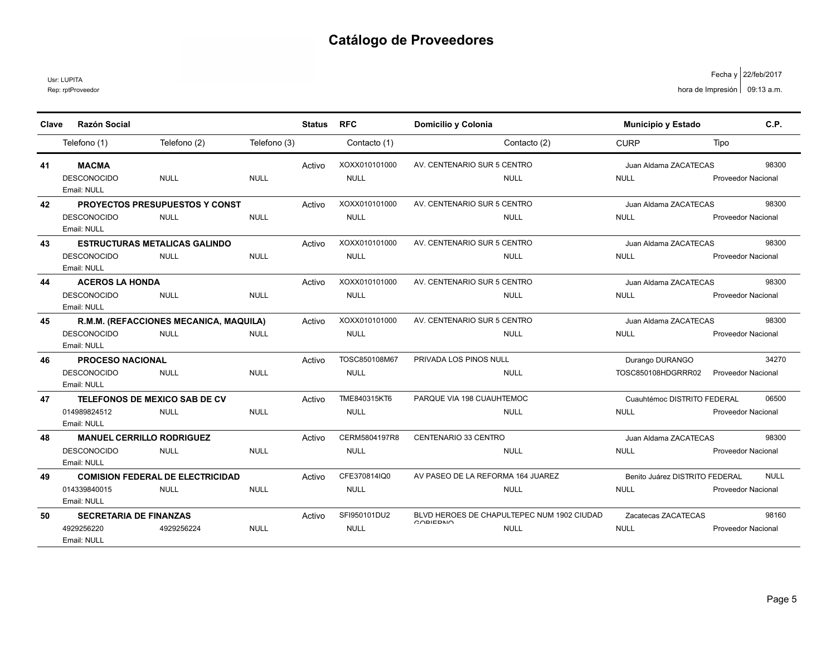Usr: LUPITA

Rep: rptProveedor

| Clave | <b>Razón Social</b>              |                                         |              | <b>Status</b> | <b>RFC</b>    | Domicilio y Colonia               |                                            | <b>Municipio y Estado</b>      | C.P.                      |
|-------|----------------------------------|-----------------------------------------|--------------|---------------|---------------|-----------------------------------|--------------------------------------------|--------------------------------|---------------------------|
|       |                                  |                                         |              |               |               |                                   |                                            |                                |                           |
|       | Telefono (1)                     | Telefono (2)                            | Telefono (3) |               | Contacto (1)  |                                   | Contacto (2)                               | <b>CURP</b>                    | Tipo                      |
| 41    | <b>MACMA</b>                     |                                         |              | Activo        | XOXX010101000 | AV. CENTENARIO SUR 5 CENTRO       |                                            | Juan Aldama ZACATECAS          | 98300                     |
|       | <b>DESCONOCIDO</b>               | <b>NULL</b>                             | <b>NULL</b>  |               | <b>NULL</b>   |                                   | <b>NULL</b>                                | <b>NULL</b>                    | Proveedor Nacional        |
|       | Email: NULL                      |                                         |              |               |               |                                   |                                            |                                |                           |
| 42    |                                  | <b>PROYECTOS PRESUPUESTOS Y CONST</b>   |              | Activo        | XOXX010101000 | AV. CENTENARIO SUR 5 CENTRO       |                                            | Juan Aldama ZACATECAS          | 98300                     |
|       | <b>DESCONOCIDO</b>               | <b>NULL</b>                             | <b>NULL</b>  |               | <b>NULL</b>   |                                   | <b>NULL</b>                                | <b>NULL</b>                    | <b>Proveedor Nacional</b> |
|       | Email: NULL                      |                                         |              |               |               |                                   |                                            |                                |                           |
| 43    |                                  | <b>ESTRUCTURAS METALICAS GALINDO</b>    |              | Activo        | XOXX010101000 | AV. CENTENARIO SUR 5 CENTRO       |                                            | Juan Aldama ZACATECAS          | 98300                     |
|       | <b>DESCONOCIDO</b>               | <b>NULL</b>                             | <b>NULL</b>  |               | <b>NULL</b>   |                                   | <b>NULL</b>                                | <b>NULL</b>                    | Proveedor Nacional        |
|       | Email: NULL                      |                                         |              |               |               |                                   |                                            |                                |                           |
| 44    | <b>ACEROS LA HONDA</b>           |                                         |              | Activo        | XOXX010101000 | AV. CENTENARIO SUR 5 CENTRO       |                                            | Juan Aldama ZACATECAS          | 98300                     |
|       | <b>DESCONOCIDO</b>               | <b>NULL</b>                             | <b>NULL</b>  |               | <b>NULL</b>   |                                   | <b>NULL</b>                                | <b>NULL</b>                    | <b>Proveedor Nacional</b> |
|       | Email: NULL                      |                                         |              |               |               |                                   |                                            |                                |                           |
| 45    |                                  | R.M.M. (REFACCIONES MECANICA, MAQUILA)  |              | Activo        | XOXX010101000 | AV. CENTENARIO SUR 5 CENTRO       |                                            | Juan Aldama ZACATECAS          | 98300                     |
|       | <b>DESCONOCIDO</b>               | <b>NULL</b>                             | <b>NULL</b>  |               | <b>NULL</b>   |                                   | <b>NULL</b>                                | <b>NULL</b>                    | Proveedor Nacional        |
|       | Email: NULL                      |                                         |              |               |               |                                   |                                            |                                |                           |
| 46    | <b>PROCESO NACIONAL</b>          |                                         |              | Activo        | TOSC850108M67 | PRIVADA LOS PINOS NULL            |                                            | Durango DURANGO                | 34270                     |
|       | <b>DESCONOCIDO</b>               | <b>NULL</b>                             | <b>NULL</b>  |               | <b>NULL</b>   |                                   | <b>NULL</b>                                | TOSC850108HDGRRR02             | <b>Proveedor Nacional</b> |
|       | Email: NULL                      |                                         |              |               |               |                                   |                                            |                                |                           |
| 47    |                                  | <b>TELEFONOS DE MEXICO SAB DE CV</b>    |              | Activo        | TME840315KT6  | PARQUE VIA 198 CUAUHTEMOC         |                                            | Cuauhtémoc DISTRITO FEDERAL    | 06500                     |
|       | 014989824512                     | <b>NULL</b>                             | <b>NULL</b>  |               | <b>NULL</b>   |                                   | <b>NULL</b>                                | <b>NULL</b>                    | <b>Proveedor Nacional</b> |
|       | Email: NULL                      |                                         |              |               |               |                                   |                                            |                                |                           |
| 48    | <b>MANUEL CERRILLO RODRIGUEZ</b> |                                         |              | Activo        | CERM5804197R8 | CENTENARIO 33 CENTRO              |                                            | Juan Aldama ZACATECAS          | 98300                     |
|       | <b>DESCONOCIDO</b>               | <b>NULL</b>                             | <b>NULL</b>  |               | <b>NULL</b>   |                                   | <b>NULL</b>                                | <b>NULL</b>                    | <b>Proveedor Nacional</b> |
|       | Email: NULL                      |                                         |              |               |               |                                   |                                            |                                |                           |
| 49    |                                  | <b>COMISION FEDERAL DE ELECTRICIDAD</b> |              | Activo        | CFE370814IQ0  | AV PASEO DE LA REFORMA 164 JUAREZ |                                            | Benito Juárez DISTRITO FEDERAL | <b>NULL</b>               |
|       | 014339840015                     | <b>NULL</b>                             | <b>NULL</b>  |               | <b>NULL</b>   |                                   | <b>NULL</b>                                | <b>NULL</b>                    | <b>Proveedor Nacional</b> |
|       | Email: NULL                      |                                         |              |               |               |                                   |                                            |                                |                           |
| 50    | <b>SECRETARIA DE FINANZAS</b>    |                                         |              | Activo        | SFI950101DU2  | 000                               | BLVD HEROES DE CHAPULTEPEC NUM 1902 CIUDAD | Zacatecas ZACATECAS            | 98160                     |
|       | 4929256220                       | 4929256224                              | <b>NULL</b>  |               | <b>NULL</b>   |                                   | <b>NULL</b>                                | <b>NULL</b>                    | <b>Proveedor Nacional</b> |
|       | Email: NULL                      |                                         |              |               |               |                                   |                                            |                                |                           |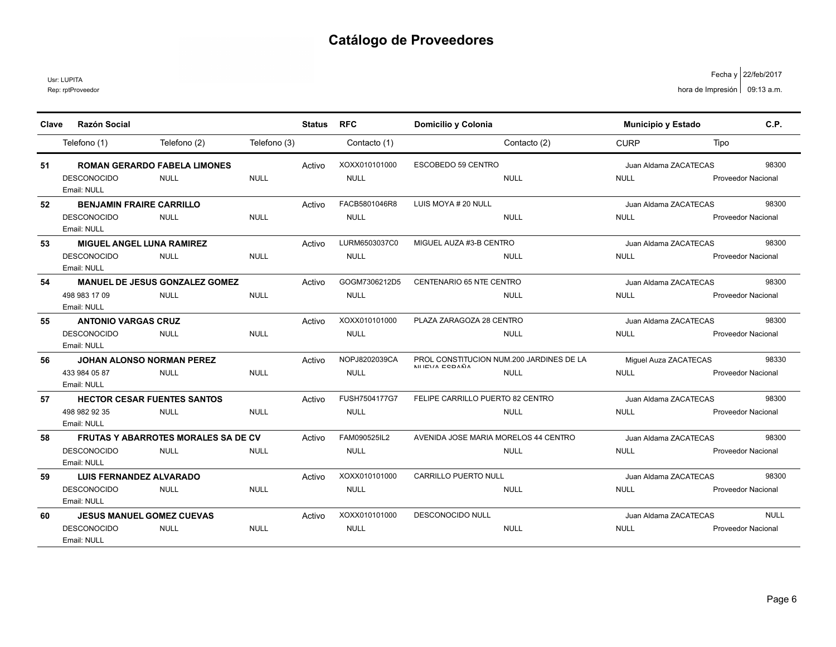Usr: LUPITA

| <b>Razón Social</b><br><b>RFC</b><br>Domicilio y Colonia<br>Municipio y Estado<br><b>Status</b><br>Clave<br>Telefono (2)<br>Telefono (3)<br>Contacto (1)<br>Contacto (2)<br><b>CURP</b><br>Telefono (1) | C.P.<br>Tipo              |
|---------------------------------------------------------------------------------------------------------------------------------------------------------------------------------------------------------|---------------------------|
|                                                                                                                                                                                                         |                           |
|                                                                                                                                                                                                         |                           |
| XOXX010101000<br><b>ESCOBEDO 59 CENTRO</b><br><b>ROMAN GERARDO FABELA LIMONES</b><br>51<br>Activo<br>Juan Aldama ZACATECAS                                                                              | 98300                     |
| <b>NULL</b><br><b>DESCONOCIDO</b><br><b>NULL</b><br><b>NULL</b><br><b>NULL</b><br><b>NULL</b>                                                                                                           | <b>Proveedor Nacional</b> |
| Email: NULL                                                                                                                                                                                             |                           |
| FACB5801046R8<br>52<br><b>BENJAMIN FRAIRE CARRILLO</b><br>Activo<br>LUIS MOYA # 20 NULL<br>Juan Aldama ZACATECAS                                                                                        | 98300                     |
| <b>NULL</b><br><b>NULL</b><br><b>DESCONOCIDO</b><br><b>NULL</b><br><b>NULL</b><br><b>NULL</b>                                                                                                           | <b>Proveedor Nacional</b> |
| Email: NULL                                                                                                                                                                                             |                           |
| LURM6503037C0<br>MIGUEL AUZA #3-B CENTRO<br><b>MIGUEL ANGEL LUNA RAMIREZ</b><br>53<br>Activo<br>Juan Aldama ZACATECAS                                                                                   | 98300                     |
| <b>NULL</b><br><b>NULL</b><br><b>DESCONOCIDO</b><br><b>NULL</b><br><b>NULL</b><br><b>NULL</b>                                                                                                           | <b>Proveedor Nacional</b> |
| Email: NULL                                                                                                                                                                                             |                           |
| GOGM7306212D5<br><b>MANUEL DE JESUS GONZALEZ GOMEZ</b><br>CENTENARIO 65 NTE CENTRO<br>54<br>Activo<br>Juan Aldama ZACATECAS                                                                             | 98300                     |
| 498 983 17 09<br><b>NULL</b><br><b>NULL</b><br><b>NULL</b><br><b>NULL</b><br><b>NULL</b>                                                                                                                | <b>Proveedor Nacional</b> |
| Email: NULL                                                                                                                                                                                             |                           |
| <b>ANTONIO VARGAS CRUZ</b><br>XOXX010101000<br>PLAZA ZARAGOZA 28 CENTRO<br>Activo<br>Juan Aldama ZACATECAS<br>55                                                                                        | 98300                     |
| <b>NULL</b><br><b>NULL</b><br><b>NULL</b><br><b>DESCONOCIDO</b><br><b>NULL</b><br><b>NULL</b>                                                                                                           | <b>Proveedor Nacional</b> |
| Email: NULL                                                                                                                                                                                             |                           |
| NOPJ8202039CA<br>PROL CONSTITUCION NUM 200 JARDINES DE LA<br><b>JOHAN ALONSO NORMAN PEREZ</b><br>Activo<br>56<br>Miquel Auza ZACATECAS<br>NUITVA FODAÑA                                                 | 98330                     |
| <b>NULL</b><br><b>NULL</b><br>433 984 05 87<br><b>NULL</b><br><b>NULL</b><br><b>NULL</b>                                                                                                                | Proveedor Nacional        |
| Email: NULL                                                                                                                                                                                             |                           |
| FUSH7504177G7<br><b>HECTOR CESAR FUENTES SANTOS</b><br>FELIPE CARRILLO PUERTO 82 CENTRO<br>Activo<br>Juan Aldama ZACATECAS<br>57                                                                        | 98300                     |
| <b>NULL</b><br><b>NULL</b><br><b>NULL</b><br><b>NULL</b><br>498 982 92 35<br><b>NULL</b><br>Email: NULL                                                                                                 | <b>Proveedor Nacional</b> |
| FAM090525IL2<br>AVENIDA JOSE MARIA MORELOS 44 CENTRO<br>58<br><b>FRUTAS Y ABARROTES MORALES SA DE CV</b><br>Activo<br>Juan Aldama ZACATECAS                                                             | 98300                     |
| <b>NULL</b><br><b>NULL</b><br><b>DESCONOCIDO</b><br><b>NULL</b><br><b>NULL</b><br><b>NULL</b>                                                                                                           |                           |
| Email: NULL                                                                                                                                                                                             | <b>Proveedor Nacional</b> |
| XOXX010101000<br><b>CARRILLO PUERTO NULL</b><br>Juan Aldama ZACATECAS<br><b>LUIS FERNANDEZ ALVARADO</b><br>Activo<br>59                                                                                 | 98300                     |
| <b>DESCONOCIDO</b><br><b>NULL</b><br><b>NULL</b><br><b>NULL</b><br><b>NULL</b><br><b>NULL</b>                                                                                                           | <b>Proveedor Nacional</b> |
| Email: NULL                                                                                                                                                                                             |                           |
| XOXX010101000<br><b>DESCONOCIDO NULL</b><br><b>JESUS MANUEL GOMEZ CUEVAS</b><br>60<br>Activo<br>Juan Aldama ZACATECAS                                                                                   | <b>NULL</b>               |
| <b>NULL</b><br><b>DESCONOCIDO</b><br><b>NULL</b><br><b>NULL</b><br><b>NULL</b><br><b>NULL</b>                                                                                                           | <b>Proveedor Nacional</b> |
| Email: NULL                                                                                                                                                                                             |                           |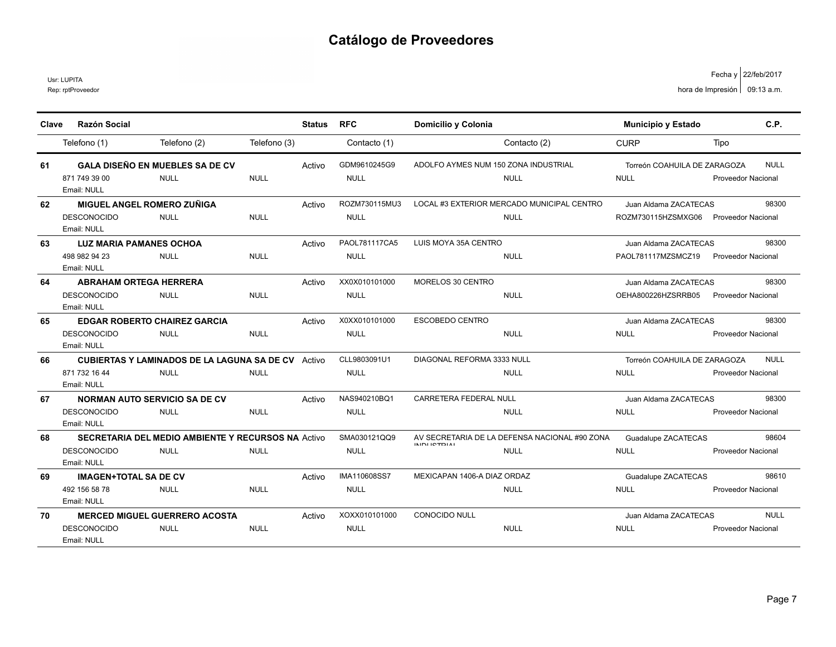Rep: rptProveedor Usr: LUPITA

| Clave | <b>Razón Social</b>            |                                                           |              | <b>Status</b> | <b>RFC</b>    | Domicilio y Colonia                                                 | <b>Municipio y Estado</b>    |                           | C.P.        |
|-------|--------------------------------|-----------------------------------------------------------|--------------|---------------|---------------|---------------------------------------------------------------------|------------------------------|---------------------------|-------------|
|       |                                |                                                           |              |               |               |                                                                     |                              |                           |             |
|       | Telefono (1)                   | Telefono (2)                                              | Telefono (3) |               | Contacto (1)  | Contacto (2)                                                        | <b>CURP</b>                  | Tipo                      |             |
| 61    |                                | <b>GALA DISEÑO EN MUEBLES SA DE CV</b>                    |              | Activo        | GDM9610245G9  | ADOLFO AYMES NUM 150 ZONA INDUSTRIAL                                | Torreón COAHUILA DE ZARAGOZA |                           | <b>NULL</b> |
|       | 871 749 39 00                  | <b>NULL</b>                                               | <b>NULL</b>  |               | <b>NULL</b>   | <b>NULL</b>                                                         | <b>NULL</b>                  | <b>Proveedor Nacional</b> |             |
|       | Email: NULL                    |                                                           |              |               |               |                                                                     |                              |                           |             |
| 62    | MIGUEL ANGEL ROMERO ZUÑIGA     |                                                           |              | Activo        | ROZM730115MU3 | LOCAL #3 EXTERIOR MERCADO MUNICIPAL CENTRO                          | Juan Aldama ZACATECAS        |                           | 98300       |
|       | <b>DESCONOCIDO</b>             | <b>NULL</b>                                               | <b>NULL</b>  |               | <b>NULL</b>   | <b>NULL</b>                                                         | ROZM730115HZSMXG06           | <b>Proveedor Nacional</b> |             |
|       | Email: NULL                    |                                                           |              |               |               |                                                                     |                              |                           |             |
| 63    | <b>LUZ MARIA PAMANES OCHOA</b> |                                                           |              | Activo        | PAOL781117CA5 | LUIS MOYA 35A CENTRO                                                | Juan Aldama ZACATECAS        |                           | 98300       |
|       | 498 982 94 23                  | <b>NULL</b>                                               | <b>NULL</b>  |               | <b>NULL</b>   | <b>NULL</b>                                                         | PAOL781117MZSMCZ19           | <b>Proveedor Nacional</b> |             |
|       | Email: NULL                    |                                                           |              |               |               |                                                                     |                              |                           |             |
| 64    | <b>ABRAHAM ORTEGA HERRERA</b>  |                                                           |              | Activo        | XX0X010101000 | MORELOS 30 CENTRO                                                   | Juan Aldama ZACATECAS        |                           | 98300       |
|       | <b>DESCONOCIDO</b>             | <b>NULL</b>                                               | <b>NULL</b>  |               | <b>NULL</b>   | <b>NULL</b>                                                         | OEHA800226HZSRRB05           | Proveedor Nacional        |             |
|       | Email: NULL                    |                                                           |              |               |               |                                                                     |                              |                           |             |
| 65    |                                | <b>EDGAR ROBERTO CHAIREZ GARCIA</b>                       |              | Activo        | X0XX010101000 | <b>ESCOBEDO CENTRO</b>                                              | Juan Aldama ZACATECAS        |                           | 98300       |
|       | <b>DESCONOCIDO</b>             | <b>NULL</b>                                               | <b>NULL</b>  |               | <b>NULL</b>   | <b>NULL</b>                                                         | <b>NULL</b>                  | Proveedor Nacional        |             |
|       | Email: NULL                    |                                                           |              |               |               |                                                                     |                              |                           |             |
| 66    |                                | <b>CUBIERTAS Y LAMINADOS DE LA LAGUNA SA DE CV</b> Activo |              |               | CLL9803091U1  | DIAGONAL REFORMA 3333 NULL                                          | Torreón COAHUILA DE ZARAGOZA |                           | <b>NULL</b> |
|       | 871 732 16 44                  | <b>NULL</b>                                               | <b>NULL</b>  |               | <b>NULL</b>   | <b>NULL</b>                                                         | <b>NULL</b>                  | <b>Proveedor Nacional</b> |             |
|       | Email: NULL                    |                                                           |              |               |               |                                                                     |                              |                           |             |
| 67    |                                | <b>NORMAN AUTO SERVICIO SA DE CV</b>                      |              | Activo        | NAS940210BQ1  | CARRETERA FEDERAL NULL                                              | Juan Aldama ZACATECAS        |                           | 98300       |
|       | <b>DESCONOCIDO</b>             | <b>NULL</b>                                               | <b>NULL</b>  |               | <b>NULL</b>   | <b>NULL</b>                                                         | <b>NULL</b>                  | <b>Proveedor Nacional</b> |             |
|       | Email: NULL                    |                                                           |              |               |               |                                                                     |                              |                           |             |
| 68    |                                | <b>SECRETARIA DEL MEDIO AMBIENTE Y RECURSOS NA Activo</b> |              |               | SMA030121QQ9  | AV SECRETARIA DE LA DEFENSA NACIONAL #90 ZONA<br><b>INIDUCTDIAL</b> | Guadalupe ZACATECAS          |                           | 98604       |
|       | <b>DESCONOCIDO</b>             | <b>NULL</b>                                               | <b>NULL</b>  |               | <b>NULL</b>   | <b>NULL</b>                                                         | <b>NULL</b>                  | <b>Proveedor Nacional</b> |             |
|       | Email: NULL                    |                                                           |              |               |               |                                                                     |                              |                           |             |
| 69    | <b>IMAGEN+TOTAL SA DE CV</b>   |                                                           |              | Activo        | IMA110608SS7  | MEXICAPAN 1406-A DIAZ ORDAZ                                         | Guadalupe ZACATECAS          |                           | 98610       |
|       | 492 156 58 78                  | <b>NULL</b>                                               | <b>NULL</b>  |               | <b>NULL</b>   | <b>NULL</b>                                                         | <b>NULL</b>                  | <b>Proveedor Nacional</b> |             |
|       | Email: NULL                    |                                                           |              |               |               |                                                                     |                              |                           |             |
| 70    |                                | <b>MERCED MIGUEL GUERRERO ACOSTA</b>                      |              | Activo        | XOXX010101000 | <b>CONOCIDO NULL</b>                                                | Juan Aldama ZACATECAS        |                           | <b>NULL</b> |
|       | <b>DESCONOCIDO</b>             | <b>NULL</b>                                               | <b>NULL</b>  |               | <b>NULL</b>   | <b>NULL</b>                                                         | <b>NULL</b>                  | <b>Proveedor Nacional</b> |             |
|       | Email: NULL                    |                                                           |              |               |               |                                                                     |                              |                           |             |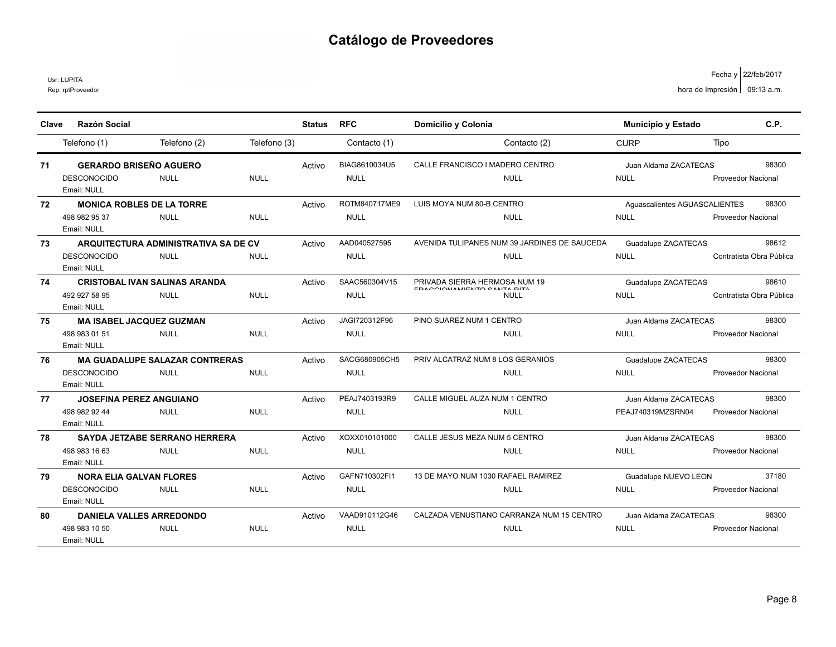Rep: rptProveedor Usr: LUPITA

| Clave | <b>Razón Social</b>               |                                       |              | <b>Status</b> | <b>RFC</b>    | Domicilio y Colonia                                          | <b>Municipio y Estado</b>     | C.P.                      |
|-------|-----------------------------------|---------------------------------------|--------------|---------------|---------------|--------------------------------------------------------------|-------------------------------|---------------------------|
|       | Telefono (1)                      | Telefono (2)                          | Telefono (3) |               | Contacto (1)  | Contacto (2)                                                 | <b>CURP</b>                   | Tipo                      |
| 71    | <b>GERARDO BRISEÑO AGUERO</b>     |                                       |              | Activo        | BIAG8610034U5 | CALLE FRANCISCO I MADERO CENTRO                              | Juan Aldama ZACATECAS         | 98300                     |
|       | <b>DESCONOCIDO</b><br>Email: NULL | <b>NULL</b>                           | <b>NULL</b>  |               | <b>NULL</b>   | <b>NULL</b>                                                  | <b>NULL</b>                   | <b>Proveedor Nacional</b> |
| 72    | <b>MONICA ROBLES DE LA TORRE</b>  |                                       |              | Activo        | ROTM840717ME9 | LUIS MOYA NUM 80-B CENTRO                                    | Aquascalientes AGUASCALIENTES | 98300                     |
|       | 498 982 95 37<br>Email: NULL      | <b>NULL</b>                           | <b>NULL</b>  |               | <b>NULL</b>   | <b>NULL</b>                                                  | <b>NULL</b>                   | <b>Proveedor Nacional</b> |
| 73    |                                   | ARQUITECTURA ADMINISTRATIVA SA DE CV  |              | Activo        | AAD040527595  | AVENIDA TULIPANES NUM 39 JARDINES DE SAUCEDA                 | Guadalupe ZACATECAS           | 98612                     |
|       | <b>DESCONOCIDO</b><br>Email: NULL | <b>NULL</b>                           | <b>NULL</b>  |               | <b>NULL</b>   | <b>NULL</b>                                                  | <b>NULL</b>                   | Contratista Obra Pública  |
| 74    |                                   | <b>CRISTOBAL IVAN SALINAS ARANDA</b>  |              | Activo        | SAAC560304V15 | PRIVADA SIERRA HERMOSA NUM 19<br>FRACCIONIAMIENTO CANTA DITA | Guadalupe ZACATECAS           | 98610                     |
|       | 492 927 58 95<br>Email: NULL      | <b>NULL</b>                           | <b>NULL</b>  |               | <b>NULL</b>   | <b>NULL</b>                                                  | <b>NULL</b>                   | Contratista Obra Pública  |
| 75    | <b>MA ISABEL JACQUEZ GUZMAN</b>   |                                       |              | Activo        | JAGI720312F96 | PINO SUAREZ NUM 1 CENTRO                                     | Juan Aldama ZACATECAS         | 98300                     |
|       | 498 983 01 51<br>Email: NULL      | <b>NULL</b>                           | <b>NULL</b>  |               | <b>NULL</b>   | <b>NULL</b>                                                  | <b>NULL</b>                   | <b>Proveedor Nacional</b> |
| 76    |                                   | <b>MA GUADALUPE SALAZAR CONTRERAS</b> |              | Activo        | SACG680905CH5 | PRIV ALCATRAZ NUM 8 LOS GERANIOS                             | Guadalupe ZACATECAS           | 98300                     |
|       | <b>DESCONOCIDO</b><br>Email: NULL | <b>NULL</b>                           | <b>NULL</b>  |               | <b>NULL</b>   | <b>NULL</b>                                                  | <b>NULL</b>                   | Proveedor Nacional        |
| 77    | <b>JOSEFINA PEREZ ANGUIANO</b>    |                                       |              | Activo        | PEAJ7403193R9 | CALLE MIGUEL AUZA NUM 1 CENTRO                               | Juan Aldama ZACATECAS         | 98300                     |
|       | 498 982 92 44<br>Email: NULL      | <b>NULL</b>                           | <b>NULL</b>  |               | <b>NULL</b>   | <b>NULL</b>                                                  | PEAJ740319MZSRN04             | <b>Proveedor Nacional</b> |
| 78    |                                   | <b>SAYDA JETZABE SERRANO HERRERA</b>  |              | Activo        | XOXX010101000 | CALLE JESUS MEZA NUM 5 CENTRO                                | Juan Aldama ZACATECAS         | 98300                     |
|       | 498 983 16 63<br>Email: NULL      | <b>NULL</b>                           | <b>NULL</b>  |               | <b>NULL</b>   | <b>NULL</b>                                                  | <b>NULL</b>                   | Proveedor Nacional        |
| 79    | <b>NORA ELIA GALVAN FLORES</b>    |                                       |              | Activo        | GAFN710302FI1 | 13 DE MAYO NUM 1030 RAFAEL RAMIREZ                           | Guadalupe NUEVO LEON          | 37180                     |
|       | <b>DESCONOCIDO</b><br>Email: NULL | <b>NULL</b>                           | <b>NULL</b>  |               | <b>NULL</b>   | <b>NULL</b>                                                  | <b>NULL</b>                   | <b>Proveedor Nacional</b> |
| 80    | <b>DANIELA VALLES ARREDONDO</b>   |                                       |              | Activo        | VAAD910112G46 | CALZADA VENUSTIANO CARRANZA NUM 15 CENTRO                    | Juan Aldama ZACATECAS         | 98300                     |
|       | 498 983 10 50<br>Email: NULL      | <b>NULL</b>                           | <b>NULL</b>  |               | <b>NULL</b>   | <b>NULL</b>                                                  | <b>NULL</b>                   | <b>Proveedor Nacional</b> |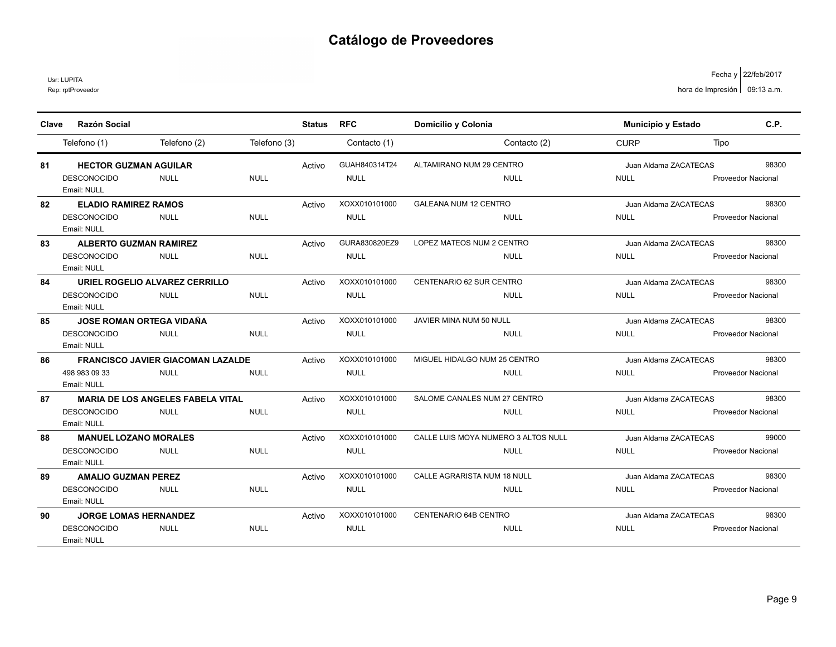Usr: LUPITA

| Clave | <b>Razón Social</b>               |                                          |              | <b>Status</b> | <b>RFC</b>    | Domicilio y Colonia                 | Municipio y Estado    | C.P.                      |
|-------|-----------------------------------|------------------------------------------|--------------|---------------|---------------|-------------------------------------|-----------------------|---------------------------|
|       | Telefono (1)                      | Telefono (2)                             | Telefono (3) |               | Contacto (1)  | Contacto (2)                        | <b>CURP</b>           | Tipo                      |
| 81    | <b>HECTOR GUZMAN AGUILAR</b>      |                                          |              | Activo        | GUAH840314T24 | ALTAMIRANO NUM 29 CENTRO            | Juan Aldama ZACATECAS | 98300                     |
|       | <b>DESCONOCIDO</b><br>Email: NULL | <b>NULL</b>                              | <b>NULL</b>  |               | <b>NULL</b>   | <b>NULL</b>                         | <b>NULL</b>           | <b>Proveedor Nacional</b> |
| 82    | <b>ELADIO RAMIREZ RAMOS</b>       |                                          |              | Activo        | XOXX010101000 | <b>GALEANA NUM 12 CENTRO</b>        | Juan Aldama ZACATECAS | 98300                     |
|       | <b>DESCONOCIDO</b><br>Email: NULL | <b>NULL</b>                              | <b>NULL</b>  |               | <b>NULL</b>   | <b>NULL</b>                         | <b>NULL</b>           | <b>Proveedor Nacional</b> |
| 83    | <b>ALBERTO GUZMAN RAMIREZ</b>     |                                          |              | Activo        | GURA830820EZ9 | LOPEZ MATEOS NUM 2 CENTRO           | Juan Aldama ZACATECAS | 98300                     |
|       | <b>DESCONOCIDO</b><br>Email: NULL | <b>NULL</b>                              | <b>NULL</b>  |               | <b>NULL</b>   | <b>NULL</b>                         | <b>NULL</b>           | <b>Proveedor Nacional</b> |
| 84    |                                   | URIEL ROGELIO ALVAREZ CERRILLO           |              | Activo        | XOXX010101000 | CENTENARIO 62 SUR CENTRO            | Juan Aldama ZACATECAS | 98300                     |
|       | <b>DESCONOCIDO</b><br>Email: NULL | <b>NULL</b>                              | <b>NULL</b>  |               | <b>NULL</b>   | <b>NULL</b>                         | <b>NULL</b>           | <b>Proveedor Nacional</b> |
| 85    | <b>JOSE ROMAN ORTEGA VIDAÑA</b>   |                                          |              | Activo        | XOXX010101000 | JAVIER MINA NUM 50 NULL             | Juan Aldama ZACATECAS | 98300                     |
|       | <b>DESCONOCIDO</b><br>Email: NULL | <b>NULL</b>                              | <b>NULL</b>  |               | <b>NULL</b>   | <b>NULL</b>                         | <b>NULL</b>           | <b>Proveedor Nacional</b> |
| 86    |                                   | <b>FRANCISCO JAVIER GIACOMAN LAZALDE</b> |              | Activo        | XOXX010101000 | MIGUEL HIDALGO NUM 25 CENTRO        | Juan Aldama ZACATECAS | 98300                     |
|       | 498 983 09 33<br>Email: NULL      | <b>NULL</b>                              | <b>NULL</b>  |               | <b>NULL</b>   | <b>NULL</b>                         | <b>NULL</b>           | Proveedor Nacional        |
| 87    |                                   | <b>MARIA DE LOS ANGELES FABELA VITAL</b> |              | Activo        | XOXX010101000 | SALOME CANALES NUM 27 CENTRO        | Juan Aldama ZACATECAS | 98300                     |
|       | <b>DESCONOCIDO</b><br>Email: NULL | <b>NULL</b>                              | <b>NULL</b>  |               | <b>NULL</b>   | <b>NULL</b>                         | <b>NULL</b>           | <b>Proveedor Nacional</b> |
| 88    | <b>MANUEL LOZANO MORALES</b>      |                                          |              | Activo        | XOXX010101000 | CALLE LUIS MOYA NUMERO 3 ALTOS NULL | Juan Aldama ZACATECAS | 99000                     |
|       | <b>DESCONOCIDO</b><br>Email: NULL | <b>NULL</b>                              | <b>NULL</b>  |               | <b>NULL</b>   | <b>NULL</b>                         | <b>NULL</b>           | <b>Proveedor Nacional</b> |
| 89    | <b>AMALIO GUZMAN PEREZ</b>        |                                          |              | Activo        | XOXX010101000 | CALLE AGRARISTA NUM 18 NULL         | Juan Aldama ZACATECAS | 98300                     |
|       | <b>DESCONOCIDO</b><br>Email: NULL | <b>NULL</b>                              | <b>NULL</b>  |               | <b>NULL</b>   | <b>NULL</b>                         | <b>NULL</b>           | <b>Proveedor Nacional</b> |
| 90    | <b>JORGE LOMAS HERNANDEZ</b>      |                                          |              | Activo        | XOXX010101000 | CENTENARIO 64B CENTRO               | Juan Aldama ZACATECAS | 98300                     |
|       | <b>DESCONOCIDO</b><br>Email: NULL | <b>NULL</b>                              | <b>NULL</b>  |               | <b>NULL</b>   | <b>NULL</b>                         | <b>NULL</b>           | <b>Proveedor Nacional</b> |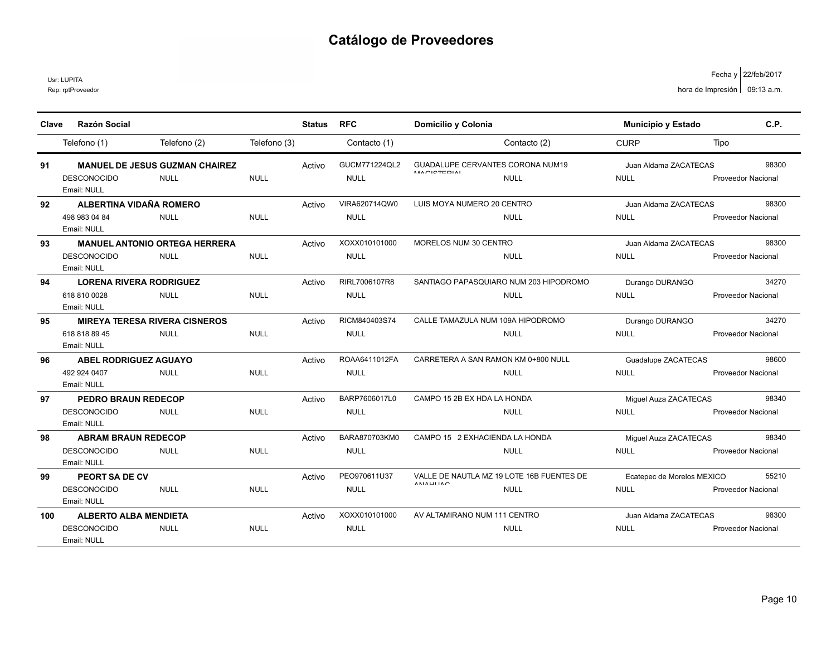Rep: rptProveedor Usr: LUPITA

| Clave | <b>Razón Social</b>                   |              |              | <b>Status</b> | <b>RFC</b>    | Domicilio y Colonia                                           | <b>Municipio y Estado</b> |                            | C.P.                      |
|-------|---------------------------------------|--------------|--------------|---------------|---------------|---------------------------------------------------------------|---------------------------|----------------------------|---------------------------|
|       | Telefono (1)                          | Telefono (2) | Telefono (3) |               | Contacto (1)  | Contacto (2)                                                  | <b>CURP</b>               | Tipo                       |                           |
| 91    | <b>MANUEL DE JESUS GUZMAN CHAIREZ</b> |              |              | Activo        | GUCM771224QL2 | <b>GUADALUPE CERVANTES CORONA NUM19</b><br><b>MACICTEDIAL</b> |                           | Juan Aldama ZACATECAS      | 98300                     |
|       | <b>DESCONOCIDO</b><br>Email: NULL     | <b>NULL</b>  | <b>NULL</b>  |               | <b>NULL</b>   | <b>NULL</b>                                                   | <b>NULL</b>               |                            | Proveedor Nacional        |
| 92    | ALBERTINA VIDAÑA ROMERO               |              |              | Activo        | VIRA620714QW0 | LUIS MOYA NUMERO 20 CENTRO                                    |                           | Juan Aldama ZACATECAS      | 98300                     |
|       | 498 983 04 84<br>Email: NULL          | <b>NULL</b>  | <b>NULL</b>  |               | <b>NULL</b>   | <b>NULL</b>                                                   | <b>NULL</b>               |                            | <b>Proveedor Nacional</b> |
| 93    | <b>MANUEL ANTONIO ORTEGA HERRERA</b>  |              |              | Activo        | XOXX010101000 | MORELOS NUM 30 CENTRO                                         |                           | Juan Aldama ZACATECAS      | 98300                     |
|       | <b>DESCONOCIDO</b><br>Email: NULL     | <b>NULL</b>  | <b>NULL</b>  |               | <b>NULL</b>   | <b>NULL</b>                                                   | <b>NULL</b>               |                            | Proveedor Nacional        |
| 94    | <b>LORENA RIVERA RODRIGUEZ</b>        |              |              | Activo        | RIRL7006107R8 | SANTIAGO PAPASQUIARO NUM 203 HIPODROMO                        | Durango DURANGO           |                            | 34270                     |
|       | 618 810 0028<br>Email: NULL           | <b>NULL</b>  | <b>NULL</b>  |               | <b>NULL</b>   | <b>NULL</b>                                                   | <b>NULL</b>               |                            | <b>Proveedor Nacional</b> |
| 95    | <b>MIREYA TERESA RIVERA CISNEROS</b>  |              |              | Activo        | RICM840403S74 | CALLE TAMAZULA NUM 109A HIPODROMO                             | Durango DURANGO           |                            | 34270                     |
|       | 618 818 89 45<br>Email: NULL          | <b>NULL</b>  | <b>NULL</b>  |               | <b>NULL</b>   | <b>NULL</b>                                                   | <b>NULL</b>               |                            | Proveedor Nacional        |
| 96    | <b>ABEL RODRIGUEZ AGUAYO</b>          |              |              | Activo        | ROAA6411012FA | CARRETERA A SAN RAMON KM 0+800 NULL                           |                           | Guadalupe ZACATECAS        | 98600                     |
|       | 492 924 0407<br>Email: NULL           | <b>NULL</b>  | <b>NULL</b>  |               | <b>NULL</b>   | <b>NULL</b>                                                   | <b>NULL</b>               |                            | <b>Proveedor Nacional</b> |
| 97    | <b>PEDRO BRAUN REDECOP</b>            |              |              | Activo        | BARP7606017L0 | CAMPO 15 2B EX HDA LA HONDA                                   |                           | Miguel Auza ZACATECAS      | 98340                     |
|       | <b>DESCONOCIDO</b><br>Email: NULL     | <b>NULL</b>  | <b>NULL</b>  |               | <b>NULL</b>   | <b>NULL</b>                                                   | <b>NULL</b>               |                            | <b>Proveedor Nacional</b> |
| 98    | <b>ABRAM BRAUN REDECOP</b>            |              |              | Activo        | BARA870703KM0 | CAMPO 15 2 EXHACIENDA LA HONDA                                |                           | Miguel Auza ZACATECAS      | 98340                     |
|       | <b>DESCONOCIDO</b><br>Email: NULL     | <b>NULL</b>  | <b>NULL</b>  |               | <b>NULL</b>   | <b>NULL</b>                                                   | <b>NULL</b>               |                            | <b>Proveedor Nacional</b> |
| 99    | <b>PEORT SA DE CV</b>                 |              |              | Activo        | PEO970611U37  | VALLE DE NAUTLA MZ 19 LOTE 16B FUENTES DE                     |                           | Ecatepec de Morelos MEXICO | 55210                     |
|       | <b>DESCONOCIDO</b><br>Email: NULL     | <b>NULL</b>  | <b>NULL</b>  |               | <b>NULL</b>   | ANIAI II IAO<br><b>NULL</b>                                   | <b>NULL</b>               |                            | <b>Proveedor Nacional</b> |
| 100   | <b>ALBERTO ALBA MENDIETA</b>          |              |              | Activo        | XOXX010101000 | AV ALTAMIRANO NUM 111 CENTRO                                  |                           | Juan Aldama ZACATECAS      | 98300                     |
|       | <b>DESCONOCIDO</b><br>Email: NULL     | <b>NULL</b>  | <b>NULL</b>  |               | <b>NULL</b>   | <b>NULL</b>                                                   | <b>NULL</b>               |                            | <b>Proveedor Nacional</b> |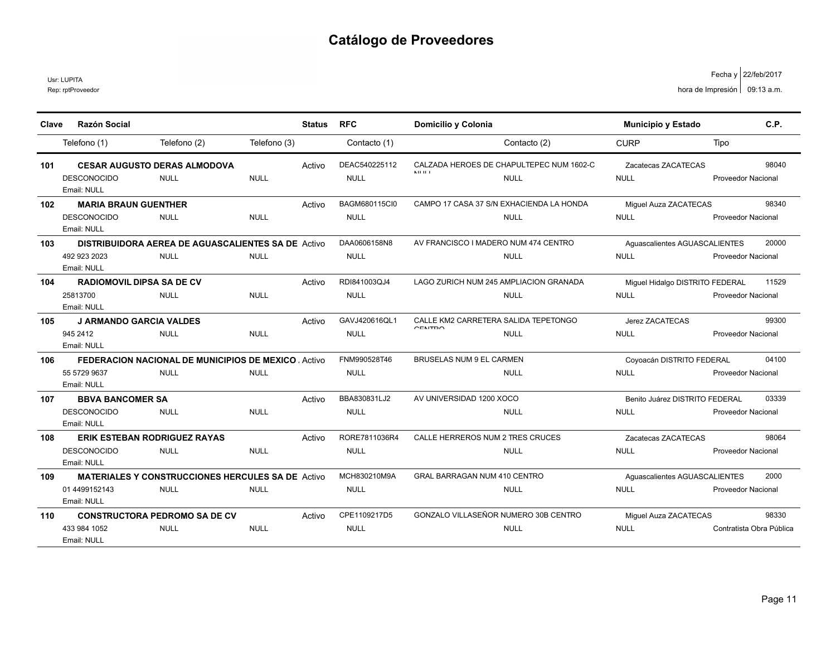Usr: LUPITA

| Clave | Razón Social                                                     |                                                                           |              | <b>Status</b> | <b>RFC</b>                   | Domicilio y Colonia                                                     | Municipio y Estado                             | C.P.                               |
|-------|------------------------------------------------------------------|---------------------------------------------------------------------------|--------------|---------------|------------------------------|-------------------------------------------------------------------------|------------------------------------------------|------------------------------------|
|       | Telefono (1)                                                     | Telefono (2)                                                              | Telefono (3) |               | Contacto (1)                 | Contacto (2)                                                            | <b>CURP</b>                                    | Tipo                               |
| 101   | <b>DESCONOCIDO</b><br>Email: NULL                                | <b>CESAR AUGUSTO DERAS ALMODOVA</b><br><b>NULL</b>                        | <b>NULL</b>  | Activo        | DEAC540225112<br><b>NULL</b> | CALZADA HEROES DE CHAPULTEPEC NUM 1602-C<br><b>MILIE</b><br><b>NULL</b> | Zacatecas ZACATECAS<br><b>NULL</b>             | 98040<br><b>Proveedor Nacional</b> |
| 102   | <b>MARIA BRAUN GUENTHER</b><br><b>DESCONOCIDO</b><br>Email: NULL | <b>NULL</b>                                                               | <b>NULL</b>  | Activo        | BAGM680115CI0<br><b>NULL</b> | CAMPO 17 CASA 37 S/N EXHACIENDA LA HONDA<br><b>NULL</b>                 | Miguel Auza ZACATECAS<br><b>NULL</b>           | 98340<br><b>Proveedor Nacional</b> |
| 103   | 492 923 2023<br>Email: NULL                                      | <b>DISTRIBUIDORA AEREA DE AGUASCALIENTES SA DE Activo</b><br><b>NULL</b>  | <b>NULL</b>  |               | DAA0606158N8<br><b>NULL</b>  | AV FRANCISCO I MADERO NUM 474 CENTRO<br><b>NULL</b>                     | Aguascalientes AGUASCALIENTES<br><b>NULL</b>   | 20000<br><b>Proveedor Nacional</b> |
| 104   | <b>RADIOMOVIL DIPSA SA DE CV</b><br>25813700<br>Email: NULL      | <b>NULL</b>                                                               | <b>NULL</b>  | Activo        | RDI841003QJ4<br><b>NULL</b>  | LAGO ZURICH NUM 245 AMPLIACION GRANADA<br><b>NULL</b>                   | Miguel Hidalgo DISTRITO FEDERAL<br><b>NULL</b> | 11529<br>Proveedor Nacional        |
| 105   | <b>J ARMANDO GARCIA VALDES</b><br>945 2412<br>Email: NULL        | <b>NULL</b>                                                               | <b>NULL</b>  | Activo        | GAVJ420616QL1<br><b>NULL</b> | CALLE KM2 CARRETERA SALIDA TEPETONGO<br>CENTRO<br><b>NULL</b>           | Jerez ZACATECAS<br><b>NULL</b>                 | 99300<br><b>Proveedor Nacional</b> |
| 106   | 55 5729 9637<br>Email: NULL                                      | <b>FEDERACION NACIONAL DE MUNICIPIOS DE MEXICO, Activo</b><br><b>NULL</b> | <b>NULL</b>  |               | FNM990528T46<br><b>NULL</b>  | <b>BRUSELAS NUM 9 EL CARMEN</b><br><b>NULL</b>                          | Coyoacán DISTRITO FEDERAL<br><b>NULL</b>       | 04100<br><b>Proveedor Nacional</b> |
| 107   | <b>BBVA BANCOMER SA</b><br><b>DESCONOCIDO</b><br>Email: NULL     | <b>NULL</b>                                                               | <b>NULL</b>  | Activo        | BBA830831LJ2<br><b>NULL</b>  | AV UNIVERSIDAD 1200 XOCO<br><b>NULL</b>                                 | Benito Juárez DISTRITO FEDERAL<br><b>NULL</b>  | 03339<br><b>Proveedor Nacional</b> |
| 108   | <b>DESCONOCIDO</b><br>Email: NULL                                | <b>ERIK ESTEBAN RODRIGUEZ RAYAS</b><br><b>NULL</b>                        | <b>NULL</b>  | Activo        | RORE7811036R4<br><b>NULL</b> | CALLE HERREROS NUM 2 TRES CRUCES<br><b>NULL</b>                         | Zacatecas ZACATECAS<br><b>NULL</b>             | 98064<br><b>Proveedor Nacional</b> |
| 109   | 01 4499152143<br>Email: NULL                                     | <b>MATERIALES Y CONSTRUCCIONES HERCULES SA DE Activo</b><br><b>NULL</b>   | <b>NULL</b>  |               | MCH830210M9A<br><b>NULL</b>  | <b>GRAL BARRAGAN NUM 410 CENTRO</b><br><b>NULL</b>                      | Aquascalientes AGUASCALIENTES<br><b>NULL</b>   | 2000<br><b>Proveedor Nacional</b>  |
| 110   | 433 984 1052<br>Email: NULL                                      | <b>CONSTRUCTORA PEDROMO SA DE CV</b><br><b>NULL</b>                       | <b>NULL</b>  | Activo        | CPE1109217D5<br><b>NULL</b>  | GONZALO VILLASEÑOR NUMERO 30B CENTRO<br><b>NULL</b>                     | Miguel Auza ZACATECAS<br><b>NULL</b>           | 98330<br>Contratista Obra Pública  |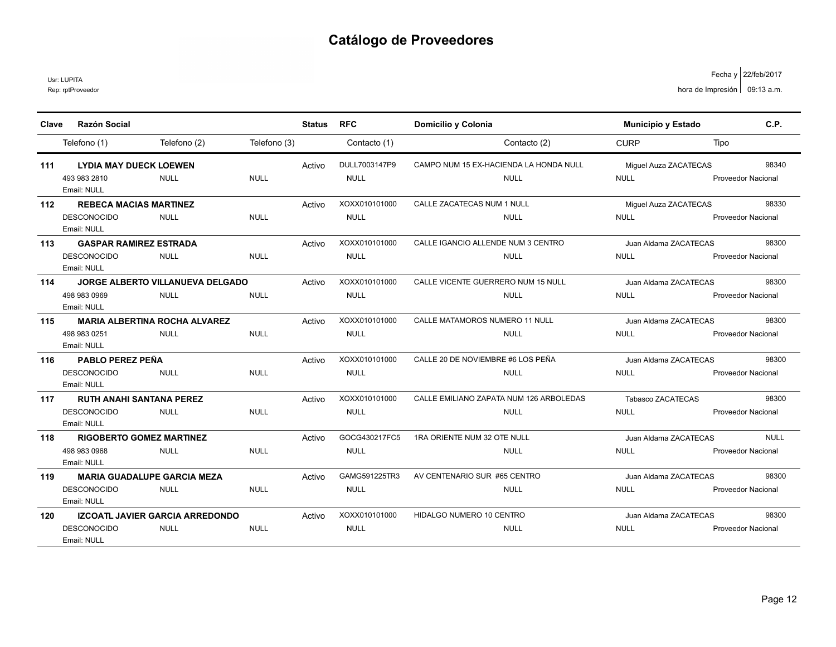Usr: LUPITA

| Clave | <b>Razón Social</b>                    |                                         |              | <b>Status</b> | <b>RFC</b>    | Domicilio y Colonia                     | <b>Municipio y Estado</b> | C.P.                      |
|-------|----------------------------------------|-----------------------------------------|--------------|---------------|---------------|-----------------------------------------|---------------------------|---------------------------|
|       | Telefono (1)                           | Telefono (2)                            | Telefono (3) |               | Contacto (1)  | Contacto (2)                            | <b>CURP</b>               | Tipo                      |
| 111   | <b>LYDIA MAY DUECK LOEWEN</b>          |                                         |              | Activo        | DULL7003147P9 | CAMPO NUM 15 EX-HACIENDA LA HONDA NULL  | Miquel Auza ZACATECAS     | 98340                     |
|       | 493 983 2810<br>Email: NULL            | <b>NULL</b>                             | <b>NULL</b>  |               | <b>NULL</b>   | <b>NULL</b>                             | <b>NULL</b>               | Proveedor Nacional        |
| 112   | <b>REBECA MACIAS MARTINEZ</b>          |                                         |              | Activo        | XOXX010101000 | CALLE ZACATECAS NUM 1 NULL              | Miguel Auza ZACATECAS     | 98330                     |
|       | <b>DESCONOCIDO</b><br>Email: NULL      | <b>NULL</b>                             | <b>NULL</b>  |               | <b>NULL</b>   | <b>NULL</b>                             | <b>NULL</b>               | <b>Proveedor Nacional</b> |
| 113   | <b>GASPAR RAMIREZ ESTRADA</b>          |                                         |              | Activo        | XOXX010101000 | CALLE IGANCIO ALLENDE NUM 3 CENTRO      | Juan Aldama ZACATECAS     | 98300                     |
|       | <b>DESCONOCIDO</b><br>Email: NULL      | <b>NULL</b>                             | <b>NULL</b>  |               | <b>NULL</b>   | <b>NULL</b>                             | <b>NULL</b>               | <b>Proveedor Nacional</b> |
| 114   |                                        | <b>JORGE ALBERTO VILLANUEVA DELGADO</b> |              | Activo        | XOXX010101000 | CALLE VICENTE GUERRERO NUM 15 NULL      | Juan Aldama ZACATECAS     | 98300                     |
|       | 498 983 0969<br>Email: NULL            | <b>NULL</b>                             | <b>NULL</b>  |               | <b>NULL</b>   | <b>NULL</b>                             | <b>NULL</b>               | <b>Proveedor Nacional</b> |
| 115   | <b>MARIA ALBERTINA ROCHA ALVAREZ</b>   |                                         |              | Activo        | XOXX010101000 | CALLE MATAMOROS NUMERO 11 NULL          | Juan Aldama ZACATECAS     | 98300                     |
|       | 498 983 0251<br>Email: NULL            | <b>NULL</b>                             | <b>NULL</b>  |               | <b>NULL</b>   | <b>NULL</b>                             | <b>NULL</b>               | <b>Proveedor Nacional</b> |
| 116   | <b>PABLO PEREZ PEÑA</b>                |                                         |              | Activo        | XOXX010101000 | CALLE 20 DE NOVIEMBRE #6 LOS PEÑA       | Juan Aldama ZACATECAS     | 98300                     |
|       | <b>DESCONOCIDO</b><br>Email: NULL      | <b>NULL</b>                             | <b>NULL</b>  |               | <b>NULL</b>   | <b>NULL</b>                             | <b>NULL</b>               | <b>Proveedor Nacional</b> |
| 117   | <b>RUTH ANAHI SANTANA PEREZ</b>        |                                         |              | Activo        | XOXX010101000 | CALLE EMILIANO ZAPATA NUM 126 ARBOLEDAS | <b>Tabasco ZACATECAS</b>  | 98300                     |
|       | <b>DESCONOCIDO</b><br>Email: NULL      | <b>NULL</b>                             | <b>NULL</b>  |               | <b>NULL</b>   | <b>NULL</b>                             | <b>NULL</b>               | <b>Proveedor Nacional</b> |
| 118   | <b>RIGOBERTO GOMEZ MARTINEZ</b>        |                                         |              | Activo        | GOCG430217FC5 | 1RA ORIENTE NUM 32 OTE NULL             | Juan Aldama ZACATECAS     | <b>NULL</b>               |
|       | 498 983 0968<br>Email: NULL            | <b>NULL</b>                             | <b>NULL</b>  |               | <b>NULL</b>   | <b>NULL</b>                             | <b>NULL</b>               | <b>Proveedor Nacional</b> |
| 119   | <b>MARIA GUADALUPE GARCIA MEZA</b>     |                                         |              | Activo        | GAMG591225TR3 | AV CENTENARIO SUR #65 CENTRO            | Juan Aldama ZACATECAS     | 98300                     |
|       | <b>DESCONOCIDO</b><br>Email: NULL      | <b>NULL</b>                             | <b>NULL</b>  |               | <b>NULL</b>   | <b>NULL</b>                             | <b>NULL</b>               | <b>Proveedor Nacional</b> |
| 120   | <b>IZCOATL JAVIER GARCIA ARREDONDO</b> |                                         |              | Activo        | XOXX010101000 | HIDALGO NUMERO 10 CENTRO                | Juan Aldama ZACATECAS     | 98300                     |
|       | <b>DESCONOCIDO</b><br>Email: NULL      | <b>NULL</b>                             | <b>NULL</b>  |               | <b>NULL</b>   | <b>NULL</b>                             | <b>NULL</b>               | <b>Proveedor Nacional</b> |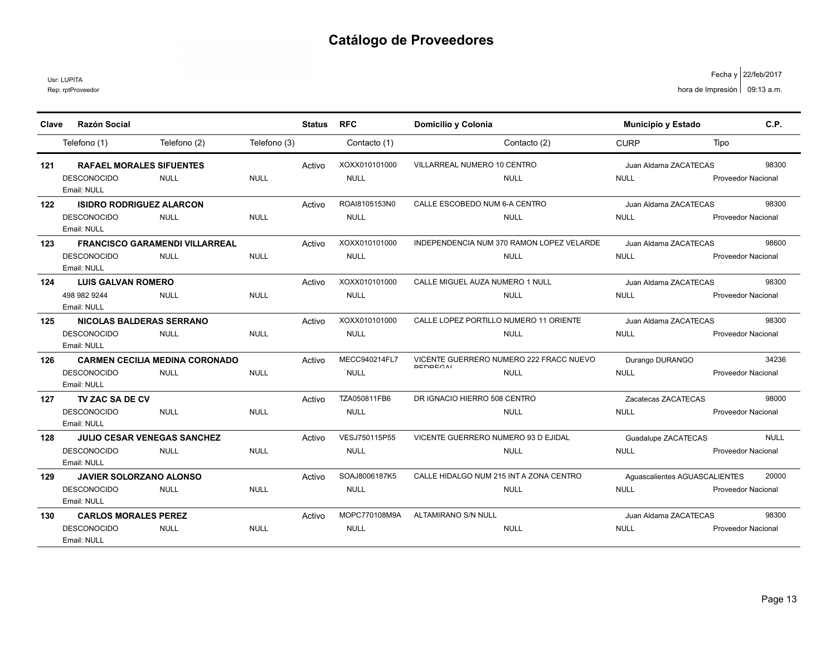Usr: LUPITA

| Clave | Razón Social                                                                              |              | <b>Status</b> | <b>RFC</b>                   | Domicilio y Colonia                                                       | <b>Municipio y Estado</b>                    | C.P.                                     |
|-------|-------------------------------------------------------------------------------------------|--------------|---------------|------------------------------|---------------------------------------------------------------------------|----------------------------------------------|------------------------------------------|
|       | Telefono (2)<br>Telefono (1)                                                              | Telefono (3) |               | Contacto (1)                 | Contacto (2)                                                              | <b>CURP</b>                                  | Tipo                                     |
| 121   | <b>RAFAEL MORALES SIFUENTES</b><br><b>DESCONOCIDO</b><br><b>NULL</b><br>Email: NULL       | <b>NULL</b>  | Activo        | XOXX010101000<br><b>NULL</b> | VILLARREAL NUMERO 10 CENTRO<br><b>NULL</b>                                | Juan Aldama ZACATECAS<br><b>NULL</b>         | 98300<br><b>Proveedor Nacional</b>       |
| 122   | <b>ISIDRO RODRIGUEZ ALARCON</b><br><b>DESCONOCIDO</b><br><b>NULL</b><br>Email: NULL       | <b>NULL</b>  | Activo        | ROAI8105153N0<br><b>NULL</b> | CALLE ESCOBEDO NUM 6-A CENTRO<br><b>NULL</b>                              | Juan Aldama ZACATECAS<br><b>NULL</b>         | 98300<br><b>Proveedor Nacional</b>       |
| 123   | <b>FRANCISCO GARAMENDI VILLARREAL</b><br><b>DESCONOCIDO</b><br><b>NULL</b><br>Email: NULL | <b>NULL</b>  | Activo        | XOXX010101000<br><b>NULL</b> | INDEPENDENCIA NUM 370 RAMON LOPEZ VELARDE<br><b>NULL</b>                  | Juan Aldama ZACATECAS<br><b>NULL</b>         | 98600<br><b>Proveedor Nacional</b>       |
| 124   | <b>LUIS GALVAN ROMERO</b><br>498 982 9244<br><b>NULL</b><br>Email: NULL                   | <b>NULL</b>  | Activo        | XOXX010101000<br><b>NULL</b> | CALLE MIGUEL AUZA NUMERO 1 NULL<br><b>NULL</b>                            | Juan Aldama ZACATECAS<br><b>NULL</b>         | 98300<br><b>Proveedor Nacional</b>       |
| 125   | NICOLAS BALDERAS SERRANO<br><b>DESCONOCIDO</b><br><b>NULL</b><br>Email: NULL              | <b>NULL</b>  | Activo        | XOXX010101000<br><b>NULL</b> | CALLE LOPEZ PORTILLO NUMERO 11 ORIENTE<br><b>NULL</b>                     | Juan Aldama ZACATECAS<br><b>NULL</b>         | 98300<br><b>Proveedor Nacional</b>       |
| 126   | <b>CARMEN CECILIA MEDINA CORONADO</b><br><b>DESCONOCIDO</b><br><b>NULL</b><br>Email: NULL | <b>NULL</b>  | Activo        | MECC940214FL7<br><b>NULL</b> | VICENTE GUERRERO NUMERO 222 FRACC NUEVO<br><b>DEDDECAL</b><br><b>NULL</b> | Durango DURANGO<br><b>NULL</b>               | 34236<br><b>Proveedor Nacional</b>       |
| 127   | TV ZAC SA DE CV<br><b>DESCONOCIDO</b><br><b>NULL</b><br>Email: NULL                       | <b>NULL</b>  | Activo        | TZA050811FB6<br><b>NULL</b>  | DR IGNACIO HIERRO 508 CENTRO<br><b>NULL</b>                               | Zacatecas ZACATECAS<br><b>NULL</b>           | 98000<br><b>Proveedor Nacional</b>       |
| 128   | JULIO CESAR VENEGAS SANCHEZ<br><b>DESCONOCIDO</b><br><b>NULL</b><br>Email: NULL           | <b>NULL</b>  | Activo        | VESJ750115P55<br><b>NULL</b> | VICENTE GUERRERO NUMERO 93 D EJIDAL<br><b>NULL</b>                        | Guadalupe ZACATECAS<br><b>NULL</b>           | <b>NULL</b><br><b>Proveedor Nacional</b> |
| 129   | <b>JAVIER SOLORZANO ALONSO</b><br><b>DESCONOCIDO</b><br><b>NULL</b><br>Email: NULL        | <b>NULL</b>  | Activo        | SOAJ8006187K5<br><b>NULL</b> | CALLE HIDALGO NUM 215 INT A ZONA CENTRO<br><b>NULL</b>                    | Aquascalientes AGUASCALIENTES<br><b>NULL</b> | 20000<br><b>Proveedor Nacional</b>       |
| 130   | <b>CARLOS MORALES PEREZ</b><br><b>DESCONOCIDO</b><br><b>NULL</b><br>Email: NULL           | <b>NULL</b>  | Activo        | MOPC770108M9A<br><b>NULL</b> | ALTAMIRANO S/N NULL<br><b>NULL</b>                                        | Juan Aldama ZACATECAS<br><b>NULL</b>         | 98300<br><b>Proveedor Nacional</b>       |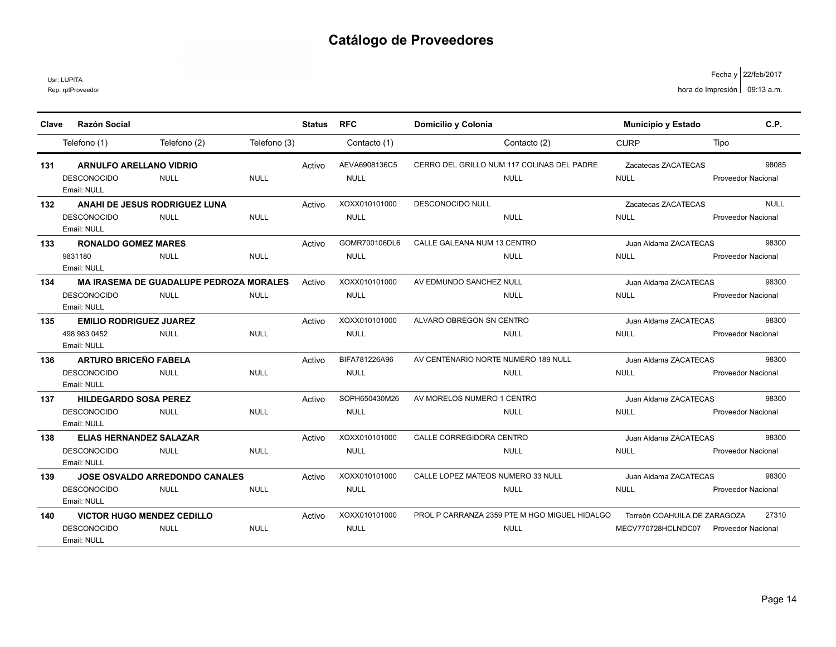Usr: LUPITA

| Clave | <b>Razón Social</b>                                                    |                                                               |              | Status | <b>RFC</b>                   | Domicilio y Colonia                                          | <b>Municipio y Estado</b>                          | C.P.                                     |
|-------|------------------------------------------------------------------------|---------------------------------------------------------------|--------------|--------|------------------------------|--------------------------------------------------------------|----------------------------------------------------|------------------------------------------|
|       | Telefono (1)                                                           | Telefono (2)                                                  | Telefono (3) |        | Contacto (1)                 | Contacto (2)                                                 | <b>CURP</b>                                        | Tipo                                     |
| 131   | <b>ARNULFO ARELLANO VIDRIO</b><br><b>DESCONOCIDO</b><br>Email: NULL    | <b>NULL</b>                                                   | <b>NULL</b>  | Activo | AEVA6908136C5<br><b>NULL</b> | CERRO DEL GRILLO NUM 117 COLINAS DEL PADRE<br><b>NULL</b>    | Zacatecas ZACATECAS<br><b>NULL</b>                 | 98085<br><b>Proveedor Nacional</b>       |
| 132   | <b>DESCONOCIDO</b><br>Email: NULL                                      | ANAHI DE JESUS RODRIGUEZ LUNA<br><b>NULL</b>                  | <b>NULL</b>  | Activo | XOXX010101000<br><b>NULL</b> | <b>DESCONOCIDO NULL</b><br><b>NULL</b>                       | Zacatecas ZACATECAS<br><b>NULL</b>                 | <b>NULL</b><br><b>Proveedor Nacional</b> |
| 133   | <b>RONALDO GOMEZ MARES</b><br>9831180<br>Email: NULL                   | <b>NULL</b>                                                   | <b>NULL</b>  | Activo | GOMR700106DL6<br><b>NULL</b> | CALLE GALEANA NUM 13 CENTRO<br><b>NULL</b>                   | Juan Aldama ZACATECAS<br><b>NULL</b>               | 98300<br>Proveedor Nacional              |
| 134   | <b>DESCONOCIDO</b><br>Email: NULL                                      | <b>MA IRASEMA DE GUADALUPE PEDROZA MORALES</b><br><b>NULL</b> | <b>NULL</b>  | Activo | XOXX010101000<br><b>NULL</b> | AV EDMUNDO SANCHEZ NULL<br><b>NULL</b>                       | Juan Aldama ZACATECAS<br><b>NULL</b>               | 98300<br><b>Proveedor Nacional</b>       |
| 135   | <b>EMILIO RODRIGUEZ JUAREZ</b><br>498 983 0452<br>Email: NULL          | <b>NULL</b>                                                   | <b>NULL</b>  | Activo | XOXX010101000<br><b>NULL</b> | ALVARO OBREGON SN CENTRO<br><b>NULL</b>                      | Juan Aldama ZACATECAS<br><b>NULL</b>               | 98300<br><b>Proveedor Nacional</b>       |
| 136   | <b>ARTURO BRICEÑO FABELA</b><br><b>DESCONOCIDO</b><br>Email: NULL      | <b>NULL</b>                                                   | <b>NULL</b>  | Activo | BIFA781226A96<br><b>NULL</b> | AV CENTENARIO NORTE NUMERO 189 NULL<br><b>NULL</b>           | Juan Aldama ZACATECAS<br><b>NULL</b>               | 98300<br>Proveedor Nacional              |
| 137   | <b>HILDEGARDO SOSA PEREZ</b><br><b>DESCONOCIDO</b><br>Email: NULL      | <b>NULL</b>                                                   | <b>NULL</b>  | Activo | SOPH650430M26<br><b>NULL</b> | AV MORELOS NUMERO 1 CENTRO<br><b>NULL</b>                    | Juan Aldama ZACATECAS<br><b>NULL</b>               | 98300<br><b>Proveedor Nacional</b>       |
| 138   | <b>ELIAS HERNANDEZ SALAZAR</b><br><b>DESCONOCIDO</b><br>Email: NULL    | <b>NULL</b>                                                   | <b>NULL</b>  | Activo | XOXX010101000<br><b>NULL</b> | CALLE CORREGIDORA CENTRO<br><b>NULL</b>                      | Juan Aldama ZACATECAS<br><b>NULL</b>               | 98300<br><b>Proveedor Nacional</b>       |
| 139   | <b>DESCONOCIDO</b><br>Email: NULL                                      | <b>JOSE OSVALDO ARREDONDO CANALES</b><br><b>NULL</b>          | <b>NULL</b>  | Activo | XOXX010101000<br><b>NULL</b> | CALLE LOPEZ MATEOS NUMERO 33 NULL<br><b>NULL</b>             | Juan Aldama ZACATECAS<br><b>NULL</b>               | 98300<br>Proveedor Nacional              |
| 140   | <b>VICTOR HUGO MENDEZ CEDILLO</b><br><b>DESCONOCIDO</b><br>Email: NULL | <b>NULL</b>                                                   | <b>NULL</b>  | Activo | XOXX010101000<br><b>NULL</b> | PROL P CARRANZA 2359 PTE M HGO MIGUEL HIDALGO<br><b>NULL</b> | Torreón COAHUILA DE ZARAGOZA<br>MECV770728HCLNDC07 | 27310<br><b>Proveedor Nacional</b>       |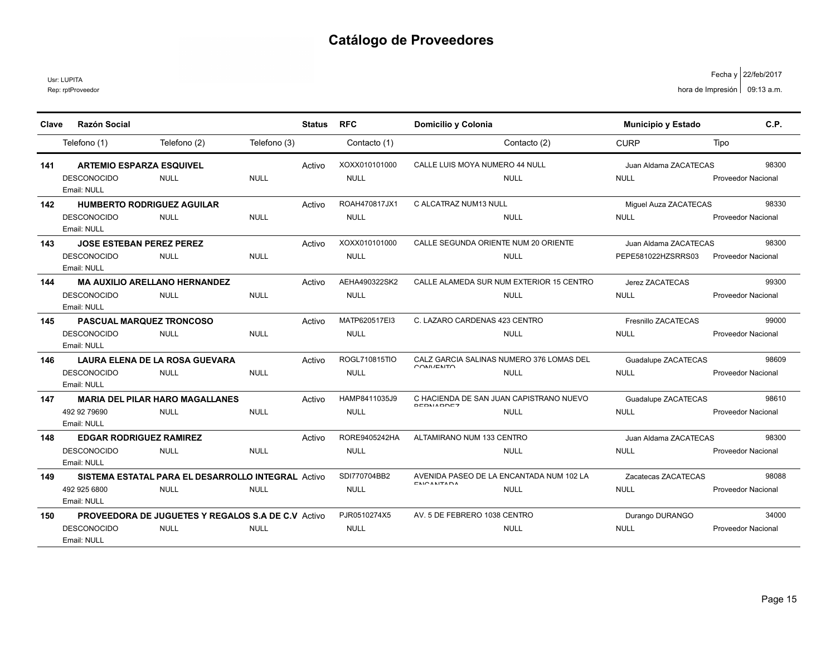Usr: LUPITA

| Clave | <b>Razón Social</b>                                       |              | <b>Status</b> | <b>RFC</b>    | Domicilio y Colonia                                           | <b>Municipio y Estado</b> | C.P.                      |
|-------|-----------------------------------------------------------|--------------|---------------|---------------|---------------------------------------------------------------|---------------------------|---------------------------|
|       |                                                           |              |               |               |                                                               |                           |                           |
|       | Telefono (2)<br>Telefono (1)                              | Telefono (3) |               | Contacto (1)  | Contacto (2)                                                  | <b>CURP</b>               | Tipo                      |
| 141   | <b>ARTEMIO ESPARZA ESQUIVEL</b>                           |              | Activo        | XOXX010101000 | CALLE LUIS MOYA NUMERO 44 NULL                                | Juan Aldama ZACATECAS     | 98300                     |
|       | <b>DESCONOCIDO</b><br><b>NULL</b>                         | <b>NULL</b>  |               | <b>NULL</b>   | <b>NULL</b>                                                   | <b>NULL</b>               | Proveedor Nacional        |
|       | Email: NULL                                               |              |               |               |                                                               |                           |                           |
| 142   | <b>HUMBERTO RODRIGUEZ AGUILAR</b>                         |              | Activo        | ROAH470817JX1 | C ALCATRAZ NUM13 NULL                                         | Miquel Auza ZACATECAS     | 98330                     |
|       | <b>DESCONOCIDO</b><br><b>NULL</b>                         | <b>NULL</b>  |               | <b>NULL</b>   | <b>NULL</b>                                                   | <b>NULL</b>               | Proveedor Nacional        |
|       | Email: NULL                                               |              |               |               |                                                               |                           |                           |
| 143   | <b>JOSE ESTEBAN PEREZ PEREZ</b>                           |              | Activo        | XOXX010101000 | CALLE SEGUNDA ORIENTE NUM 20 ORIENTE                          | Juan Aldama ZACATECAS     | 98300                     |
|       | <b>DESCONOCIDO</b><br><b>NULL</b>                         | <b>NULL</b>  |               | <b>NULL</b>   | <b>NULL</b>                                                   | PEPE581022HZSRRS03        | Proveedor Nacional        |
|       | Email: NULL                                               |              |               |               |                                                               |                           |                           |
| 144   | <b>MA AUXILIO ARELLANO HERNANDEZ</b>                      |              | Activo        | AEHA490322SK2 | CALLE ALAMEDA SUR NUM EXTERIOR 15 CENTRO                      | Jerez ZACATECAS           | 99300                     |
|       | <b>DESCONOCIDO</b><br><b>NULL</b>                         | <b>NULL</b>  |               | <b>NULL</b>   | <b>NULL</b>                                                   | <b>NULL</b>               | <b>Proveedor Nacional</b> |
|       | Email: NULL                                               |              |               |               |                                                               |                           |                           |
| 145   | <b>PASCUAL MARQUEZ TRONCOSO</b>                           |              | Activo        | MATP620517EI3 | C. LAZARO CARDENAS 423 CENTRO                                 | Fresnillo ZACATECAS       | 99000                     |
|       | <b>DESCONOCIDO</b><br><b>NULL</b>                         | <b>NULL</b>  |               | <b>NULL</b>   | <b>NULL</b>                                                   | <b>NULL</b>               | <b>Proveedor Nacional</b> |
|       | Email: NULL                                               |              |               |               |                                                               |                           |                           |
| 146   | LAURA ELENA DE LA ROSA GUEVARA                            |              | Activo        | ROGL710815TIO | CALZ GARCIA SALINAS NUMERO 376 LOMAS DEL<br>OMINITINTO        | Guadalupe ZACATECAS       | 98609                     |
|       | <b>DESCONOCIDO</b><br><b>NULL</b>                         | <b>NULL</b>  |               | <b>NULL</b>   | <b>NULL</b>                                                   | <b>NULL</b>               | <b>Proveedor Nacional</b> |
|       | Email: NULL                                               |              |               |               |                                                               |                           |                           |
| 147   | <b>MARIA DEL PILAR HARO MAGALLANES</b>                    |              | Activo        | HAMP8411035J9 | C HACIENDA DE SAN JUAN CAPISTRANO NUEVO<br><b>DEDMADDEZ</b>   | Guadalupe ZACATECAS       | 98610                     |
|       | 492 92 79690<br><b>NULL</b>                               | <b>NULL</b>  |               | <b>NULL</b>   | <b>NULL</b>                                                   | <b>NULL</b>               | Proveedor Nacional        |
|       | Email: NULL                                               |              |               |               |                                                               |                           |                           |
| 148   | <b>EDGAR RODRIGUEZ RAMIREZ</b>                            |              | Activo        | RORE9405242HA | ALTAMIRANO NUM 133 CENTRO                                     | Juan Aldama ZACATECAS     | 98300                     |
|       | <b>DESCONOCIDO</b><br><b>NULL</b>                         | <b>NULL</b>  |               | <b>NULL</b>   | <b>NULL</b>                                                   | <b>NULL</b>               | <b>Proveedor Nacional</b> |
|       | Email: NULL                                               |              |               |               |                                                               |                           |                           |
| 149   | SISTEMA ESTATAL PARA EL DESARROLLO INTEGRAL Activo        |              |               | SDI770704BB2  | AVENIDA PASEO DE LA ENCANTADA NUM 102 LA<br><b>FMOANITADA</b> | Zacatecas ZACATECAS       | 98088                     |
|       | 492 925 6800<br><b>NULL</b>                               | <b>NULL</b>  |               | <b>NULL</b>   | <b>NULL</b>                                                   | <b>NULL</b>               | Proveedor Nacional        |
|       | Email: NULL                                               |              |               |               |                                                               |                           |                           |
| 150   | <b>PROVEEDORA DE JUGUETES Y REGALOS S.A DE C.V Activo</b> |              |               | PJR0510274X5  | AV. 5 DE FEBRERO 1038 CENTRO                                  | Durango DURANGO           | 34000                     |
|       | <b>DESCONOCIDO</b><br><b>NULL</b>                         | <b>NULL</b>  |               | <b>NULL</b>   | <b>NULL</b>                                                   | <b>NULL</b>               | Proveedor Nacional        |
|       | Email: NULL                                               |              |               |               |                                                               |                           |                           |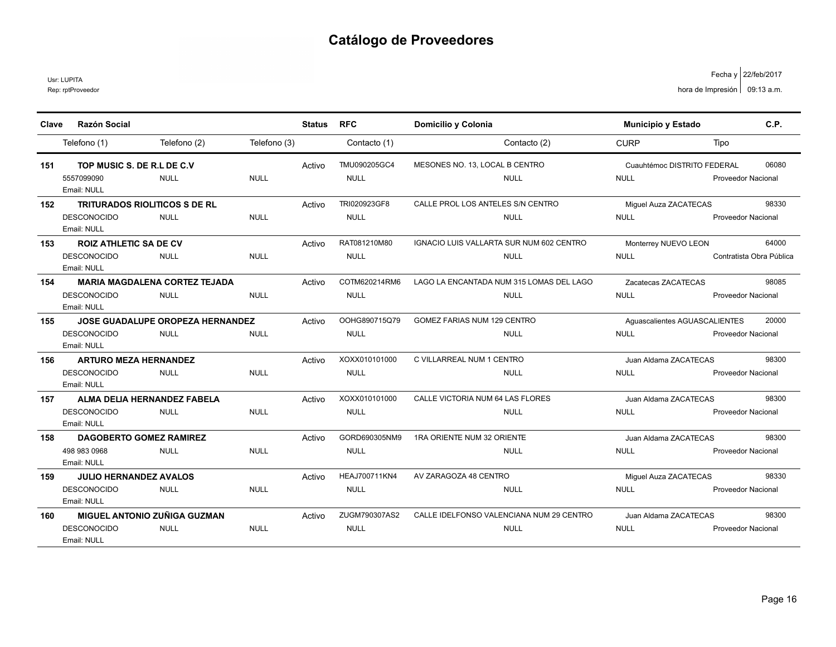Usr: LUPITA

Rep: rptProveedor

| <b>CURP</b><br>Telefono (1)<br>Telefono (2)<br>Telefono (3)<br>Contacto (1)<br>Contacto (2)<br>Tipo<br>TMU090205GC4<br>TOP MUSIC S. DE R.L DE C.V.<br>MESONES NO. 13. LOCAL B CENTRO<br>06080<br>Cuauhtémoc DISTRITO FEDERAL<br>151<br>Activo<br>5557099090<br><b>NULL</b><br><b>NULL</b><br><b>NULL</b><br><b>NULL</b><br><b>NULL</b><br><b>Proveedor Nacional</b><br>Email: NULL<br>TRI020923GF8<br>CALLE PROL LOS ANTELES S/N CENTRO<br>98330<br><b>TRITURADOS RIOLITICOS S DE RL</b><br>Activo<br>Miguel Auza ZACATECAS<br>152<br><b>NULL</b><br><b>NULL</b><br><b>DESCONOCIDO</b><br><b>NULL</b><br><b>NULL</b><br><b>NULL</b><br><b>Proveedor Nacional</b><br>Email: NULL<br>RAT081210M80<br>IGNACIO LUIS VALLARTA SUR NUM 602 CENTRO<br>64000<br><b>ROIZ ATHLETIC SA DE CV</b><br>153<br>Activo<br>Monterrey NUEVO LEON<br><b>NULL</b><br><b>DESCONOCIDO</b><br><b>NULL</b><br><b>NULL</b><br><b>NULL</b><br><b>NULL</b><br>Contratista Obra Pública<br>Email: NULL<br>COTM620214RM6<br><b>MARIA MAGDALENA CORTEZ TEJADA</b><br>LAGO LA ENCANTADA NUM 315 LOMAS DEL LAGO<br>98085<br>Activo<br>154<br>Zacatecas ZACATECAS<br><b>NULL</b><br><b>NULL</b><br><b>NULL</b><br><b>DESCONOCIDO</b><br><b>NULL</b><br><b>NULL</b><br><b>Proveedor Nacional</b><br>Email: NULL<br>OOHG890715Q79<br><b>JOSE GUADALUPE OROPEZA HERNANDEZ</b><br>GOMEZ FARIAS NUM 129 CENTRO<br>Aguascalientes AGUASCALIENTES<br>20000<br>155<br>Activo<br><b>DESCONOCIDO</b><br><b>NULL</b><br><b>NULL</b><br><b>NULL</b><br>NULL<br>NULL<br><b>Proveedor Nacional</b><br>Email: NULL<br>XOXX010101000<br>C VILLARREAL NUM 1 CENTRO<br>98300<br><b>ARTURO MEZA HERNANDEZ</b><br>Activo<br>156<br>Juan Aldama ZACATECAS<br><b>DESCONOCIDO</b><br><b>NULL</b><br><b>NULL</b><br><b>NULL</b><br><b>NULL</b><br><b>NULL</b><br>Proveedor Nacional<br>Email: NULL<br>XOXX010101000<br>ALMA DELIA HERNANDEZ FABELA<br>CALLE VICTORIA NUM 64 LAS FLORES<br>98300<br>Activo<br>Juan Aldama ZACATECAS<br>157<br><b>NULL</b><br><b>DESCONOCIDO</b><br><b>NULL</b><br><b>NULL</b><br><b>NULL</b><br><b>NULL</b><br><b>Proveedor Nacional</b><br>Email: NULL<br>GORD690305NM9<br>1RA ORIENTE NUM 32 ORIENTE<br><b>DAGOBERTO GOMEZ RAMIREZ</b><br>98300<br>158<br>Activo<br>Juan Aldama ZACATECAS | Clave | <b>Razón Social</b> |             |             | <b>Status</b> | <b>RFC</b>  | Domicilio y Colonia | <b>Municipio y Estado</b> | C.P. |
|-------------------------------------------------------------------------------------------------------------------------------------------------------------------------------------------------------------------------------------------------------------------------------------------------------------------------------------------------------------------------------------------------------------------------------------------------------------------------------------------------------------------------------------------------------------------------------------------------------------------------------------------------------------------------------------------------------------------------------------------------------------------------------------------------------------------------------------------------------------------------------------------------------------------------------------------------------------------------------------------------------------------------------------------------------------------------------------------------------------------------------------------------------------------------------------------------------------------------------------------------------------------------------------------------------------------------------------------------------------------------------------------------------------------------------------------------------------------------------------------------------------------------------------------------------------------------------------------------------------------------------------------------------------------------------------------------------------------------------------------------------------------------------------------------------------------------------------------------------------------------------------------------------------------------------------------------------------------------------------------------------------------------------------------------------------------------------------------------------------------------------------------------------------------------------------------------------------------------------------------------------------------|-------|---------------------|-------------|-------------|---------------|-------------|---------------------|---------------------------|------|
|                                                                                                                                                                                                                                                                                                                                                                                                                                                                                                                                                                                                                                                                                                                                                                                                                                                                                                                                                                                                                                                                                                                                                                                                                                                                                                                                                                                                                                                                                                                                                                                                                                                                                                                                                                                                                                                                                                                                                                                                                                                                                                                                                                                                                                                                   |       |                     |             |             |               |             |                     |                           |      |
|                                                                                                                                                                                                                                                                                                                                                                                                                                                                                                                                                                                                                                                                                                                                                                                                                                                                                                                                                                                                                                                                                                                                                                                                                                                                                                                                                                                                                                                                                                                                                                                                                                                                                                                                                                                                                                                                                                                                                                                                                                                                                                                                                                                                                                                                   |       |                     |             |             |               |             |                     |                           |      |
|                                                                                                                                                                                                                                                                                                                                                                                                                                                                                                                                                                                                                                                                                                                                                                                                                                                                                                                                                                                                                                                                                                                                                                                                                                                                                                                                                                                                                                                                                                                                                                                                                                                                                                                                                                                                                                                                                                                                                                                                                                                                                                                                                                                                                                                                   |       |                     |             |             |               |             |                     |                           |      |
|                                                                                                                                                                                                                                                                                                                                                                                                                                                                                                                                                                                                                                                                                                                                                                                                                                                                                                                                                                                                                                                                                                                                                                                                                                                                                                                                                                                                                                                                                                                                                                                                                                                                                                                                                                                                                                                                                                                                                                                                                                                                                                                                                                                                                                                                   |       |                     |             |             |               |             |                     |                           |      |
|                                                                                                                                                                                                                                                                                                                                                                                                                                                                                                                                                                                                                                                                                                                                                                                                                                                                                                                                                                                                                                                                                                                                                                                                                                                                                                                                                                                                                                                                                                                                                                                                                                                                                                                                                                                                                                                                                                                                                                                                                                                                                                                                                                                                                                                                   |       |                     |             |             |               |             |                     |                           |      |
|                                                                                                                                                                                                                                                                                                                                                                                                                                                                                                                                                                                                                                                                                                                                                                                                                                                                                                                                                                                                                                                                                                                                                                                                                                                                                                                                                                                                                                                                                                                                                                                                                                                                                                                                                                                                                                                                                                                                                                                                                                                                                                                                                                                                                                                                   |       |                     |             |             |               |             |                     |                           |      |
|                                                                                                                                                                                                                                                                                                                                                                                                                                                                                                                                                                                                                                                                                                                                                                                                                                                                                                                                                                                                                                                                                                                                                                                                                                                                                                                                                                                                                                                                                                                                                                                                                                                                                                                                                                                                                                                                                                                                                                                                                                                                                                                                                                                                                                                                   |       |                     |             |             |               |             |                     |                           |      |
|                                                                                                                                                                                                                                                                                                                                                                                                                                                                                                                                                                                                                                                                                                                                                                                                                                                                                                                                                                                                                                                                                                                                                                                                                                                                                                                                                                                                                                                                                                                                                                                                                                                                                                                                                                                                                                                                                                                                                                                                                                                                                                                                                                                                                                                                   |       |                     |             |             |               |             |                     |                           |      |
|                                                                                                                                                                                                                                                                                                                                                                                                                                                                                                                                                                                                                                                                                                                                                                                                                                                                                                                                                                                                                                                                                                                                                                                                                                                                                                                                                                                                                                                                                                                                                                                                                                                                                                                                                                                                                                                                                                                                                                                                                                                                                                                                                                                                                                                                   |       |                     |             |             |               |             |                     |                           |      |
|                                                                                                                                                                                                                                                                                                                                                                                                                                                                                                                                                                                                                                                                                                                                                                                                                                                                                                                                                                                                                                                                                                                                                                                                                                                                                                                                                                                                                                                                                                                                                                                                                                                                                                                                                                                                                                                                                                                                                                                                                                                                                                                                                                                                                                                                   |       |                     |             |             |               |             |                     |                           |      |
|                                                                                                                                                                                                                                                                                                                                                                                                                                                                                                                                                                                                                                                                                                                                                                                                                                                                                                                                                                                                                                                                                                                                                                                                                                                                                                                                                                                                                                                                                                                                                                                                                                                                                                                                                                                                                                                                                                                                                                                                                                                                                                                                                                                                                                                                   |       |                     |             |             |               |             |                     |                           |      |
|                                                                                                                                                                                                                                                                                                                                                                                                                                                                                                                                                                                                                                                                                                                                                                                                                                                                                                                                                                                                                                                                                                                                                                                                                                                                                                                                                                                                                                                                                                                                                                                                                                                                                                                                                                                                                                                                                                                                                                                                                                                                                                                                                                                                                                                                   |       |                     |             |             |               |             |                     |                           |      |
|                                                                                                                                                                                                                                                                                                                                                                                                                                                                                                                                                                                                                                                                                                                                                                                                                                                                                                                                                                                                                                                                                                                                                                                                                                                                                                                                                                                                                                                                                                                                                                                                                                                                                                                                                                                                                                                                                                                                                                                                                                                                                                                                                                                                                                                                   |       |                     |             |             |               |             |                     |                           |      |
|                                                                                                                                                                                                                                                                                                                                                                                                                                                                                                                                                                                                                                                                                                                                                                                                                                                                                                                                                                                                                                                                                                                                                                                                                                                                                                                                                                                                                                                                                                                                                                                                                                                                                                                                                                                                                                                                                                                                                                                                                                                                                                                                                                                                                                                                   |       |                     |             |             |               |             |                     |                           |      |
|                                                                                                                                                                                                                                                                                                                                                                                                                                                                                                                                                                                                                                                                                                                                                                                                                                                                                                                                                                                                                                                                                                                                                                                                                                                                                                                                                                                                                                                                                                                                                                                                                                                                                                                                                                                                                                                                                                                                                                                                                                                                                                                                                                                                                                                                   |       |                     |             |             |               |             |                     |                           |      |
|                                                                                                                                                                                                                                                                                                                                                                                                                                                                                                                                                                                                                                                                                                                                                                                                                                                                                                                                                                                                                                                                                                                                                                                                                                                                                                                                                                                                                                                                                                                                                                                                                                                                                                                                                                                                                                                                                                                                                                                                                                                                                                                                                                                                                                                                   |       |                     |             |             |               |             |                     |                           |      |
|                                                                                                                                                                                                                                                                                                                                                                                                                                                                                                                                                                                                                                                                                                                                                                                                                                                                                                                                                                                                                                                                                                                                                                                                                                                                                                                                                                                                                                                                                                                                                                                                                                                                                                                                                                                                                                                                                                                                                                                                                                                                                                                                                                                                                                                                   |       |                     |             |             |               |             |                     |                           |      |
|                                                                                                                                                                                                                                                                                                                                                                                                                                                                                                                                                                                                                                                                                                                                                                                                                                                                                                                                                                                                                                                                                                                                                                                                                                                                                                                                                                                                                                                                                                                                                                                                                                                                                                                                                                                                                                                                                                                                                                                                                                                                                                                                                                                                                                                                   |       |                     |             |             |               |             |                     |                           |      |
|                                                                                                                                                                                                                                                                                                                                                                                                                                                                                                                                                                                                                                                                                                                                                                                                                                                                                                                                                                                                                                                                                                                                                                                                                                                                                                                                                                                                                                                                                                                                                                                                                                                                                                                                                                                                                                                                                                                                                                                                                                                                                                                                                                                                                                                                   |       |                     |             |             |               |             |                     |                           |      |
|                                                                                                                                                                                                                                                                                                                                                                                                                                                                                                                                                                                                                                                                                                                                                                                                                                                                                                                                                                                                                                                                                                                                                                                                                                                                                                                                                                                                                                                                                                                                                                                                                                                                                                                                                                                                                                                                                                                                                                                                                                                                                                                                                                                                                                                                   |       |                     |             |             |               |             |                     |                           |      |
|                                                                                                                                                                                                                                                                                                                                                                                                                                                                                                                                                                                                                                                                                                                                                                                                                                                                                                                                                                                                                                                                                                                                                                                                                                                                                                                                                                                                                                                                                                                                                                                                                                                                                                                                                                                                                                                                                                                                                                                                                                                                                                                                                                                                                                                                   |       |                     |             |             |               |             |                     |                           |      |
|                                                                                                                                                                                                                                                                                                                                                                                                                                                                                                                                                                                                                                                                                                                                                                                                                                                                                                                                                                                                                                                                                                                                                                                                                                                                                                                                                                                                                                                                                                                                                                                                                                                                                                                                                                                                                                                                                                                                                                                                                                                                                                                                                                                                                                                                   |       |                     |             |             |               |             |                     |                           |      |
|                                                                                                                                                                                                                                                                                                                                                                                                                                                                                                                                                                                                                                                                                                                                                                                                                                                                                                                                                                                                                                                                                                                                                                                                                                                                                                                                                                                                                                                                                                                                                                                                                                                                                                                                                                                                                                                                                                                                                                                                                                                                                                                                                                                                                                                                   |       |                     |             |             |               |             |                     |                           |      |
|                                                                                                                                                                                                                                                                                                                                                                                                                                                                                                                                                                                                                                                                                                                                                                                                                                                                                                                                                                                                                                                                                                                                                                                                                                                                                                                                                                                                                                                                                                                                                                                                                                                                                                                                                                                                                                                                                                                                                                                                                                                                                                                                                                                                                                                                   |       |                     |             |             |               |             |                     |                           |      |
| <b>Proveedor Nacional</b>                                                                                                                                                                                                                                                                                                                                                                                                                                                                                                                                                                                                                                                                                                                                                                                                                                                                                                                                                                                                                                                                                                                                                                                                                                                                                                                                                                                                                                                                                                                                                                                                                                                                                                                                                                                                                                                                                                                                                                                                                                                                                                                                                                                                                                         |       | 498 983 0968        | <b>NULL</b> | <b>NULL</b> |               | <b>NULL</b> | <b>NULL</b>         | <b>NULL</b>               |      |
| Email: NULL                                                                                                                                                                                                                                                                                                                                                                                                                                                                                                                                                                                                                                                                                                                                                                                                                                                                                                                                                                                                                                                                                                                                                                                                                                                                                                                                                                                                                                                                                                                                                                                                                                                                                                                                                                                                                                                                                                                                                                                                                                                                                                                                                                                                                                                       |       |                     |             |             |               |             |                     |                           |      |
| <b>HEAJ700711KN4</b><br>AV ZARAGOZA 48 CENTRO<br>98330<br><b>JULIO HERNANDEZ AVALOS</b><br>Miquel Auza ZACATECAS<br>Activo<br>159                                                                                                                                                                                                                                                                                                                                                                                                                                                                                                                                                                                                                                                                                                                                                                                                                                                                                                                                                                                                                                                                                                                                                                                                                                                                                                                                                                                                                                                                                                                                                                                                                                                                                                                                                                                                                                                                                                                                                                                                                                                                                                                                 |       |                     |             |             |               |             |                     |                           |      |
| <b>DESCONOCIDO</b><br><b>NULL</b><br><b>NULL</b><br><b>NULL</b><br><b>NULL</b><br><b>NULL</b><br><b>Proveedor Nacional</b>                                                                                                                                                                                                                                                                                                                                                                                                                                                                                                                                                                                                                                                                                                                                                                                                                                                                                                                                                                                                                                                                                                                                                                                                                                                                                                                                                                                                                                                                                                                                                                                                                                                                                                                                                                                                                                                                                                                                                                                                                                                                                                                                        |       |                     |             |             |               |             |                     |                           |      |
| Email: NULL                                                                                                                                                                                                                                                                                                                                                                                                                                                                                                                                                                                                                                                                                                                                                                                                                                                                                                                                                                                                                                                                                                                                                                                                                                                                                                                                                                                                                                                                                                                                                                                                                                                                                                                                                                                                                                                                                                                                                                                                                                                                                                                                                                                                                                                       |       |                     |             |             |               |             |                     |                           |      |
| <b>MIGUEL ANTONIO ZUÑIGA GUZMAN</b><br>ZUGM790307AS2<br>CALLE IDELFONSO VALENCIANA NUM 29 CENTRO<br>98300<br>Activo<br>Juan Aldama ZACATECAS<br>160                                                                                                                                                                                                                                                                                                                                                                                                                                                                                                                                                                                                                                                                                                                                                                                                                                                                                                                                                                                                                                                                                                                                                                                                                                                                                                                                                                                                                                                                                                                                                                                                                                                                                                                                                                                                                                                                                                                                                                                                                                                                                                               |       |                     |             |             |               |             |                     |                           |      |
| <b>DESCONOCIDO</b><br><b>NULL</b><br><b>NULL</b><br><b>NULL</b><br><b>NULL</b><br><b>NULL</b><br><b>Proveedor Nacional</b>                                                                                                                                                                                                                                                                                                                                                                                                                                                                                                                                                                                                                                                                                                                                                                                                                                                                                                                                                                                                                                                                                                                                                                                                                                                                                                                                                                                                                                                                                                                                                                                                                                                                                                                                                                                                                                                                                                                                                                                                                                                                                                                                        |       |                     |             |             |               |             |                     |                           |      |
| Email: NULL                                                                                                                                                                                                                                                                                                                                                                                                                                                                                                                                                                                                                                                                                                                                                                                                                                                                                                                                                                                                                                                                                                                                                                                                                                                                                                                                                                                                                                                                                                                                                                                                                                                                                                                                                                                                                                                                                                                                                                                                                                                                                                                                                                                                                                                       |       |                     |             |             |               |             |                     |                           |      |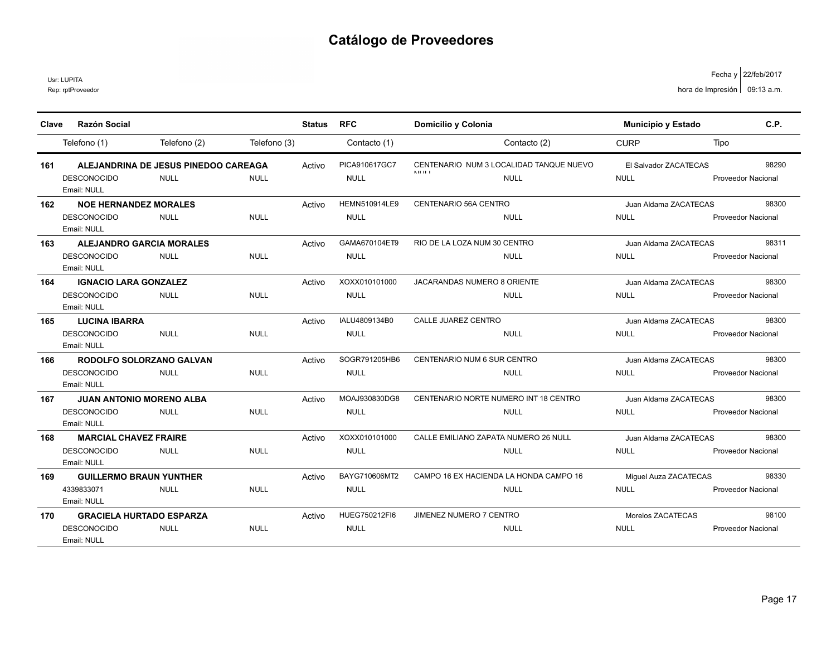Usr: LUPITA

| Clave | <b>Razón Social</b>                                                  |                                                     |              | <b>Status</b> | <b>RFC</b>                          | Domicilio y Colonia                                                       | <b>Municipio y Estado</b>            | C.P.                               |
|-------|----------------------------------------------------------------------|-----------------------------------------------------|--------------|---------------|-------------------------------------|---------------------------------------------------------------------------|--------------------------------------|------------------------------------|
|       | Telefono (1)                                                         | Telefono (2)                                        | Telefono (3) |               | Contacto (1)                        | Contacto (2)                                                              | <b>CURP</b>                          | Tipo                               |
| 161   | <b>DESCONOCIDO</b><br>Email: NULL                                    | ALEJANDRINA DE JESUS PINEDOO CAREAGA<br><b>NULL</b> | <b>NULL</b>  | Activo        | PICA910617GC7<br><b>NULL</b>        | CENTENARIO NUM 3 LOCALIDAD TANQUE NUEVO<br><b>ALL 11-1</b><br><b>NULL</b> | El Salvador ZACATECAS<br><b>NULL</b> | 98290<br><b>Proveedor Nacional</b> |
| 162   | <b>NOE HERNANDEZ MORALES</b><br><b>DESCONOCIDO</b><br>Email: NULL    | <b>NULL</b>                                         | <b>NULL</b>  | Activo        | <b>HEMN510914LE9</b><br><b>NULL</b> | CENTENARIO 56A CENTRO<br><b>NULL</b>                                      | Juan Aldama ZACATECAS<br><b>NULL</b> | 98300<br><b>Proveedor Nacional</b> |
| 163   | <b>ALEJANDRO GARCIA MORALES</b><br><b>DESCONOCIDO</b><br>Email: NULL | <b>NULL</b>                                         | <b>NULL</b>  | Activo        | GAMA670104ET9<br><b>NULL</b>        | RIO DE LA LOZA NUM 30 CENTRO<br><b>NULL</b>                               | Juan Aldama ZACATECAS<br><b>NULL</b> | 98311<br><b>Proveedor Nacional</b> |
| 164   | <b>IGNACIO LARA GONZALEZ</b><br><b>DESCONOCIDO</b><br>Email: NULL    | <b>NULL</b>                                         | <b>NULL</b>  | Activo        | XOXX010101000<br><b>NULL</b>        | <b>JACARANDAS NUMERO 8 ORIENTE</b><br><b>NULL</b>                         | Juan Aldama ZACATECAS<br><b>NULL</b> | 98300<br><b>Proveedor Nacional</b> |
| 165   | <b>LUCINA IBARRA</b><br><b>DESCONOCIDO</b><br>Email: NULL            | <b>NULL</b>                                         | <b>NULL</b>  | Activo        | IALU4809134B0<br><b>NULL</b>        | CALLE JUAREZ CENTRO<br><b>NULL</b>                                        | Juan Aldama ZACATECAS<br><b>NULL</b> | 98300<br>Proveedor Nacional        |
| 166   | RODOLFO SOLORZANO GALVAN<br><b>DESCONOCIDO</b><br>Email: NULL        | <b>NULL</b>                                         | <b>NULL</b>  | Activo        | SOGR791205HB6<br><b>NULL</b>        | CENTENARIO NUM 6 SUR CENTRO<br><b>NULL</b>                                | Juan Aldama ZACATECAS<br><b>NULL</b> | 98300<br><b>Proveedor Nacional</b> |
| 167   | <b>JUAN ANTONIO MORENO ALBA</b><br><b>DESCONOCIDO</b><br>Email: NULL | <b>NULL</b>                                         | <b>NULL</b>  | Activo        | MOAJ930830DG8<br><b>NULL</b>        | CENTENARIO NORTE NUMERO INT 18 CENTRO<br><b>NULL</b>                      | Juan Aldama ZACATECAS<br><b>NULL</b> | 98300<br><b>Proveedor Nacional</b> |
| 168   | <b>MARCIAL CHAVEZ FRAIRE</b><br><b>DESCONOCIDO</b><br>Email: NULL    | <b>NULL</b>                                         | <b>NULL</b>  | Activo        | XOXX010101000<br><b>NULL</b>        | CALLE EMILIANO ZAPATA NUMERO 26 NULL<br><b>NULL</b>                       | Juan Aldama ZACATECAS<br><b>NULL</b> | 98300<br><b>Proveedor Nacional</b> |
| 169   | <b>GUILLERMO BRAUN YUNTHER</b><br>4339833071<br>Email: NULL          | <b>NULL</b>                                         | <b>NULL</b>  | Activo        | BAYG710606MT2<br><b>NULL</b>        | CAMPO 16 EX HACIENDA LA HONDA CAMPO 16<br><b>NULL</b>                     | Miguel Auza ZACATECAS<br><b>NULL</b> | 98330<br>Proveedor Nacional        |
| 170   | <b>GRACIELA HURTADO ESPARZA</b><br><b>DESCONOCIDO</b><br>Email: NULL | <b>NULL</b>                                         | <b>NULL</b>  | Activo        | HUEG750212FI6<br><b>NULL</b>        | JIMENEZ NUMERO 7 CENTRO<br><b>NULL</b>                                    | Morelos ZACATECAS<br><b>NULL</b>     | 98100<br>Proveedor Nacional        |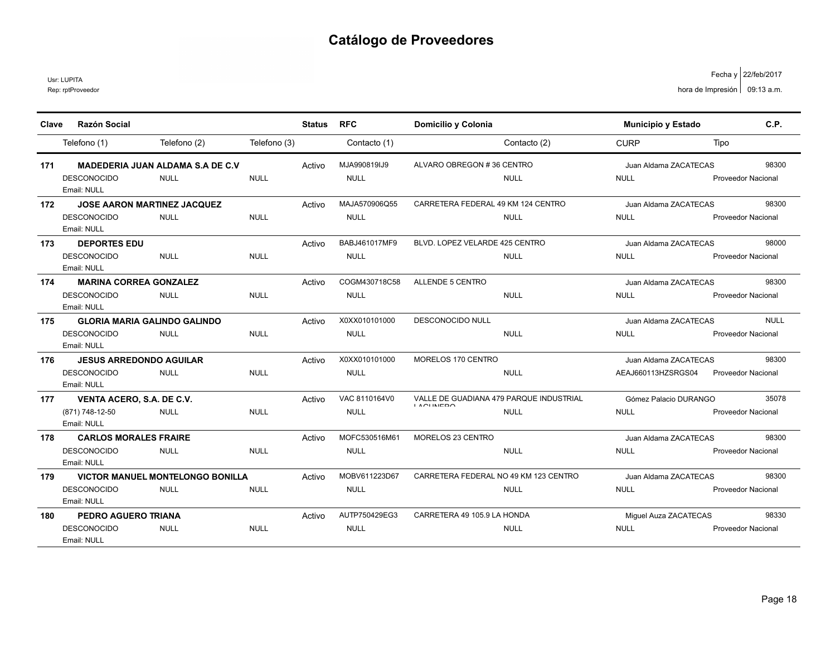Usr: LUPITA

| Clave | <b>Razón Social</b>                     |                              | <b>Status</b> | <b>RFC</b>    | Domicilio y Colonia                   |                                         | <b>Municipio y Estado</b> | C.P.                      |
|-------|-----------------------------------------|------------------------------|---------------|---------------|---------------------------------------|-----------------------------------------|---------------------------|---------------------------|
|       | Telefono (1)                            | Telefono (2)<br>Telefono (3) |               | Contacto (1)  |                                       | Contacto (2)                            | <b>CURP</b>               | Tipo                      |
|       |                                         |                              |               |               |                                       |                                         |                           |                           |
| 171   | <b>MADEDERIA JUAN ALDAMA S.A DE C.V</b> |                              | Activo        | MJA990819IJ9  | ALVARO OBREGON #36 CENTRO             |                                         | Juan Aldama ZACATECAS     | 98300                     |
|       | <b>DESCONOCIDO</b><br><b>NULL</b>       | <b>NULL</b>                  |               | <b>NULL</b>   |                                       | <b>NULL</b>                             | <b>NULL</b>               | <b>Proveedor Nacional</b> |
|       | Email: NULL                             |                              |               |               |                                       |                                         |                           |                           |
| 172   | <b>JOSE AARON MARTINEZ JACQUEZ</b>      |                              | Activo        | MAJA570906Q55 | CARRETERA FEDERAL 49 KM 124 CENTRO    |                                         | Juan Aldama ZACATECAS     | 98300                     |
|       | <b>DESCONOCIDO</b><br><b>NULL</b>       | <b>NULL</b>                  |               | <b>NULL</b>   |                                       | <b>NULL</b>                             | <b>NULL</b>               | <b>Proveedor Nacional</b> |
|       | Email: NULL                             |                              |               |               |                                       |                                         |                           |                           |
| 173   | <b>DEPORTES EDU</b>                     |                              | Activo        | BABJ461017MF9 | BLVD. LOPEZ VELARDE 425 CENTRO        |                                         | Juan Aldama ZACATECAS     | 98000                     |
|       | <b>DESCONOCIDO</b><br><b>NULL</b>       | <b>NULL</b>                  |               | <b>NULL</b>   |                                       | <b>NULL</b>                             | <b>NULL</b>               | <b>Proveedor Nacional</b> |
|       | Email: NULL                             |                              |               |               |                                       |                                         |                           |                           |
| 174   | <b>MARINA CORREA GONZALEZ</b>           |                              | Activo        | COGM430718C58 | ALLENDE 5 CENTRO                      |                                         | Juan Aldama ZACATECAS     | 98300                     |
|       | <b>DESCONOCIDO</b><br><b>NULL</b>       | <b>NULL</b>                  |               | <b>NULL</b>   |                                       | <b>NULL</b>                             | <b>NULL</b>               | <b>Proveedor Nacional</b> |
|       | Email: NULL                             |                              |               |               |                                       |                                         |                           |                           |
| 175   | <b>GLORIA MARIA GALINDO GALINDO</b>     |                              | Activo        | X0XX010101000 | <b>DESCONOCIDO NULL</b>               |                                         | Juan Aldama ZACATECAS     | <b>NULL</b>               |
|       | <b>DESCONOCIDO</b><br><b>NULL</b>       | <b>NULL</b>                  |               | <b>NULL</b>   |                                       | <b>NULL</b>                             | <b>NULL</b>               | <b>Proveedor Nacional</b> |
|       | Email: NULL                             |                              |               |               |                                       |                                         |                           |                           |
| 176   | <b>JESUS ARREDONDO AGUILAR</b>          |                              | Activo        | X0XX010101000 | MORELOS 170 CENTRO                    |                                         | Juan Aldama ZACATECAS     | 98300                     |
|       | <b>DESCONOCIDO</b><br><b>NULL</b>       | <b>NULL</b>                  |               | <b>NULL</b>   |                                       | <b>NULL</b>                             | AEAJ660113HZSRGS04        | <b>Proveedor Nacional</b> |
|       | Email: NULL                             |                              |               |               |                                       |                                         |                           |                           |
| 177   | VENTA ACERO, S.A. DE C.V.               |                              | Activo        | VAC 8110164V0 | <b>IAOUNIEDO</b>                      | VALLE DE GUADIANA 479 PARQUE INDUSTRIAL | Gómez Palacio DURANGO     | 35078                     |
|       | <b>NULL</b><br>(871) 748-12-50          | <b>NULL</b>                  |               | <b>NULL</b>   |                                       | <b>NULL</b>                             | <b>NULL</b>               | <b>Proveedor Nacional</b> |
|       | Email: NULL                             |                              |               |               |                                       |                                         |                           |                           |
| 178   | <b>CARLOS MORALES FRAIRE</b>            |                              | Activo        | MOFC530516M61 | MORELOS 23 CENTRO                     |                                         | Juan Aldama ZACATECAS     | 98300                     |
|       | <b>DESCONOCIDO</b><br><b>NULL</b>       | <b>NULL</b>                  |               | <b>NULL</b>   |                                       | <b>NULL</b>                             | <b>NULL</b>               | <b>Proveedor Nacional</b> |
|       | Email: NULL                             |                              |               |               |                                       |                                         |                           |                           |
| 179   | <b>VICTOR MANUEL MONTELONGO BONILLA</b> |                              | Activo        | MOBV611223D67 | CARRETERA FEDERAL NO 49 KM 123 CENTRO |                                         | Juan Aldama ZACATECAS     | 98300                     |
|       | <b>DESCONOCIDO</b><br><b>NULL</b>       | <b>NULL</b>                  |               | <b>NULL</b>   |                                       | <b>NULL</b>                             | <b>NULL</b>               | <b>Proveedor Nacional</b> |
|       | Email: NULL                             |                              |               |               |                                       |                                         |                           |                           |
| 180   | PEDRO AGUERO TRIANA                     |                              | Activo        | AUTP750429EG3 | CARRETERA 49 105.9 LA HONDA           |                                         | Miquel Auza ZACATECAS     | 98330                     |
|       | <b>DESCONOCIDO</b><br><b>NULL</b>       | <b>NULL</b>                  |               | <b>NULL</b>   |                                       | <b>NULL</b>                             | <b>NULL</b>               | <b>Proveedor Nacional</b> |
|       | Email: NULL                             |                              |               |               |                                       |                                         |                           |                           |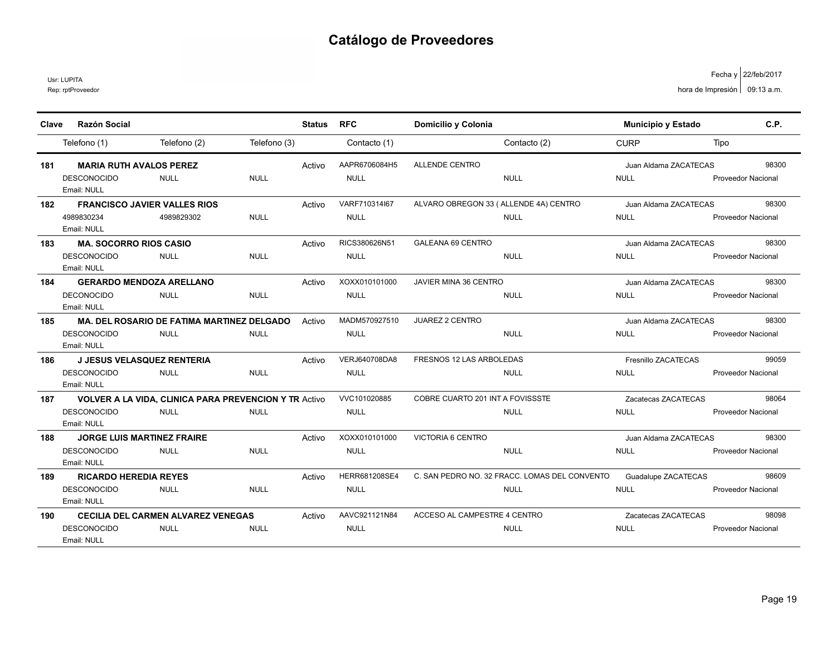Usr: LUPITA

| Clave | <b>Razón Social</b>                 |                                                              |              | <b>Status</b> | <b>RFC</b>    | Domicilio y Colonia                   |                                               | Municipio y Estado    | C.P.                      |
|-------|-------------------------------------|--------------------------------------------------------------|--------------|---------------|---------------|---------------------------------------|-----------------------------------------------|-----------------------|---------------------------|
|       | Telefono (1)                        | Telefono (2)                                                 | Telefono (3) |               | Contacto (1)  |                                       | Contacto (2)                                  | <b>CURP</b>           | Tipo                      |
| 181   | <b>MARIA RUTH AVALOS PEREZ</b>      |                                                              |              | Activo        | AAPR6706084H5 | <b>ALLENDE CENTRO</b>                 |                                               | Juan Aldama ZACATECAS | 98300                     |
|       | <b>DESCONOCIDO</b><br>Email: NULL   | <b>NULL</b>                                                  | <b>NULL</b>  |               | <b>NULL</b>   |                                       | <b>NULL</b>                                   | <b>NULL</b>           | <b>Proveedor Nacional</b> |
| 182   | <b>FRANCISCO JAVIER VALLES RIOS</b> |                                                              |              | Activo        | VARF710314I67 | ALVARO OBREGON 33 (ALLENDE 4A) CENTRO |                                               | Juan Aldama ZACATECAS | 98300                     |
|       | 4989830234<br>Email: NULL           | 4989829302                                                   | <b>NULL</b>  |               | <b>NULL</b>   |                                       | <b>NULL</b>                                   | <b>NULL</b>           | <b>Proveedor Nacional</b> |
| 183   | <b>MA. SOCORRO RIOS CASIO</b>       |                                                              |              | Activo        | RICS380626N51 | GALEANA 69 CENTRO                     |                                               | Juan Aldama ZACATECAS | 98300                     |
|       | <b>DESCONOCIDO</b><br>Email: NULL   | <b>NULL</b>                                                  | <b>NULL</b>  |               | <b>NULL</b>   |                                       | <b>NULL</b>                                   | <b>NULL</b>           | <b>Proveedor Nacional</b> |
| 184   | <b>GERARDO MENDOZA ARELLANO</b>     |                                                              |              | Activo        | XOXX010101000 | JAVIER MINA 36 CENTRO                 |                                               | Juan Aldama ZACATECAS | 98300                     |
|       | <b>DECONOCIDO</b><br>Email: NULL    | <b>NULL</b>                                                  | <b>NULL</b>  |               | <b>NULL</b>   |                                       | <b>NULL</b>                                   | <b>NULL</b>           | <b>Proveedor Nacional</b> |
| 185   |                                     | <b>MA. DEL ROSARIO DE FATIMA MARTINEZ DELGADO</b>            |              | Activo        | MADM570927510 | <b>JUAREZ 2 CENTRO</b>                |                                               | Juan Aldama ZACATECAS | 98300                     |
|       | <b>DESCONOCIDO</b><br>Email: NULL   | <b>NULL</b>                                                  | <b>NULL</b>  |               | <b>NULL</b>   |                                       | NULL                                          | <b>NULL</b>           | <b>Proveedor Nacional</b> |
| 186   | <b>J JESUS VELASQUEZ RENTERIA</b>   |                                                              |              | Activo        | VERJ640708DA8 | FRESNOS 12 LAS ARBOLEDAS              |                                               | Fresnillo ZACATECAS   | 99059                     |
|       | <b>DESCONOCIDO</b><br>Email: NULL   | <b>NULL</b>                                                  | <b>NULL</b>  |               | <b>NULL</b>   |                                       | <b>NULL</b>                                   | <b>NULL</b>           | Proveedor Nacional        |
| 187   |                                     | <b>VOLVER A LA VIDA, CLINICA PARA PREVENCION Y TR Activo</b> |              |               | VVC101020885  | COBRE CUARTO 201 INT A FOVISSSTE      |                                               | Zacatecas ZACATECAS   | 98064                     |
|       | <b>DESCONOCIDO</b><br>Email: NULL   | <b>NULL</b>                                                  | <b>NULL</b>  |               | <b>NULL</b>   |                                       | <b>NULL</b>                                   | <b>NULL</b>           | <b>Proveedor Nacional</b> |
| 188   | <b>JORGE LUIS MARTINEZ FRAIRE</b>   |                                                              |              | Activo        | XOXX010101000 | VICTORIA 6 CENTRO                     |                                               | Juan Aldama ZACATECAS | 98300                     |
|       | <b>DESCONOCIDO</b><br>Email: NULL   | <b>NULL</b>                                                  | <b>NULL</b>  |               | <b>NULL</b>   |                                       | <b>NULL</b>                                   | <b>NULL</b>           | Proveedor Nacional        |
| 189   | <b>RICARDO HEREDIA REYES</b>        |                                                              |              | Activo        | HERR681208SE4 |                                       | C. SAN PEDRO NO. 32 FRACC. LOMAS DEL CONVENTO | Guadalupe ZACATECAS   | 98609                     |
|       | <b>DESCONOCIDO</b><br>Email: NULL   | <b>NULL</b>                                                  | <b>NULL</b>  |               | <b>NULL</b>   |                                       | <b>NULL</b>                                   | <b>NULL</b>           | <b>Proveedor Nacional</b> |
| 190   |                                     | CECILIA DEL CARMEN ALVAREZ VENEGAS                           |              | Activo        | AAVC921121N84 | ACCESO AL CAMPESTRE 4 CENTRO          |                                               | Zacatecas ZACATECAS   | 98098                     |
|       | <b>DESCONOCIDO</b><br>Email: NULL   | <b>NULL</b>                                                  | <b>NULL</b>  |               | <b>NULL</b>   |                                       | <b>NULL</b>                                   | <b>NULL</b>           | <b>Proveedor Nacional</b> |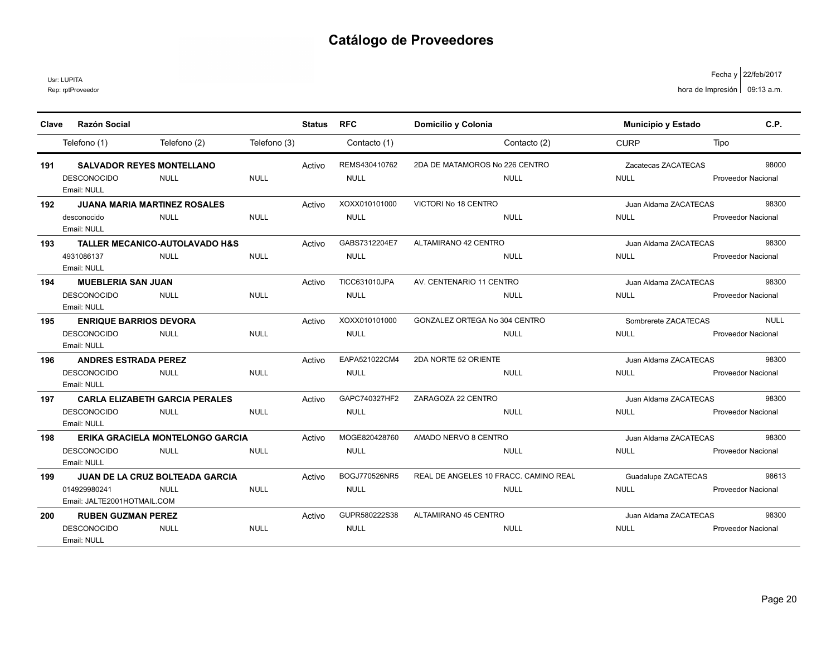Usr: LUPITA

| Clave | <b>Razón Social</b>                                        |              | <b>Status</b> | <b>RFC</b>           | Domicilio y Colonia                   | Municipio y Estado    | C.P.                      |
|-------|------------------------------------------------------------|--------------|---------------|----------------------|---------------------------------------|-----------------------|---------------------------|
|       | Telefono (2)<br>Telefono (1)                               | Telefono (3) |               | Contacto (1)         | Contacto (2)                          | <b>CURP</b>           | Tipo                      |
| 191   | <b>SALVADOR REYES MONTELLANO</b>                           |              | Activo        | REMS430410762        | 2DA DE MATAMOROS No 226 CENTRO        | Zacatecas ZACATECAS   | 98000                     |
|       | <b>DESCONOCIDO</b><br><b>NULL</b><br>Email: NULL           | <b>NULL</b>  |               | <b>NULL</b>          | <b>NULL</b>                           | <b>NULL</b>           | <b>Proveedor Nacional</b> |
| 192   | <b>JUANA MARIA MARTINEZ ROSALES</b>                        |              | Activo        | XOXX010101000        | VICTORI No 18 CENTRO                  | Juan Aldama ZACATECAS | 98300                     |
|       | <b>NULL</b><br>desconocido<br>Email: NULL                  | <b>NULL</b>  |               | <b>NULL</b>          | <b>NULL</b>                           | <b>NULL</b>           | <b>Proveedor Nacional</b> |
| 193   | <b>TALLER MECANICO-AUTOLAVADO H&amp;S</b>                  |              | Activo        | GABS7312204E7        | ALTAMIRANO 42 CENTRO                  | Juan Aldama ZACATECAS | 98300                     |
|       | 4931086137<br><b>NULL</b><br>Email: NULL                   | <b>NULL</b>  |               | <b>NULL</b>          | <b>NULL</b>                           | <b>NULL</b>           | <b>Proveedor Nacional</b> |
| 194   | <b>MUEBLERIA SAN JUAN</b>                                  |              | Activo        | <b>TICC631010JPA</b> | AV. CENTENARIO 11 CENTRO              | Juan Aldama ZACATECAS | 98300                     |
|       | <b>DESCONOCIDO</b><br><b>NULL</b><br>Email: NULL           | <b>NULL</b>  |               | <b>NULL</b>          | <b>NULL</b>                           | <b>NULL</b>           | <b>Proveedor Nacional</b> |
| 195   | <b>ENRIQUE BARRIOS DEVORA</b>                              |              | Activo        | XOXX010101000        | GONZALEZ ORTEGA No 304 CENTRO         | Sombrerete ZACATECAS  | <b>NULL</b>               |
|       | <b>DESCONOCIDO</b><br><b>NULL</b><br>Email: NULL           | <b>NULL</b>  |               | <b>NULL</b>          | <b>NULL</b>                           | <b>NULL</b>           | <b>Proveedor Nacional</b> |
| 196   | <b>ANDRES ESTRADA PEREZ</b>                                |              | Activo        | EAPA521022CM4        | 2DA NORTE 52 ORIENTE                  | Juan Aldama ZACATECAS | 98300                     |
|       | <b>DESCONOCIDO</b><br><b>NULL</b><br>Email: NULL           | <b>NULL</b>  |               | <b>NULL</b>          | <b>NULL</b>                           | <b>NULL</b>           | <b>Proveedor Nacional</b> |
| 197   | <b>CARLA ELIZABETH GARCIA PERALES</b>                      |              | Activo        | GAPC740327HF2        | ZARAGOZA 22 CENTRO                    | Juan Aldama ZACATECAS | 98300                     |
|       | <b>NULL</b><br><b>DESCONOCIDO</b><br>Email: NULL           | <b>NULL</b>  |               | <b>NULL</b>          | <b>NULL</b>                           | <b>NULL</b>           | <b>Proveedor Nacional</b> |
| 198   | <b>ERIKA GRACIELA MONTELONGO GARCIA</b>                    |              | Activo        | MOGE820428760        | AMADO NERVO 8 CENTRO                  | Juan Aldama ZACATECAS | 98300                     |
|       | <b>DESCONOCIDO</b><br><b>NULL</b><br>Email: NULL           | <b>NULL</b>  |               | <b>NULL</b>          | <b>NULL</b>                           | <b>NULL</b>           | <b>Proveedor Nacional</b> |
| 199   | <b>JUAN DE LA CRUZ BOLTEADA GARCIA</b>                     |              | Activo        | BOGJ770526NR5        | REAL DE ANGELES 10 FRACC. CAMINO REAL | Guadalupe ZACATECAS   | 98613                     |
|       | 014929980241<br><b>NULL</b><br>Email: JALTE2001HOTMAIL.COM | <b>NULL</b>  |               | <b>NULL</b>          | <b>NULL</b>                           | <b>NULL</b>           | <b>Proveedor Nacional</b> |
| 200   | <b>RUBEN GUZMAN PEREZ</b>                                  |              | Activo        | GUPR580222S38        | ALTAMIRANO 45 CENTRO                  | Juan Aldama ZACATECAS | 98300                     |
|       | <b>DESCONOCIDO</b><br><b>NULL</b><br>Email: NULL           | <b>NULL</b>  |               | <b>NULL</b>          | <b>NULL</b>                           | <b>NULL</b>           | <b>Proveedor Nacional</b> |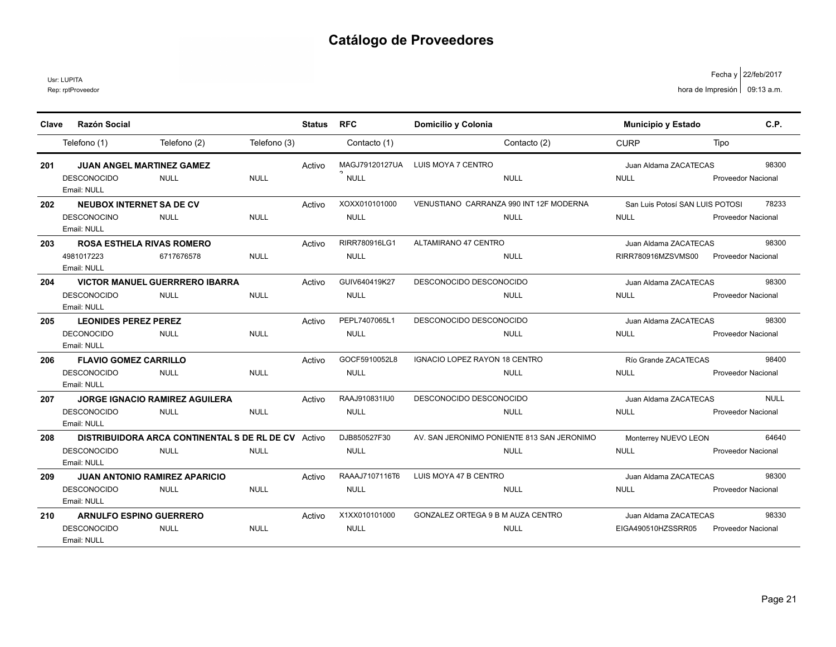Usr: LUPITA

| Clave | <b>Razón Social</b>                                                       |                                                                           |              | Status | <b>RFC</b>                              | Domicilio y Colonia                                       | Municipio y Estado                             | C.P.                                     |
|-------|---------------------------------------------------------------------------|---------------------------------------------------------------------------|--------------|--------|-----------------------------------------|-----------------------------------------------------------|------------------------------------------------|------------------------------------------|
|       | Telefono (1)                                                              | Telefono (2)                                                              | Telefono (3) |        | Contacto (1)                            | Contacto (2)                                              | <b>CURP</b>                                    | Tipo                                     |
| 201   | <b>JUAN ANGEL MARTINEZ GAMEZ</b><br><b>DESCONOCIDO</b><br>Email: NULL     | <b>NULL</b>                                                               | <b>NULL</b>  | Activo | MAGJ79120127UA<br>$\sim$<br><b>NULL</b> | LUIS MOYA 7 CENTRO<br><b>NULL</b>                         | Juan Aldama ZACATECAS<br><b>NULL</b>           | 98300<br><b>Proveedor Nacional</b>       |
| 202   | <b>NEUBOX INTERNET SA DE CV</b><br><b>DESCONOCINO</b><br>Email: NULL      | <b>NULL</b>                                                               | <b>NULL</b>  | Activo | XOXX010101000<br><b>NULL</b>            | VENUSTIANO CARRANZA 990 INT 12F MODERNA<br><b>NULL</b>    | San Luis Potosí SAN LUIS POTOSI<br><b>NULL</b> | 78233<br><b>Proveedor Nacional</b>       |
| 203   | <b>ROSA ESTHELA RIVAS ROMERO</b><br>4981017223<br>Email: NULL             | 6717676578                                                                | <b>NULL</b>  | Activo | RIRR780916LG1<br><b>NULL</b>            | ALTAMIRANO 47 CENTRO<br><b>NULL</b>                       | Juan Aldama ZACATECAS<br>RIRR780916MZSVMS00    | 98300<br><b>Proveedor Nacional</b>       |
| 204   | DESCONOCIDO<br>Email: NULL                                                | <b>VICTOR MANUEL GUERRRERO IBARRA</b><br><b>NULL</b>                      | <b>NULL</b>  | Activo | GUIV640419K27<br><b>NULL</b>            | DESCONOCIDO DESCONOCIDO<br><b>NULL</b>                    | Juan Aldama ZACATECAS<br><b>NULL</b>           | 98300<br><b>Proveedor Nacional</b>       |
| 205   | <b>LEONIDES PEREZ PEREZ</b><br><b>DECONOCIDO</b><br>Email: NULL           | <b>NULL</b>                                                               | <b>NULL</b>  | Activo | PEPL7407065L1<br><b>NULL</b>            | DESCONOCIDO DESCONOCIDO<br><b>NULL</b>                    | Juan Aldama ZACATECAS<br><b>NULL</b>           | 98300<br><b>Proveedor Nacional</b>       |
| 206   | <b>FLAVIO GOMEZ CARRILLO</b><br><b>DESCONOCIDO</b><br>Email: NULL         | <b>NULL</b>                                                               | <b>NULL</b>  | Activo | GOCF5910052L8<br><b>NULL</b>            | IGNACIO LOPEZ RAYON 18 CENTRO<br><b>NULL</b>              | Río Grande ZACATECAS<br><b>NULL</b>            | 98400<br>Proveedor Nacional              |
| 207   | <b>DESCONOCIDO</b><br>Email: NULL                                         | <b>JORGE IGNACIO RAMIREZ AGUILERA</b><br><b>NULL</b>                      | <b>NULL</b>  | Activo | RAAJ910831IU0<br><b>NULL</b>            | DESCONOCIDO DESCONOCIDO<br><b>NULL</b>                    | Juan Aldama ZACATECAS<br><b>NULL</b>           | <b>NULL</b><br><b>Proveedor Nacional</b> |
| 208   | <b>DESCONOCIDO</b><br>Email: NULL                                         | <b>DISTRIBUIDORA ARCA CONTINENTAL S DE RL DE CV</b> Activo<br><b>NULL</b> | <b>NULL</b>  |        | DJB850527F30<br><b>NULL</b>             | AV. SAN JERONIMO PONIENTE 813 SAN JERONIMO<br><b>NULL</b> | Monterrey NUEVO LEON<br><b>NULL</b>            | 64640<br><b>Proveedor Nacional</b>       |
| 209   | <b>JUAN ANTONIO RAMIREZ APARICIO</b><br><b>DESCONOCIDO</b><br>Email: NULL | <b>NULL</b>                                                               | <b>NULL</b>  | Activo | RAAAJ7107116T6<br><b>NULL</b>           | LUIS MOYA 47 B CENTRO<br><b>NULL</b>                      | Juan Aldama ZACATECAS<br><b>NULL</b>           | 98300<br>Proveedor Nacional              |
| 210   | <b>ARNULFO ESPINO GUERRERO</b><br><b>DESCONOCIDO</b><br>Email: NULL       | <b>NULL</b>                                                               | <b>NULL</b>  | Activo | X1XX010101000<br><b>NULL</b>            | GONZALEZ ORTEGA 9 B M AUZA CENTRO<br><b>NULL</b>          | Juan Aldama ZACATECAS<br>EIGA490510HZSSRR05    | 98330<br><b>Proveedor Nacional</b>       |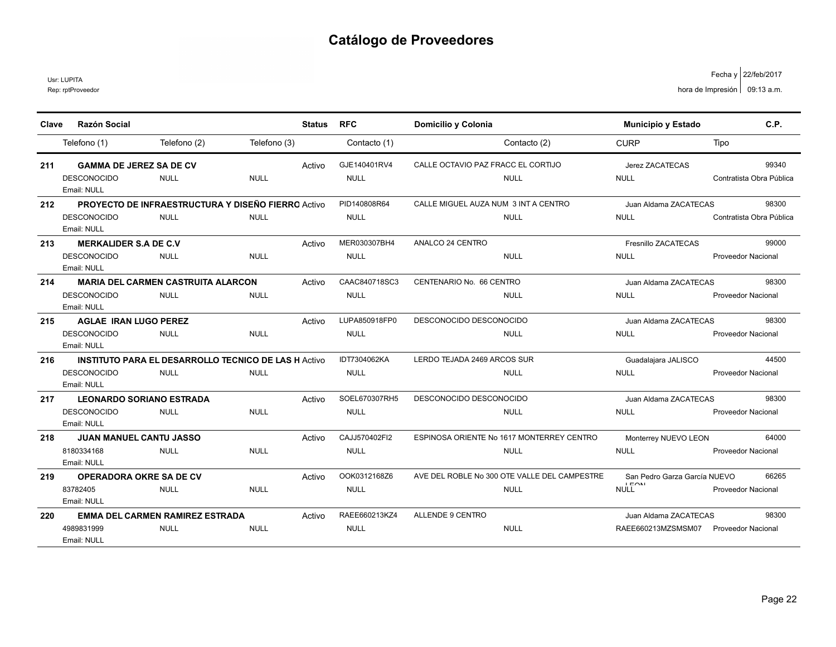Usr: LUPITA

Rep: rptProveedor

| Clave | <b>Razón Social</b>                       |              |                                                            | <b>Status</b> | <b>RFC</b>    | Domicilio y Colonia                          | <b>Municipio y Estado</b>                   | C.P.                      |
|-------|-------------------------------------------|--------------|------------------------------------------------------------|---------------|---------------|----------------------------------------------|---------------------------------------------|---------------------------|
|       | Telefono (1)                              | Telefono (2) | Telefono (3)                                               |               | Contacto (1)  | Contacto (2)                                 | <b>CURP</b>                                 | Tipo                      |
|       |                                           |              |                                                            |               |               |                                              |                                             |                           |
| 211   | <b>GAMMA DE JEREZ SA DE CV</b>            |              |                                                            | Activo        | GJE140401RV4  | CALLE OCTAVIO PAZ FRACC EL CORTIJO           | Jerez ZACATECAS                             | 99340                     |
|       | <b>DESCONOCIDO</b>                        | <b>NULL</b>  | <b>NULL</b>                                                |               | <b>NULL</b>   | <b>NULL</b>                                  | <b>NULL</b>                                 | Contratista Obra Pública  |
|       | Email: NULL                               |              |                                                            |               |               |                                              |                                             |                           |
| 212   |                                           |              | <b>PROYECTO DE INFRAESTRUCTURA Y DISEÑO FIERRO Activo</b>  |               | PID140808R64  | CALLE MIGUEL AUZA NUM 3 INT A CENTRO         | Juan Aldama ZACATECAS                       | 98300                     |
|       | <b>DESCONOCIDO</b>                        | <b>NULL</b>  | <b>NULL</b>                                                |               | <b>NULL</b>   | <b>NULL</b>                                  | <b>NULL</b>                                 | Contratista Obra Pública  |
|       | Email: NULL                               |              |                                                            |               |               |                                              |                                             |                           |
| 213   | <b>MERKALIDER S.A DE C.V</b>              |              |                                                            | Activo        | MER030307BH4  | ANALCO 24 CENTRO                             | Fresnillo ZACATECAS                         | 99000                     |
|       | <b>DESCONOCIDO</b>                        | <b>NULL</b>  | <b>NULL</b>                                                |               | <b>NULL</b>   | <b>NULL</b>                                  | <b>NULL</b>                                 | <b>Proveedor Nacional</b> |
|       | Email: NULL                               |              |                                                            |               |               |                                              |                                             |                           |
| 214   | <b>MARIA DEL CARMEN CASTRUITA ALARCON</b> |              |                                                            | Activo        | CAAC840718SC3 | CENTENARIO No. 66 CENTRO                     | Juan Aldama ZACATECAS                       | 98300                     |
|       | <b>DESCONOCIDO</b>                        | <b>NULL</b>  | <b>NULL</b>                                                |               | <b>NULL</b>   | <b>NULL</b>                                  | <b>NULL</b>                                 | <b>Proveedor Nacional</b> |
|       | Email: NULL                               |              |                                                            |               |               |                                              |                                             |                           |
| 215   | <b>AGLAE IRAN LUGO PEREZ</b>              |              |                                                            | Activo        | LUPA850918FP0 | DESCONOCIDO DESCONOCIDO                      | Juan Aldama ZACATECAS                       | 98300                     |
|       | <b>DESCONOCIDO</b>                        | <b>NULL</b>  | <b>NULL</b>                                                |               | <b>NULL</b>   | <b>NULL</b>                                  | <b>NULL</b>                                 | <b>Proveedor Nacional</b> |
|       | Email: NULL                               |              |                                                            |               |               |                                              |                                             |                           |
| 216   |                                           |              | <b>INSTITUTO PARA EL DESARROLLO TECNICO DE LAS HACCIVO</b> |               | IDT7304062KA  | LERDO TEJADA 2469 ARCOS SUR                  | Guadalajara JALISCO                         | 44500                     |
|       | <b>DESCONOCIDO</b>                        | <b>NULL</b>  | <b>NULL</b>                                                |               | <b>NULL</b>   | <b>NULL</b>                                  | <b>NULL</b>                                 | Proveedor Nacional        |
|       | Email: NULL                               |              |                                                            |               |               |                                              |                                             |                           |
| 217   | <b>LEONARDO SORIANO ESTRADA</b>           |              |                                                            | Activo        | SOEL670307RH5 | DESCONOCIDO DESCONOCIDO                      | Juan Aldama ZACATECAS                       | 98300                     |
|       | <b>DESCONOCIDO</b>                        | <b>NULL</b>  | <b>NULL</b>                                                |               | <b>NULL</b>   | <b>NULL</b>                                  | <b>NULL</b>                                 | <b>Proveedor Nacional</b> |
|       | Email: NULL                               |              |                                                            |               |               |                                              |                                             |                           |
| 218   | <b>JUAN MANUEL CANTU JASSO</b>            |              |                                                            | Activo        | CAJJ570402FI2 | ESPINOSA ORIENTE No 1617 MONTERREY CENTRO    | Monterrey NUEVO LEON                        | 64000                     |
|       | 8180334168                                | <b>NULL</b>  | <b>NULL</b>                                                |               | <b>NULL</b>   | <b>NULL</b>                                  | <b>NULL</b>                                 | <b>Proveedor Nacional</b> |
|       | Email: NULL                               |              |                                                            |               |               |                                              |                                             |                           |
| 219   | <b>OPERADORA OKRE SA DE CV</b>            |              |                                                            | Activo        | OOK0312168Z6  | AVE DEL ROBLE No 300 OTE VALLE DEL CAMPESTRE | San Pedro Garza García NUEVO<br><b>LEON</b> | 66265                     |
|       | 83782405                                  | <b>NULL</b>  | <b>NULL</b>                                                |               | <b>NULL</b>   | <b>NULL</b>                                  | <b>NULL</b>                                 | <b>Proveedor Nacional</b> |
|       | Email: NULL                               |              |                                                            |               |               |                                              |                                             |                           |
| 220   | <b>EMMA DEL CARMEN RAMIREZ ESTRADA</b>    |              |                                                            | Activo        | RAEE660213KZ4 | <b>ALLENDE 9 CENTRO</b>                      | Juan Aldama ZACATECAS                       | 98300                     |
|       | 4989831999                                | <b>NULL</b>  | <b>NULL</b>                                                |               | <b>NULL</b>   | <b>NULL</b>                                  | RAEE660213MZSMSM07                          | <b>Proveedor Nacional</b> |
|       | Email: NULL                               |              |                                                            |               |               |                                              |                                             |                           |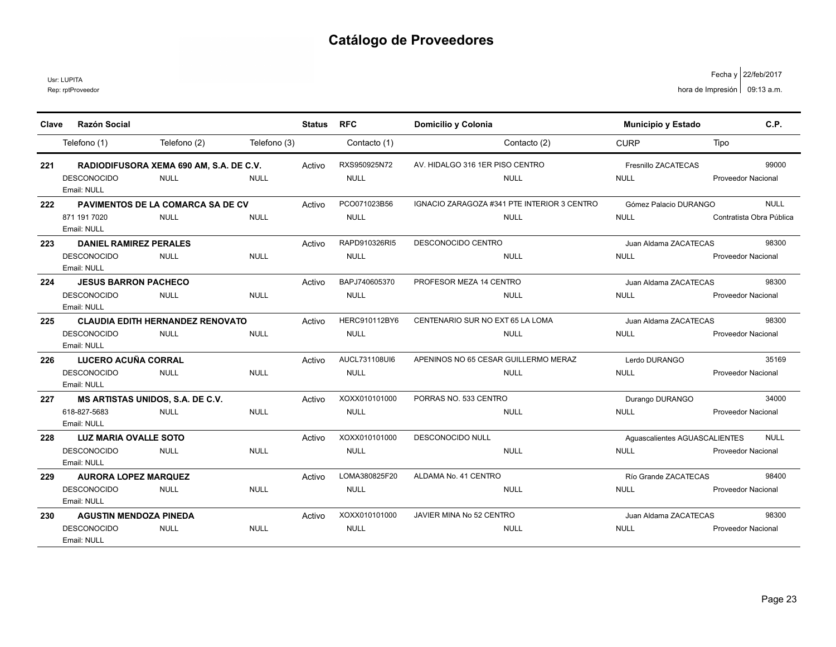Usr: LUPITA

| Clave | <b>Razón Social</b>              |                                          |              | <b>Status</b> | <b>RFC</b>    | Domicilio y Colonia                         | Municipio y Estado            | C.P.                      |
|-------|----------------------------------|------------------------------------------|--------------|---------------|---------------|---------------------------------------------|-------------------------------|---------------------------|
|       |                                  |                                          |              |               |               |                                             |                               |                           |
|       | Telefono (1)                     | Telefono (2)                             | Telefono (3) |               | Contacto (1)  | Contacto (2)                                | <b>CURP</b>                   | Tipo                      |
| 221   |                                  | RADIODIFUSORA XEMA 690 AM, S.A. DE C.V.  |              | Activo        | RXS950925N72  | AV. HIDALGO 316 1ER PISO CENTRO             | Fresnillo ZACATECAS           | 99000                     |
|       | <b>DESCONOCIDO</b>               | <b>NULL</b>                              | <b>NULL</b>  |               | <b>NULL</b>   | <b>NULL</b>                                 | <b>NULL</b>                   | <b>Proveedor Nacional</b> |
|       | Email: NULL                      |                                          |              |               |               |                                             |                               |                           |
| 222   |                                  | <b>PAVIMENTOS DE LA COMARCA SA DE CV</b> |              | Activo        | PCO071023B56  | IGNACIO ZARAGOZA #341 PTE INTERIOR 3 CENTRO | Gómez Palacio DURANGO         | <b>NULL</b>               |
|       | 871 191 7020                     | <b>NULL</b>                              | <b>NULL</b>  |               | <b>NULL</b>   | <b>NULL</b>                                 | <b>NULL</b>                   | Contratista Obra Pública  |
|       | Email: NULL                      |                                          |              |               |               |                                             |                               |                           |
| 223   | <b>DANIEL RAMIREZ PERALES</b>    |                                          |              | Activo        | RAPD910326RI5 | <b>DESCONOCIDO CENTRO</b>                   | Juan Aldama ZACATECAS         | 98300                     |
|       | <b>DESCONOCIDO</b>               | <b>NULL</b>                              | <b>NULL</b>  |               | <b>NULL</b>   | <b>NULL</b>                                 | <b>NULL</b>                   | <b>Proveedor Nacional</b> |
|       | Email: NULL                      |                                          |              |               |               |                                             |                               |                           |
| 224   | <b>JESUS BARRON PACHECO</b>      |                                          |              | Activo        | BAPJ740605370 | PROFESOR MEZA 14 CENTRO                     | Juan Aldama ZACATECAS         | 98300                     |
|       | DESCONOCIDO                      | <b>NULL</b>                              | <b>NULL</b>  |               | <b>NULL</b>   | <b>NULL</b>                                 | <b>NULL</b>                   | <b>Proveedor Nacional</b> |
|       | Email: NULL                      |                                          |              |               |               |                                             |                               |                           |
| 225   |                                  | <b>CLAUDIA EDITH HERNANDEZ RENOVATO</b>  |              | Activo        | HERC910112BY6 | CENTENARIO SUR NO EXT 65 LA LOMA            | Juan Aldama ZACATECAS         | 98300                     |
|       | <b>DESCONOCIDO</b>               | <b>NULL</b>                              | <b>NULL</b>  |               | <b>NULL</b>   | <b>NULL</b>                                 | <b>NULL</b>                   | Proveedor Nacional        |
|       | Email: NULL                      |                                          |              |               |               |                                             |                               |                           |
| 226   | LUCERO ACUÑA CORRAL              |                                          |              | Activo        | AUCL731108UI6 | APENINOS NO 65 CESAR GUILLERMO MERAZ        | Lerdo DURANGO                 | 35169                     |
|       | <b>DESCONOCIDO</b>               | <b>NULL</b>                              | <b>NULL</b>  |               | <b>NULL</b>   | <b>NULL</b>                                 | <b>NULL</b>                   | <b>Proveedor Nacional</b> |
|       | Email: NULL                      |                                          |              |               |               |                                             |                               |                           |
| 227   | MS ARTISTAS UNIDOS, S.A. DE C.V. |                                          |              | Activo        | XOXX010101000 | PORRAS NO. 533 CENTRO                       | Durango DURANGO               | 34000                     |
|       | 618-827-5683                     | <b>NULL</b>                              | <b>NULL</b>  |               | <b>NULL</b>   | <b>NULL</b>                                 | <b>NULL</b>                   | <b>Proveedor Nacional</b> |
|       | Email: NULL                      |                                          |              |               |               |                                             |                               |                           |
| 228   | <b>LUZ MARIA OVALLE SOTO</b>     |                                          |              | Activo        | XOXX010101000 | <b>DESCONOCIDO NULL</b>                     | Aguascalientes AGUASCALIENTES | <b>NULL</b>               |
|       | <b>DESCONOCIDO</b>               | <b>NULL</b>                              | <b>NULL</b>  |               | <b>NULL</b>   | <b>NULL</b>                                 | <b>NULL</b>                   | <b>Proveedor Nacional</b> |
|       | Email: NULL                      |                                          |              |               |               |                                             |                               |                           |
| 229   | <b>AURORA LOPEZ MARQUEZ</b>      |                                          |              | Activo        | LOMA380825F20 | ALDAMA No. 41 CENTRO                        | Río Grande ZACATECAS          | 98400                     |
|       | <b>DESCONOCIDO</b>               | <b>NULL</b>                              | <b>NULL</b>  |               | <b>NULL</b>   | <b>NULL</b>                                 | <b>NULL</b>                   | <b>Proveedor Nacional</b> |
|       | Email: NULL                      |                                          |              |               |               |                                             |                               |                           |
| 230   | <b>AGUSTIN MENDOZA PINEDA</b>    |                                          |              | Activo        | XOXX010101000 | JAVIER MINA No 52 CENTRO                    | Juan Aldama ZACATECAS         | 98300                     |
|       | <b>DESCONOCIDO</b>               | <b>NULL</b>                              | <b>NULL</b>  |               | <b>NULL</b>   | <b>NULL</b>                                 | <b>NULL</b>                   | <b>Proveedor Nacional</b> |
|       | Email: NULL                      |                                          |              |               |               |                                             |                               |                           |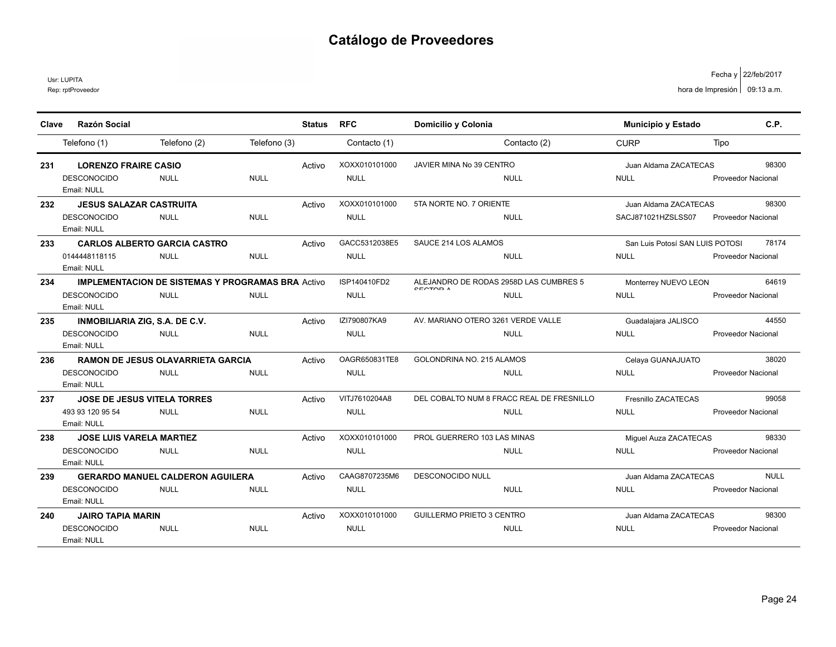Usr: LUPITA

Rep: rptProveedor

|       | <b>Razón Social</b>                |                                                          |              |               | <b>RFC</b>    |                                                           |                                 | C.P.                      |
|-------|------------------------------------|----------------------------------------------------------|--------------|---------------|---------------|-----------------------------------------------------------|---------------------------------|---------------------------|
| Clave |                                    |                                                          |              | <b>Status</b> |               | Domicilio y Colonia                                       | <b>Municipio y Estado</b>       |                           |
|       | Telefono (1)                       | Telefono (2)                                             | Telefono (3) |               | Contacto (1)  | Contacto (2)                                              | <b>CURP</b>                     | Tipo                      |
| 231   | <b>LORENZO FRAIRE CASIO</b>        |                                                          |              | Activo        | XOXX010101000 | JAVIER MINA No 39 CENTRO                                  | Juan Aldama ZACATECAS           | 98300                     |
|       | <b>DESCONOCIDO</b><br>Email: NULL  | <b>NULL</b>                                              | <b>NULL</b>  |               | <b>NULL</b>   | <b>NULL</b>                                               | <b>NULL</b>                     | <b>Proveedor Nacional</b> |
| 232   | <b>JESUS SALAZAR CASTRUITA</b>     |                                                          |              | Activo        | XOXX010101000 | 5TA NORTE NO. 7 ORIENTE                                   | Juan Aldama ZACATECAS           | 98300                     |
|       | <b>DESCONOCIDO</b><br>Email: NULL  | <b>NULL</b>                                              | <b>NULL</b>  |               | <b>NULL</b>   | <b>NULL</b>                                               | SACJ871021HZSLSS07              | <b>Proveedor Nacional</b> |
| 233   |                                    | <b>CARLOS ALBERTO GARCIA CASTRO</b>                      |              | Activo        | GACC5312038E5 | SAUCE 214 LOS ALAMOS                                      | San Luis Potosí SAN LUIS POTOSI | 78174                     |
|       | 0144448118115<br>Email: NULL       | <b>NULL</b>                                              | <b>NULL</b>  |               | <b>NULL</b>   | <b>NULL</b>                                               | <b>NULL</b>                     | <b>Proveedor Nacional</b> |
| 234   |                                    | <b>IMPLEMENTACION DE SISTEMAS Y PROGRAMAS BRA Activo</b> |              |               | ISP140410FD2  | ALEJANDRO DE RODAS 2958D LAS CUMBRES 5<br><b>CECTOR A</b> | Monterrey NUEVO LEON            | 64619                     |
|       | <b>DESCONOCIDO</b><br>Email: NULL  | <b>NULL</b>                                              | <b>NULL</b>  |               | <b>NULL</b>   | <b>NULL</b>                                               | <b>NULL</b>                     | <b>Proveedor Nacional</b> |
| 235   | INMOBILIARIA ZIG, S.A. DE C.V.     |                                                          |              | Activo        | IZI790807KA9  | AV. MARIANO OTERO 3261 VERDE VALLE                        | Guadalajara JALISCO             | 44550                     |
|       | <b>DESCONOCIDO</b><br>Email: NULL  | <b>NULL</b>                                              | <b>NULL</b>  |               | <b>NULL</b>   | <b>NULL</b>                                               | <b>NULL</b>                     | Proveedor Nacional        |
| 236   |                                    | <b>RAMON DE JESUS OLAVARRIETA GARCIA</b>                 |              | Activo        | OAGR650831TE8 | GOLONDRINA NO. 215 ALAMOS                                 | Celaya GUANAJUATO               | 38020                     |
|       | <b>DESCONOCIDO</b><br>Email: NULL  | <b>NULL</b>                                              | <b>NULL</b>  |               | <b>NULL</b>   | <b>NULL</b>                                               | <b>NULL</b>                     | Proveedor Nacional        |
| 237   | <b>JOSE DE JESUS VITELA TORRES</b> |                                                          |              | Activo        | VITJ7610204A8 | DEL COBALTO NUM 8 FRACC REAL DE FRESNILLO                 | Fresnillo ZACATECAS             | 99058                     |
|       | 493 93 120 95 54<br>Email: NULL    | <b>NULL</b>                                              | <b>NULL</b>  |               | <b>NULL</b>   | <b>NULL</b>                                               | <b>NULL</b>                     | <b>Proveedor Nacional</b> |
| 238   | <b>JOSE LUIS VARELA MARTIEZ</b>    |                                                          |              | Activo        | XOXX010101000 | PROL GUERRERO 103 LAS MINAS                               | Miquel Auza ZACATECAS           | 98330                     |
|       | <b>DESCONOCIDO</b><br>Email: NULL  | <b>NULL</b>                                              | <b>NULL</b>  |               | <b>NULL</b>   | <b>NULL</b>                                               | <b>NULL</b>                     | <b>Proveedor Nacional</b> |
| 239   |                                    | <b>GERARDO MANUEL CALDERON AGUILERA</b>                  |              | Activo        | CAAG8707235M6 | <b>DESCONOCIDO NULL</b>                                   | Juan Aldama ZACATECAS           | <b>NULL</b>               |
|       | <b>DESCONOCIDO</b><br>Email: NULL  | <b>NULL</b>                                              | <b>NULL</b>  |               | <b>NULL</b>   | <b>NULL</b>                                               | <b>NULL</b>                     | <b>Proveedor Nacional</b> |
| 240   | <b>JAIRO TAPIA MARIN</b>           |                                                          |              | Activo        | XOXX010101000 | <b>GUILLERMO PRIETO 3 CENTRO</b>                          | Juan Aldama ZACATECAS           | 98300                     |
|       | <b>DESCONOCIDO</b><br>Email: NULL  | <b>NULL</b>                                              | <b>NULL</b>  |               | <b>NULL</b>   | <b>NULL</b>                                               | <b>NULL</b>                     | <b>Proveedor Nacional</b> |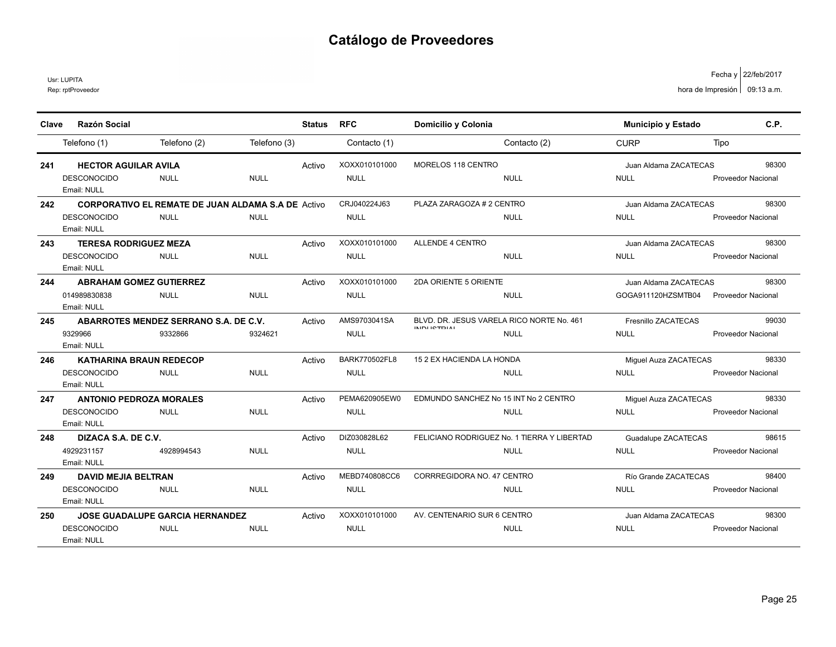Usr: LUPITA

Rep: rptProveedor

| Clave | <b>Razón Social</b>               |                                                           |              | <b>Status</b> | <b>RFC</b>           | Domicilio y Colonia                                               |              | <b>Municipio y Estado</b> | C.P.                      |
|-------|-----------------------------------|-----------------------------------------------------------|--------------|---------------|----------------------|-------------------------------------------------------------------|--------------|---------------------------|---------------------------|
|       | Telefono (1)                      | Telefono (2)                                              | Telefono (3) |               | Contacto (1)         |                                                                   | Contacto (2) | <b>CURP</b>               | Tipo                      |
| 241   | <b>HECTOR AGUILAR AVILA</b>       |                                                           |              | Activo        | XOXX010101000        | MORELOS 118 CENTRO                                                |              | Juan Aldama ZACATECAS     | 98300                     |
|       | <b>DESCONOCIDO</b><br>Email: NULL | <b>NULL</b>                                               | <b>NULL</b>  |               | <b>NULL</b>          |                                                                   | <b>NULL</b>  | <b>NULL</b>               | Proveedor Nacional        |
| 242   |                                   | <b>CORPORATIVO EL REMATE DE JUAN ALDAMA S.A DE Activo</b> |              |               | CRJ040224J63         | PLAZA ZARAGOZA # 2 CENTRO                                         |              | Juan Aldama ZACATECAS     | 98300                     |
|       | <b>DESCONOCIDO</b><br>Email: NULL | <b>NULL</b>                                               | <b>NULL</b>  |               | <b>NULL</b>          |                                                                   | NULL         | <b>NULL</b>               | <b>Proveedor Nacional</b> |
| 243   | <b>TERESA RODRIGUEZ MEZA</b>      |                                                           |              | Activo        | XOXX010101000        | <b>ALLENDE 4 CENTRO</b>                                           |              | Juan Aldama ZACATECAS     | 98300                     |
|       | <b>DESCONOCIDO</b><br>Email: NULL | <b>NULL</b>                                               | <b>NULL</b>  |               | <b>NULL</b>          |                                                                   | <b>NULL</b>  | <b>NULL</b>               | <b>Proveedor Nacional</b> |
| 244   | <b>ABRAHAM GOMEZ GUTIERREZ</b>    |                                                           |              | Activo        | XOXX010101000        | 2DA ORIENTE 5 ORIENTE                                             |              | Juan Aldama ZACATECAS     | 98300                     |
|       | 014989830838<br>Email: NULL       | <b>NULL</b>                                               | <b>NULL</b>  |               | <b>NULL</b>          |                                                                   | <b>NULL</b>  | GOGA911120HZSMTB04        | <b>Proveedor Nacional</b> |
| 245   |                                   | ABARROTES MENDEZ SERRANO S.A. DE C.V.                     |              | Activo        | AMS9703041SA         | BLVD, DR. JESUS VARELA RICO NORTE No. 461<br><b>INIDI ICTDIAI</b> |              | Fresnillo ZACATECAS       | 99030                     |
|       | 9329966<br>Email: NULL            | 9332866                                                   | 9324621      |               | <b>NULL</b>          |                                                                   | NULL         | <b>NULL</b>               | Proveedor Nacional        |
| 246   | <b>KATHARINA BRAUN REDECOP</b>    |                                                           |              | Activo        | <b>BARK770502FL8</b> | 15 2 EX HACIENDA LA HONDA                                         |              | Miguel Auza ZACATECAS     | 98330                     |
|       | <b>DESCONOCIDO</b><br>Email: NULL | <b>NULL</b>                                               | <b>NULL</b>  |               | <b>NULL</b>          |                                                                   | <b>NULL</b>  | <b>NULL</b>               | Proveedor Nacional        |
| 247   | <b>ANTONIO PEDROZA MORALES</b>    |                                                           |              | Activo        | PEMA620905EW0        | EDMUNDO SANCHEZ No 15 INT No 2 CENTRO                             |              | Miguel Auza ZACATECAS     | 98330                     |
|       | <b>DESCONOCIDO</b><br>Email: NULL | <b>NULL</b>                                               | <b>NULL</b>  |               | <b>NULL</b>          |                                                                   | <b>NULL</b>  | <b>NULL</b>               | <b>Proveedor Nacional</b> |
| 248   | DIZACA S.A. DE C.V.               |                                                           |              | Activo        | DIZ030828L62         | FELICIANO RODRIGUEZ No. 1 TIERRA Y LIBERTAD                       |              | Guadalupe ZACATECAS       | 98615                     |
|       | 4929231157<br>Email: NULL         | 4928994543                                                | <b>NULL</b>  |               | <b>NULL</b>          |                                                                   | <b>NULL</b>  | <b>NULL</b>               | <b>Proveedor Nacional</b> |
| 249   | <b>DAVID MEJIA BELTRAN</b>        |                                                           |              | Activo        | MEBD740808CC6        | CORRREGIDORA NO. 47 CENTRO                                        |              | Río Grande ZACATECAS      | 98400                     |
|       | <b>DESCONOCIDO</b><br>Email: NULL | <b>NULL</b>                                               | <b>NULL</b>  |               | <b>NULL</b>          |                                                                   | <b>NULL</b>  | <b>NULL</b>               | <b>Proveedor Nacional</b> |
| 250   |                                   | <b>JOSE GUADALUPE GARCIA HERNANDEZ</b>                    |              | Activo        | XOXX010101000        | AV. CENTENARIO SUR 6 CENTRO                                       |              | Juan Aldama ZACATECAS     | 98300                     |
|       | <b>DESCONOCIDO</b><br>Email: NULL | <b>NULL</b>                                               | <b>NULL</b>  |               | <b>NULL</b>          |                                                                   | <b>NULL</b>  | <b>NULL</b>               | <b>Proveedor Nacional</b> |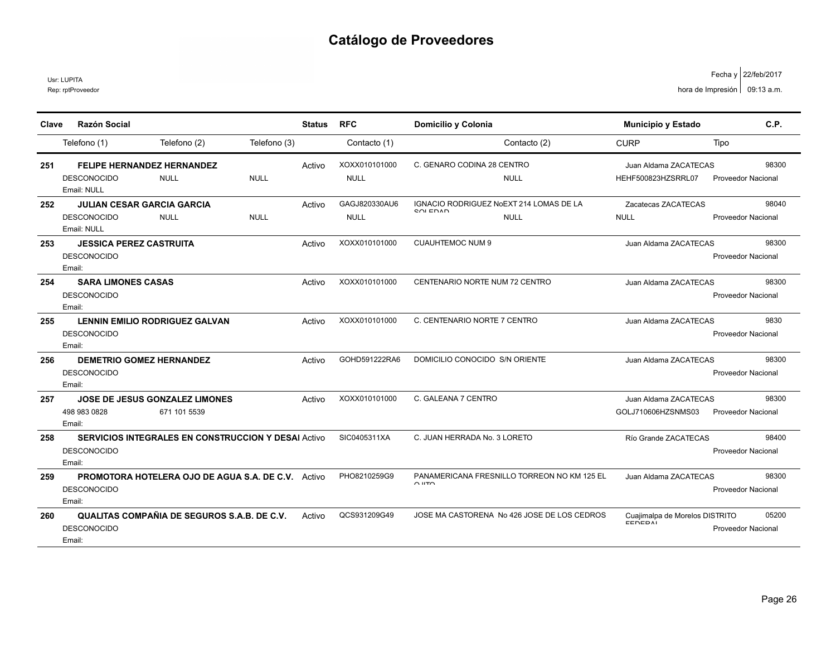Usr: LUPITA

|       | <b>Razón Social</b>                                        |              |               | <b>RFC</b>    |                                                                               |                                           | C.P.                      |
|-------|------------------------------------------------------------|--------------|---------------|---------------|-------------------------------------------------------------------------------|-------------------------------------------|---------------------------|
| Clave |                                                            |              | <b>Status</b> |               | Domicilio y Colonia                                                           | Municipio y Estado                        |                           |
|       | Telefono (2)<br>Telefono (1)                               | Telefono (3) |               | Contacto (1)  | Contacto (2)                                                                  | <b>CURP</b>                               | Tipo                      |
| 251   | <b>FELIPE HERNANDEZ HERNANDEZ</b>                          |              | Activo        | XOXX010101000 | C. GENARO CODINA 28 CENTRO                                                    | Juan Aldama ZACATECAS                     | 98300                     |
|       | <b>DESCONOCIDO</b><br><b>NULL</b>                          | <b>NULL</b>  |               | <b>NULL</b>   | <b>NULL</b>                                                                   | HEHF500823HZSRRL07                        | <b>Proveedor Nacional</b> |
|       | Email: NULL                                                |              |               |               |                                                                               |                                           |                           |
| 252   | <b>JULIAN CESAR GARCIA GARCIA</b>                          |              | Activo        | GAGJ820330AU6 | IGNACIO RODRIGUEZ NoEXT 214 LOMAS DE LA<br><b>COLEDAD</b>                     | Zacatecas ZACATECAS                       | 98040                     |
|       | <b>DESCONOCIDO</b><br><b>NULL</b>                          | <b>NULL</b>  |               | <b>NULL</b>   | <b>NULL</b>                                                                   | <b>NULL</b>                               | <b>Proveedor Nacional</b> |
|       | Email: NULL                                                |              |               |               |                                                                               |                                           |                           |
| 253   | <b>JESSICA PEREZ CASTRUITA</b>                             |              | Activo        | XOXX010101000 | <b>CUAUHTEMOC NUM 9</b>                                                       | Juan Aldama ZACATECAS                     | 98300                     |
|       | <b>DESCONOCIDO</b>                                         |              |               |               |                                                                               |                                           | <b>Proveedor Nacional</b> |
|       | Email:                                                     |              |               |               |                                                                               |                                           |                           |
| 254   | <b>SARA LIMONES CASAS</b>                                  |              | Activo        | XOXX010101000 | CENTENARIO NORTE NUM 72 CENTRO                                                | Juan Aldama ZACATECAS                     | 98300                     |
|       | <b>DESCONOCIDO</b><br>Email:                               |              |               |               |                                                                               |                                           | Proveedor Nacional        |
|       | <b>LENNIN EMILIO RODRIGUEZ GALVAN</b>                      |              |               | XOXX010101000 | C. CENTENARIO NORTE 7 CENTRO                                                  |                                           | 9830                      |
| 255   | <b>DESCONOCIDO</b>                                         |              | Activo        |               |                                                                               | Juan Aldama ZACATECAS                     |                           |
|       | Email:                                                     |              |               |               |                                                                               |                                           | Proveedor Nacional        |
| 256   | <b>DEMETRIO GOMEZ HERNANDEZ</b>                            |              | Activo        | GOHD591222RA6 | DOMICILIO CONOCIDO S/N ORIENTE                                                | Juan Aldama ZACATECAS                     | 98300                     |
|       | <b>DESCONOCIDO</b>                                         |              |               |               |                                                                               |                                           | <b>Proveedor Nacional</b> |
|       | Email:                                                     |              |               |               |                                                                               |                                           |                           |
| 257   | <b>JOSE DE JESUS GONZALEZ LIMONES</b>                      |              | Activo        | XOXX010101000 | C. GALEANA 7 CENTRO                                                           | Juan Aldama ZACATECAS                     | 98300                     |
|       | 498 983 0828<br>671 101 5539                               |              |               |               |                                                                               | GOLJ710606HZSNMS03                        | Proveedor Nacional        |
|       | Fmail:                                                     |              |               |               |                                                                               |                                           |                           |
| 258   | <b>SERVICIOS INTEGRALES EN CONSTRUCCION Y DESAI Activo</b> |              |               | SIC0405311XA  | C. JUAN HERRADA No. 3 LORETO                                                  | Río Grande ZACATECAS                      | 98400                     |
|       | <b>DESCONOCIDO</b>                                         |              |               |               |                                                                               |                                           | <b>Proveedor Nacional</b> |
|       | Email:                                                     |              |               |               |                                                                               |                                           |                           |
| 259   | <b>PROMOTORA HOTELERA OJO DE AGUA S.A. DE C.V.</b> Activo  |              |               | PHO8210259G9  | PANAMERICANA FRESNILLO TORREON NO KM 125 EL<br>$\bigcap$ $\mathsf{HT}\bigcap$ | Juan Aldama ZACATECAS                     | 98300                     |
|       | <b>DESCONOCIDO</b>                                         |              |               |               |                                                                               |                                           | <b>Proveedor Nacional</b> |
|       | Email:                                                     |              |               |               |                                                                               |                                           |                           |
| 260   | QUALITAS COMPAÑIA DE SEGUROS S.A.B. DE C.V.                |              | Activo        | QCS931209G49  | JOSE MA CASTORENA No 426 JOSE DE LOS CEDROS                                   | Cuaiimalpa de Morelos DISTRITO<br>EEDEDAL | 05200                     |
|       | <b>DESCONOCIDO</b><br>Email:                               |              |               |               |                                                                               |                                           | <b>Proveedor Nacional</b> |
|       |                                                            |              |               |               |                                                                               |                                           |                           |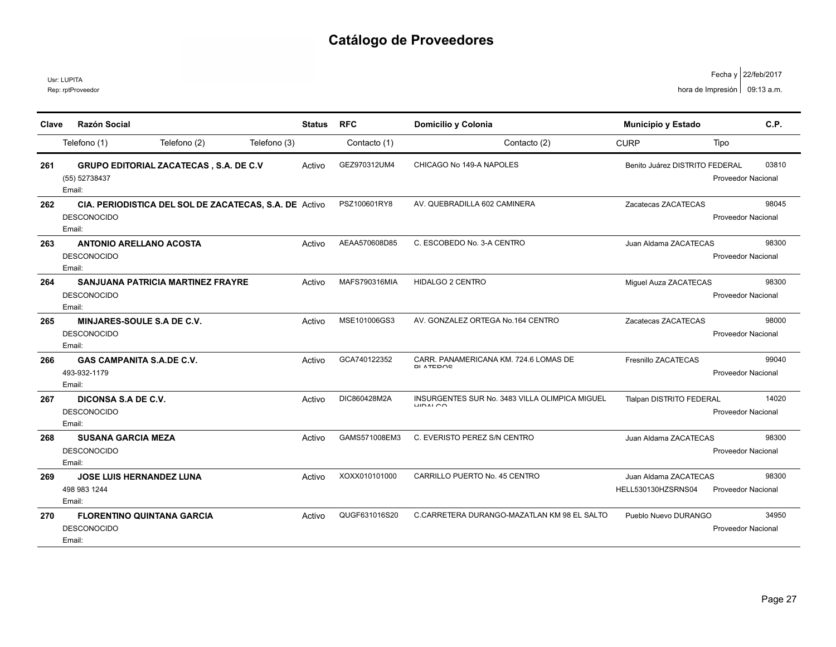|       | Usr: LUPITA<br>Rep: rptProveedor                                  |                                                        |              |               |               |                                                                      |                                             | Fecha y   22/teb/2017<br>hora de Impresión   09:13 a.m. |
|-------|-------------------------------------------------------------------|--------------------------------------------------------|--------------|---------------|---------------|----------------------------------------------------------------------|---------------------------------------------|---------------------------------------------------------|
| Clave | Razón Social                                                      |                                                        |              | <b>Status</b> | <b>RFC</b>    | Domicilio y Colonia                                                  | Municipio y Estado                          | C.P.                                                    |
|       | Telefono (1)                                                      | Telefono (2)                                           | Telefono (3) |               | Contacto (1)  | Contacto (2)                                                         | <b>CURP</b>                                 | Tipo                                                    |
| 261   | (55) 52738437<br>Email:                                           | <b>GRUPO EDITORIAL ZACATECAS, S.A. DE C.V</b>          |              | Activo        | GEZ970312UM4  | CHICAGO No 149-A NAPOLES                                             | Benito Juárez DISTRITO FEDERAL              | 03810<br>Proveedor Nacional                             |
| 262   | <b>DESCONOCIDO</b><br>Email:                                      | CIA. PERIODISTICA DEL SOL DE ZACATECAS, S.A. DE Activo |              |               | PSZ100601RY8  | AV. QUEBRADILLA 602 CAMINERA                                         | Zacatecas ZACATECAS                         | 98045<br>Proveedor Nacional                             |
| 263   | <b>ANTONIO ARELLANO ACOSTA</b><br><b>DESCONOCIDO</b><br>Email:    |                                                        |              | Activo        | AEAA570608D85 | C. ESCOBEDO No. 3-A CENTRO                                           | Juan Aldama ZACATECAS                       | 98300<br><b>Proveedor Nacional</b>                      |
| 264   | <b>DESCONOCIDO</b><br>Email:                                      | <b>SANJUANA PATRICIA MARTINEZ FRAYRE</b>               |              | Activo        | MAFS790316MIA | HIDALGO 2 CENTRO                                                     | Miguel Auza ZACATECAS                       | 98300<br><b>Proveedor Nacional</b>                      |
| 265   | <b>MINJARES-SOULE S.A DE C.V.</b><br><b>DESCONOCIDO</b><br>Email: |                                                        |              | Activo        | MSE101006GS3  | AV. GONZALEZ ORTEGA No.164 CENTRO                                    | Zacatecas ZACATECAS                         | 98000<br><b>Proveedor Nacional</b>                      |
| 266   | <b>GAS CAMPANITA S.A.DE C.V.</b><br>493-932-1179<br>Email:        |                                                        |              | Activo        | GCA740122352  | CARR. PANAMERICANA KM. 724.6 LOMAS DE<br>DI ATEDOO                   | Fresnillo ZACATECAS                         | 99040<br>Proveedor Nacional                             |
| 267   | DICONSA S.A DE C.V.<br><b>DESCONOCIDO</b><br>Email:               |                                                        |              | Activo        | DIC860428M2A  | INSURGENTES SUR No. 3483 VILLA OLIMPICA MIGUEL<br>1110M <sub>2</sub> | <b>Tlalpan DISTRITO FEDERAL</b>             | 14020<br><b>Proveedor Nacional</b>                      |
| 268   | <b>SUSANA GARCIA MEZA</b><br><b>DESCONOCIDO</b><br>Email:         |                                                        |              | Activo        | GAMS571008EM3 | C. EVERISTO PEREZ S/N CENTRO                                         | Juan Aldama ZACATECAS                       | 98300<br><b>Proveedor Nacional</b>                      |
| 269   | <b>JOSE LUIS HERNANDEZ LUNA</b><br>498 983 1244<br>Email:         |                                                        |              | Activo        | XOXX010101000 | CARRILLO PUERTO No. 45 CENTRO                                        | Juan Aldama ZACATECAS<br>HELL530130HZSRNS04 | 98300<br>Proveedor Nacional                             |
| 270   | <b>DESCONOCIDO</b><br>Email:                                      | <b>FLORENTINO QUINTANA GARCIA</b>                      |              | Activo        | QUGF631016S20 | C.CARRETERA DURANGO-MAZATLAN KM 98 EL SALTO                          | Pueblo Nuevo DURANGO                        | 34950<br><b>Proveedor Nacional</b>                      |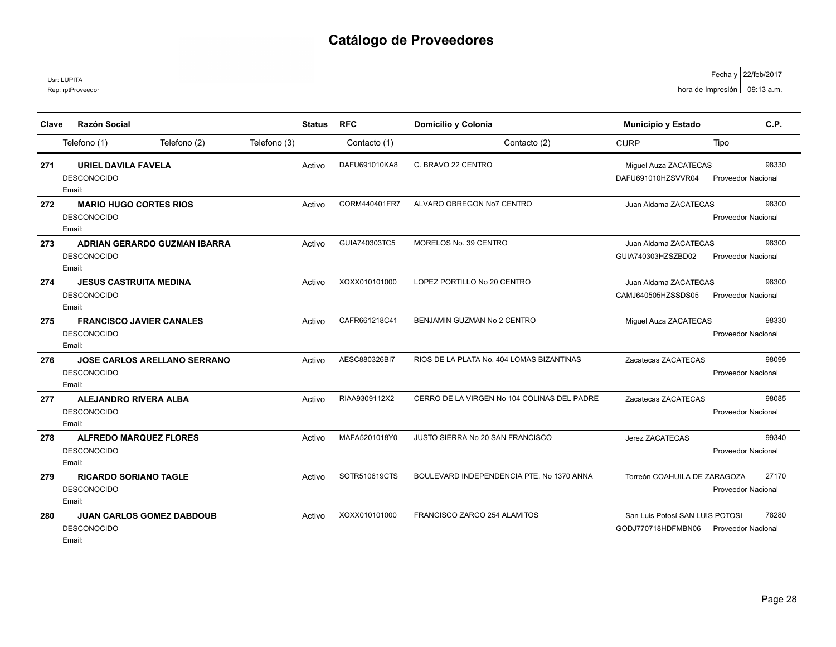Usr: LUPITA

Rep: rptProveedor

| Clave | Razón Social                                                        |              | <b>Status</b> | <b>RFC</b>    | Domicilio y Colonia                         | Municipio y Estado                                    | C.P.                               |
|-------|---------------------------------------------------------------------|--------------|---------------|---------------|---------------------------------------------|-------------------------------------------------------|------------------------------------|
|       | Telefono (2)<br>Telefono (1)                                        | Telefono (3) |               | Contacto (1)  | Contacto (2)                                | <b>CURP</b>                                           | Tipo                               |
| 271   | <b>URIEL DAVILA FAVELA</b><br><b>DESCONOCIDO</b><br>Email:          | Activo       |               | DAFU691010KA8 | C. BRAVO 22 CENTRO                          | Miguel Auza ZACATECAS<br>DAFU691010HZSVVR04           | 98330<br><b>Proveedor Nacional</b> |
| 272   | <b>MARIO HUGO CORTES RIOS</b><br><b>DESCONOCIDO</b><br>Email:       | Activo       |               | CORM440401FR7 | ALVARO OBREGON No7 CENTRO                   | Juan Aldama ZACATECAS                                 | 98300<br><b>Proveedor Nacional</b> |
| 273   | <b>ADRIAN GERARDO GUZMAN IBARRA</b><br><b>DESCONOCIDO</b><br>Email: | Activo       |               | GUIA740303TC5 | MORELOS No. 39 CENTRO                       | Juan Aldama ZACATECAS<br>GUIA740303HZSZBD02           | 98300<br><b>Proveedor Nacional</b> |
| 274   | <b>JESUS CASTRUITA MEDINA</b><br><b>DESCONOCIDO</b><br>Email:       | Activo       |               | XOXX010101000 | LOPEZ PORTILLO No 20 CENTRO                 | Juan Aldama ZACATECAS<br>CAMJ640505HZSSDS05           | 98300<br><b>Proveedor Nacional</b> |
| 275   | <b>FRANCISCO JAVIER CANALES</b><br><b>DESCONOCIDO</b><br>Email:     | Activo       |               | CAFR661218C41 | BENJAMIN GUZMAN No 2 CENTRO                 | Miguel Auza ZACATECAS                                 | 98330<br><b>Proveedor Nacional</b> |
| 276   | <b>JOSE CARLOS ARELLANO SERRANO</b><br><b>DESCONOCIDO</b><br>Email: | Activo       |               | AESC880326BI7 | RIOS DE LA PLATA No. 404 LOMAS BIZANTINAS   | Zacatecas ZACATECAS                                   | 98099<br><b>Proveedor Nacional</b> |
| 277   | <b>ALEJANDRO RIVERA ALBA</b><br><b>DESCONOCIDO</b><br>Email:        | Activo       |               | RIAA9309112X2 | CERRO DE LA VIRGEN No 104 COLINAS DEL PADRE | Zacatecas ZACATECAS                                   | 98085<br><b>Proveedor Nacional</b> |
| 278   | <b>ALFREDO MARQUEZ FLORES</b><br><b>DESCONOCIDO</b><br>Email:       | Activo       |               | MAFA5201018Y0 | JUSTO SIERRA No 20 SAN FRANCISCO            | Jerez ZACATECAS                                       | 99340<br><b>Proveedor Nacional</b> |
| 279   | <b>RICARDO SORIANO TAGLE</b><br><b>DESCONOCIDO</b><br>Email:        | Activo       |               | SOTR510619CTS | BOULEVARD INDEPENDENCIA PTE. No 1370 ANNA   | Torreón COAHUILA DE ZARAGOZA                          | 27170<br><b>Proveedor Nacional</b> |
| 280   | <b>JUAN CARLOS GOMEZ DABDOUB</b><br><b>DESCONOCIDO</b><br>Email:    | Activo       |               | XOXX010101000 | FRANCISCO ZARCO 254 ALAMITOS                | San Luis Potosí SAN LUIS POTOSI<br>GODJ770718HDFMBN06 | 78280<br><b>Proveedor Nacional</b> |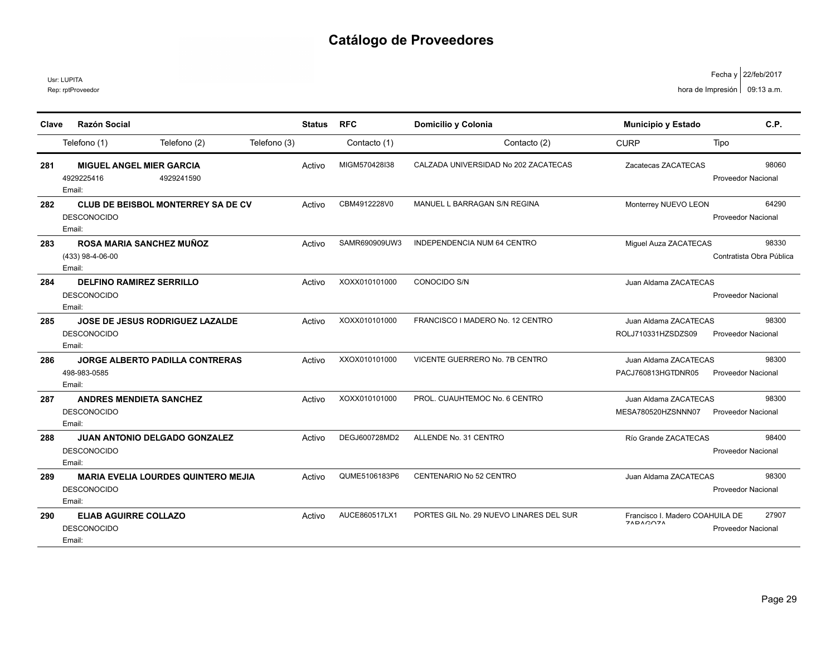Rep: rptProveedor Usr: LUPITA

| Clave | Razón Social                                                               | <b>Status</b> | <b>RFC</b>    | Domicilio y Colonia                     | <b>Municipio y Estado</b>                   | C.P.                               |
|-------|----------------------------------------------------------------------------|---------------|---------------|-----------------------------------------|---------------------------------------------|------------------------------------|
|       | Telefono (2)<br>Telefono (1)                                               | Telefono (3)  | Contacto (1)  | Contacto (2)                            | <b>CURP</b>                                 | Tipo                               |
| 281   | <b>MIGUEL ANGEL MIER GARCIA</b><br>4929225416<br>4929241590<br>Email:      | Activo        | MIGM570428I38 | CALZADA UNIVERSIDAD No 202 ZACATECAS    | Zacatecas ZACATECAS                         | 98060<br><b>Proveedor Nacional</b> |
| 282   | <b>CLUB DE BEISBOL MONTERREY SA DE CV</b><br><b>DESCONOCIDO</b><br>Email:  | Activo        | CBM4912228V0  | MANUEL L BARRAGAN S/N REGINA            | Monterrey NUEVO LEON                        | 64290<br><b>Proveedor Nacional</b> |
| 283   | <b>ROSA MARIA SANCHEZ MUÑOZ</b><br>(433) 98-4-06-00<br>Email:              | Activo        | SAMR690909UW3 | INDEPENDENCIA NUM 64 CENTRO             | Miquel Auza ZACATECAS                       | 98330<br>Contratista Obra Pública  |
| 284   | <b>DELFINO RAMIREZ SERRILLO</b><br><b>DESCONOCIDO</b><br>Email:            | Activo        | XOXX010101000 | CONOCIDO S/N                            | Juan Aldama ZACATECAS                       | <b>Proveedor Nacional</b>          |
| 285   | <b>JOSE DE JESUS RODRIGUEZ LAZALDE</b><br><b>DESCONOCIDO</b><br>Email:     | Activo        | XOXX010101000 | FRANCISCO I MADERO No. 12 CENTRO        | Juan Aldama ZACATECAS<br>ROLJ710331HZSDZS09 | 98300<br><b>Proveedor Nacional</b> |
| 286   | <b>JORGE ALBERTO PADILLA CONTRERAS</b><br>498-983-0585<br>Email:           | Activo        | XXOX010101000 | VICENTE GUERRERO No. 7B CENTRO          | Juan Aldama ZACATECAS<br>PACJ760813HGTDNR05 | 98300<br>Proveedor Nacional        |
| 287   | <b>ANDRES MENDIETA SANCHEZ</b><br><b>DESCONOCIDO</b><br>Email:             | Activo        | XOXX010101000 | PROL. CUAUHTEMOC No. 6 CENTRO           | Juan Aldama ZACATECAS<br>MESA780520HZSNNN07 | 98300<br><b>Proveedor Nacional</b> |
| 288   | <b>JUAN ANTONIO DELGADO GONZALEZ</b><br><b>DESCONOCIDO</b><br>Email:       | Activo        | DEGJ600728MD2 | ALLENDE No. 31 CENTRO                   | Río Grande ZACATECAS                        | 98400<br><b>Proveedor Nacional</b> |
| 289   | <b>MARIA EVELIA LOURDES QUINTERO MEJIA</b><br><b>DESCONOCIDO</b><br>Email: | Activo        | QUME5106183P6 | CENTENARIO No 52 CENTRO                 | Juan Aldama ZACATECAS                       | 98300<br><b>Proveedor Nacional</b> |
| 290   | <b>ELIAB AGUIRRE COLLAZO</b><br><b>DESCONOCIDO</b><br>Email:               | Activo        | AUCE860517LX1 | PORTES GIL No. 29 NUEVO LINARES DEL SUR | Francisco I. Madero COAHUILA DE<br>74040074 | 27907<br><b>Proveedor Nacional</b> |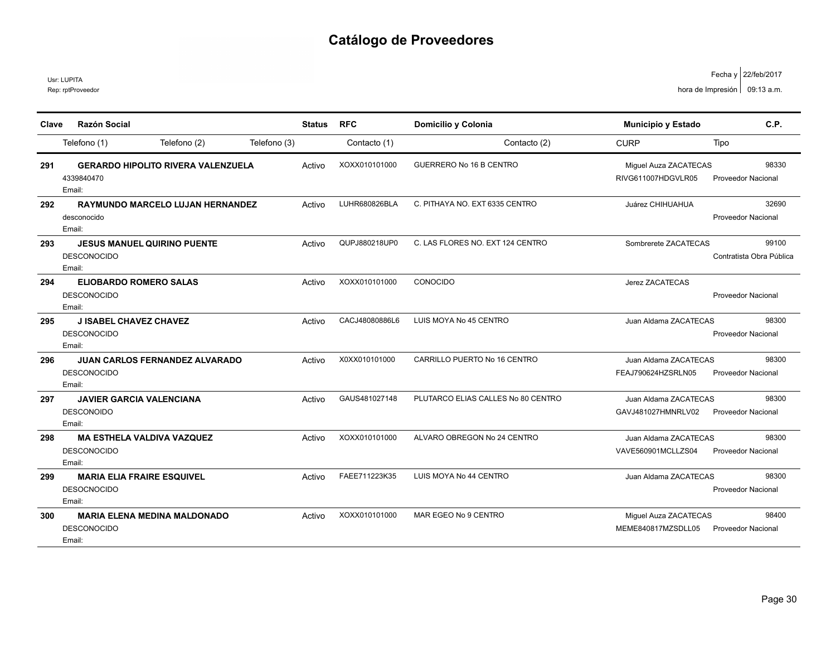Rep: rptProveedor Usr: LUPITA

| Clave | Razón Social                                                          | <b>Status</b> | <b>RFC</b>     | Domicilio y Colonia                | <b>Municipio y Estado</b>                   | C.P.                               |
|-------|-----------------------------------------------------------------------|---------------|----------------|------------------------------------|---------------------------------------------|------------------------------------|
|       | Telefono (2)<br>Telefono (1)                                          | Telefono (3)  | Contacto (1)   | Contacto (2)                       | <b>CURP</b>                                 | Tipo                               |
| 291   | <b>GERARDO HIPOLITO RIVERA VALENZUELA</b><br>4339840470<br>Email:     | Activo        | XOXX010101000  | <b>GUERRERO No 16 B CENTRO</b>     | Miguel Auza ZACATECAS<br>RIVG611007HDGVLR05 | 98330<br><b>Proveedor Nacional</b> |
| 292   | <b>RAYMUNDO MARCELO LUJAN HERNANDEZ</b><br>desconocido<br>Email:      | Activo        | LUHR680826BLA  | C. PITHAYA NO. EXT 6335 CENTRO     | Juárez CHIHUAHUA                            | 32690<br><b>Proveedor Nacional</b> |
| 293   | <b>JESUS MANUEL QUIRINO PUENTE</b><br><b>DESCONOCIDO</b><br>Email:    | Activo        | QUPJ880218UP0  | C. LAS FLORES NO. EXT 124 CENTRO   | Sombrerete ZACATECAS                        | 99100<br>Contratista Obra Pública  |
| 294   | <b>ELIOBARDO ROMERO SALAS</b><br><b>DESCONOCIDO</b><br>Email:         | Activo        | XOXX010101000  | CONOCIDO                           | Jerez ZACATECAS                             | <b>Proveedor Nacional</b>          |
| 295   | <b>J ISABEL CHAVEZ CHAVEZ</b><br><b>DESCONOCIDO</b><br>Email:         | Activo        | CACJ48080886L6 | LUIS MOYA No 45 CENTRO             | Juan Aldama ZACATECAS                       | 98300<br><b>Proveedor Nacional</b> |
| 296   | <b>JUAN CARLOS FERNANDEZ ALVARADO</b><br><b>DESCONOCIDO</b><br>Email: | Activo        | X0XX010101000  | CARRILLO PUERTO No 16 CENTRO       | Juan Aldama ZACATECAS<br>FEAJ790624HZSRLN05 | 98300<br><b>Proveedor Nacional</b> |
| 297   | <b>JAVIER GARCIA VALENCIANA</b><br><b>DESCONOIDO</b><br>Email:        | Activo        | GAUS481027148  | PLUTARCO ELIAS CALLES No 80 CENTRO | Juan Aldama ZACATECAS<br>GAVJ481027HMNRLV02 | 98300<br><b>Proveedor Nacional</b> |
| 298   | <b>MA ESTHELA VALDIVA VAZQUEZ</b><br><b>DESCONOCIDO</b><br>Email:     | Activo        | XOXX010101000  | ALVARO OBREGON No 24 CENTRO        | Juan Aldama ZACATECAS<br>VAVE560901MCLLZS04 | 98300<br>Proveedor Nacional        |
| 299   | <b>MARIA ELIA FRAIRE ESQUIVEL</b><br><b>DESOCNOCIDO</b><br>Email:     | Activo        | FAEE711223K35  | LUIS MOYA No 44 CENTRO             | Juan Aldama ZACATECAS                       | 98300<br><b>Proveedor Nacional</b> |
| 300   | <b>MARIA ELENA MEDINA MALDONADO</b><br><b>DESCONOCIDO</b><br>Email:   | Activo        | XOXX010101000  | MAR EGEO No 9 CENTRO               | Miguel Auza ZACATECAS<br>MEME840817MZSDLL05 | 98400<br>Proveedor Nacional        |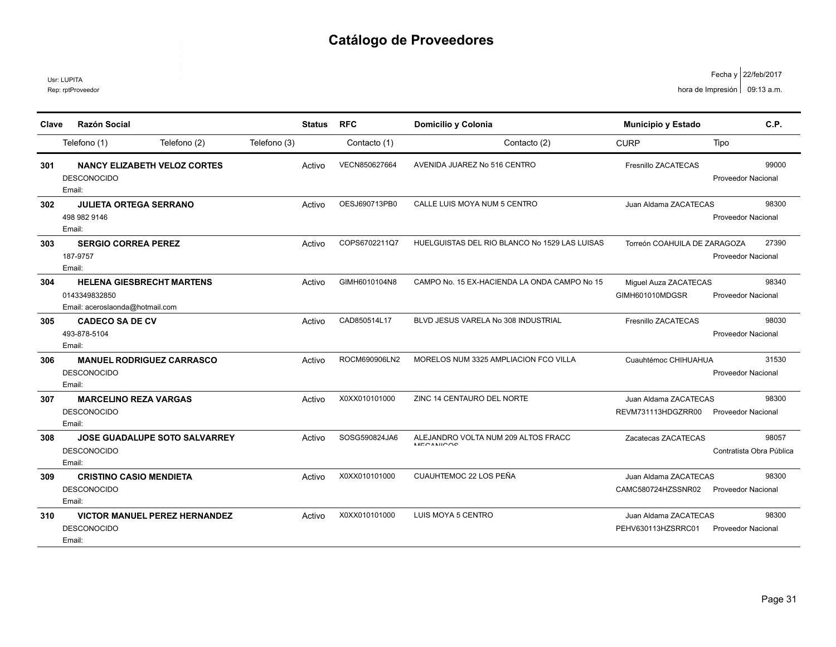Rep: rptProveedor Usr: LUPITA

|       | <b>Razón Social</b>              |                                      |              |               | <b>RFC</b>    |                                                         |                              | C.P.                      |
|-------|----------------------------------|--------------------------------------|--------------|---------------|---------------|---------------------------------------------------------|------------------------------|---------------------------|
| Clave |                                  |                                      |              | <b>Status</b> |               | Domicilio y Colonia                                     | Municipio y Estado           |                           |
|       | Telefono (1)                     | Telefono (2)                         | Telefono (3) |               | Contacto (1)  | Contacto (2)                                            | <b>CURP</b>                  | Tipo                      |
| 301   |                                  | <b>NANCY ELIZABETH VELOZ CORTES</b>  |              | Activo        | VECN850627664 | AVENIDA JUAREZ No 516 CENTRO                            | Fresnillo ZACATECAS          | 99000                     |
|       | <b>DESCONOCIDO</b>               |                                      |              |               |               |                                                         |                              | <b>Proveedor Nacional</b> |
|       | Email:                           |                                      |              |               |               |                                                         |                              |                           |
| 302   | <b>JULIETA ORTEGA SERRANO</b>    |                                      |              | Activo        | OESJ690713PB0 | CALLE LUIS MOYA NUM 5 CENTRO                            | Juan Aldama ZACATECAS        | 98300                     |
|       | 498 982 9146                     |                                      |              |               |               |                                                         |                              | <b>Proveedor Nacional</b> |
|       | Email:                           |                                      |              |               |               |                                                         |                              |                           |
| 303   | <b>SERGIO CORREA PEREZ</b>       |                                      |              | Activo        | COPS6702211Q7 | HUELGUISTAS DEL RIO BLANCO No 1529 LAS LUISAS           | Torreón COAHUILA DE ZARAGOZA | 27390                     |
|       | 187-9757                         |                                      |              |               |               |                                                         |                              | <b>Proveedor Nacional</b> |
|       | Email:                           |                                      |              |               |               |                                                         |                              |                           |
| 304   | <b>HELENA GIESBRECHT MARTENS</b> |                                      |              | Activo        | GIMH6010104N8 | CAMPO No. 15 EX-HACIENDA LA ONDA CAMPO No 15            | Miguel Auza ZACATECAS        | 98340                     |
|       | 0143349832850                    |                                      |              |               |               |                                                         | GIMH601010MDGSR              | <b>Proveedor Nacional</b> |
|       | Email: aceroslaonda@hotmail.com  |                                      |              |               |               |                                                         |                              |                           |
| 305   | <b>CADECO SA DE CV</b>           |                                      |              | Activo        | CAD850514L17  | BLVD JESUS VARELA No 308 INDUSTRIAL                     | Fresnillo ZACATECAS          | 98030                     |
|       | 493-878-5104                     |                                      |              |               |               |                                                         |                              | <b>Proveedor Nacional</b> |
|       | Email:                           |                                      |              |               |               |                                                         |                              |                           |
| 306   | <b>MANUEL RODRIGUEZ CARRASCO</b> |                                      |              | Activo        | ROCM690906LN2 | MORELOS NUM 3325 AMPLIACION FCO VILLA                   | Cuauhtémoc CHIHUAHUA         | 31530                     |
|       | <b>DESCONOCIDO</b>               |                                      |              |               |               |                                                         |                              | <b>Proveedor Nacional</b> |
|       | Email:                           |                                      |              |               |               |                                                         |                              |                           |
| 307   | <b>MARCELINO REZA VARGAS</b>     |                                      |              | Activo        | X0XX010101000 | ZINC 14 CENTAURO DEL NORTE                              | Juan Aldama ZACATECAS        | 98300                     |
|       | <b>DESCONOCIDO</b>               |                                      |              |               |               |                                                         | REVM731113HDGZRR00           | <b>Proveedor Nacional</b> |
|       | Email:                           |                                      |              |               |               |                                                         |                              |                           |
| 308   |                                  | <b>JOSE GUADALUPE SOTO SALVARREY</b> |              | Activo        | SOSG590824JA6 | ALEJANDRO VOLTA NUM 209 ALTOS FRACC<br><b>MECANICOS</b> | Zacatecas ZACATECAS          | 98057                     |
|       | <b>DESCONOCIDO</b>               |                                      |              |               |               |                                                         |                              | Contratista Obra Pública  |
|       | Email:                           |                                      |              |               |               |                                                         |                              |                           |
| 309   | <b>CRISTINO CASIO MENDIETA</b>   |                                      |              | Activo        | X0XX010101000 | CUAUHTEMOC 22 LOS PEÑA                                  | Juan Aldama ZACATECAS        | 98300                     |
|       | <b>DESCONOCIDO</b>               |                                      |              |               |               |                                                         | CAMC580724HZSSNR02           | <b>Proveedor Nacional</b> |
|       | Email:                           |                                      |              |               |               |                                                         |                              |                           |
| 310   |                                  | <b>VICTOR MANUEL PEREZ HERNANDEZ</b> |              | Activo        | X0XX010101000 | LUIS MOYA 5 CENTRO                                      | Juan Aldama ZACATECAS        | 98300                     |
|       | <b>DESCONOCIDO</b>               |                                      |              |               |               |                                                         | PEHV630113HZSRRC01           | <b>Proveedor Nacional</b> |
|       | Email:                           |                                      |              |               |               |                                                         |                              |                           |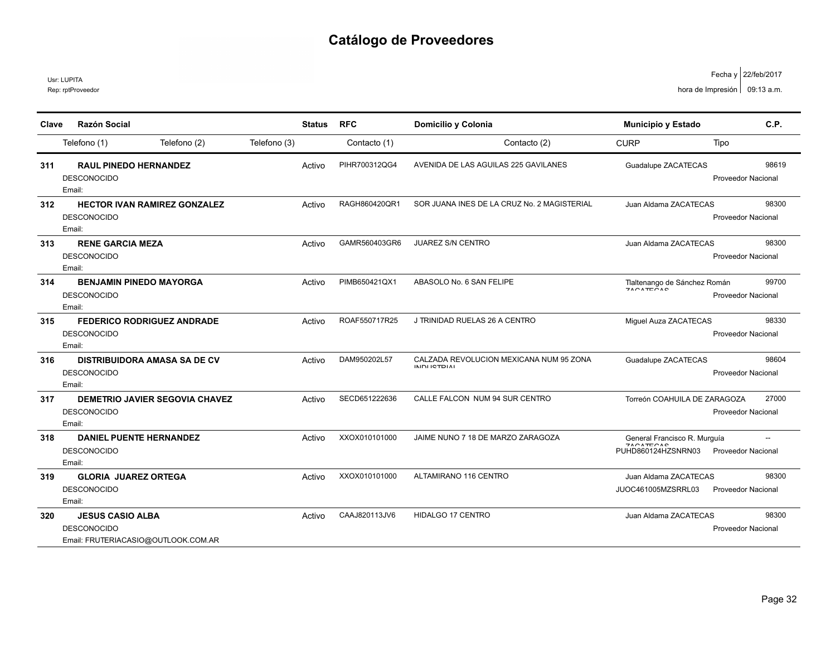Rep: rptProveedor Usr: LUPITA

|                                      | Fecha y 22/feb/2017 |
|--------------------------------------|---------------------|
| hora de Impresión $\Big $ 09:13 a.m. |                     |

| Clave | Razón Social                                                                         |              | <b>Status</b> | <b>RFC</b>    | Domicilio y Colonia                                             | <b>Municipio y Estado</b>                                                                                              | C.P.                               |
|-------|--------------------------------------------------------------------------------------|--------------|---------------|---------------|-----------------------------------------------------------------|------------------------------------------------------------------------------------------------------------------------|------------------------------------|
|       | Telefono (2)<br>Telefono (1)                                                         | Telefono (3) |               | Contacto (1)  | Contacto (2)                                                    | <b>CURP</b>                                                                                                            | Tipo                               |
| 311   | <b>RAUL PINEDO HERNANDEZ</b><br><b>DESCONOCIDO</b><br>Email:                         |              | Activo        | PIHR700312QG4 | AVENIDA DE LAS AGUILAS 225 GAVILANES                            | Guadalupe ZACATECAS                                                                                                    | 98619<br><b>Proveedor Nacional</b> |
| 312   | <b>HECTOR IVAN RAMIREZ GONZALEZ</b><br><b>DESCONOCIDO</b><br>Email:                  |              | Activo        | RAGH860420OR1 | SOR JUANA INES DE LA CRUZ No. 2 MAGISTERIAL                     | Juan Aldama ZACATECAS                                                                                                  | 98300<br>Proveedor Nacional        |
| 313   | <b>RENE GARCIA MEZA</b><br><b>DESCONOCIDO</b><br>Email:                              |              | Activo        | GAMR560403GR6 | <b>JUAREZ S/N CENTRO</b>                                        | Juan Aldama ZACATECAS                                                                                                  | 98300<br><b>Proveedor Nacional</b> |
| 314   | <b>BENJAMIN PINEDO MAYORGA</b><br><b>DESCONOCIDO</b><br>Email:                       |              | Activo        | PIMB650421QX1 | ABASOLO No. 6 SAN FELIPE                                        | Tlaltenango de Sánchez Román<br>$7001T$ $000$                                                                          | 99700<br>Proveedor Nacional        |
| 315   | <b>FEDERICO RODRIGUEZ ANDRADE</b><br><b>DESCONOCIDO</b><br>Email:                    |              | Activo        | ROAF550717R25 | J TRINIDAD RUELAS 26 A CENTRO                                   | Miguel Auza ZACATECAS                                                                                                  | 98330<br><b>Proveedor Nacional</b> |
| 316   | <b>DISTRIBUIDORA AMASA SA DE CV</b><br><b>DESCONOCIDO</b><br>Email:                  |              | Activo        | DAM950202L57  | CALZADA REVOLUCION MEXICANA NUM 95 ZONA<br><b>INIDU ICTDIAL</b> | Guadalupe ZACATECAS                                                                                                    | 98604<br>Proveedor Nacional        |
| 317   | <b>DEMETRIO JAVIER SEGOVIA CHAVEZ</b><br><b>DESCONOCIDO</b><br>Email:                |              | Activo        | SECD651222636 | CALLE FALCON NUM 94 SUR CENTRO                                  | Torreón COAHUILA DE ZARAGOZA                                                                                           | 27000<br><b>Proveedor Nacional</b> |
| 318   | <b>DANIEL PUENTE HERNANDEZ</b><br><b>DESCONOCIDO</b><br>Email:                       |              | Activo        | XXOX010101000 | JAIME NUNO 7 18 DE MARZO ZARAGOZA                               | General Francisco R. Murguía<br>$\mathbf{11} \cap \mathbf{11} \cap \mathbf{12} \cap \mathbf{13}$<br>PUHD860124HZSNRN03 | <b>Proveedor Nacional</b>          |
| 319   | <b>GLORIA JUAREZ ORTEGA</b><br><b>DESCONOCIDO</b><br>Email:                          |              | Activo        | XXOX010101000 | ALTAMIRANO 116 CENTRO                                           | Juan Aldama ZACATECAS<br>JUOC461005MZSRRL03                                                                            | 98300<br>Proveedor Nacional        |
| 320   | <b>JESUS CASIO ALBA</b><br><b>DESCONOCIDO</b><br>Email: FRUTERIACASIO@OUTLOOK.COM.AR |              | Activo        | CAAJ820113JV6 | <b>HIDALGO 17 CENTRO</b>                                        | Juan Aldama ZACATECAS                                                                                                  | 98300<br>Proveedor Nacional        |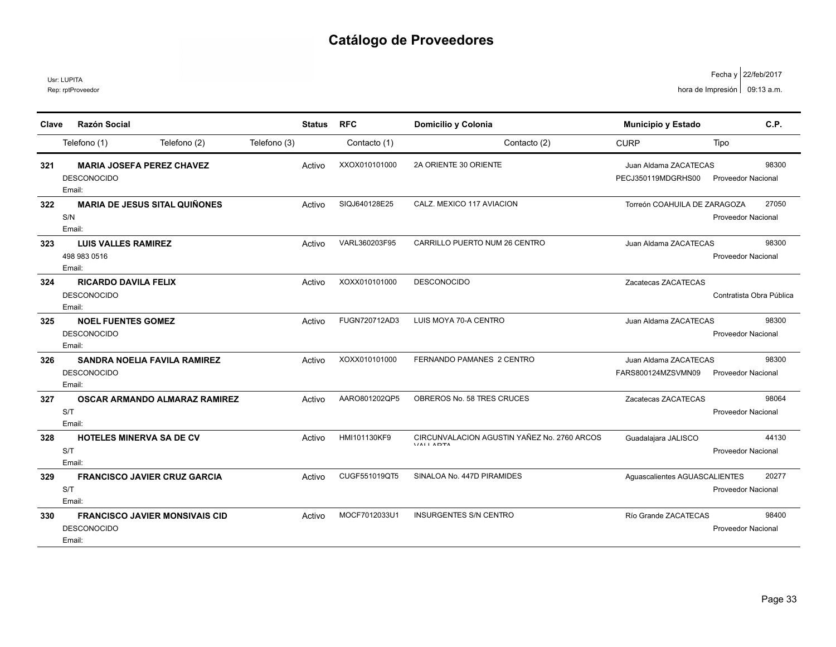Usr: LUPITA

| Clave | <b>Razón Social</b>                   |              | <b>Status</b> | <b>RFC</b>    | Domicilio y Colonia                                            | <b>Municipio y Estado</b>     | C.P.                      |
|-------|---------------------------------------|--------------|---------------|---------------|----------------------------------------------------------------|-------------------------------|---------------------------|
|       |                                       |              |               |               |                                                                |                               |                           |
|       | Telefono (2)<br>Telefono (1)          | Telefono (3) |               | Contacto (1)  | Contacto (2)                                                   | <b>CURP</b>                   | Tipo                      |
| 321   | <b>MARIA JOSEFA PEREZ CHAVEZ</b>      |              | Activo        | XXOX010101000 | 2A ORIENTE 30 ORIENTE                                          | Juan Aldama ZACATECAS         | 98300                     |
|       | <b>DESCONOCIDO</b>                    |              |               |               |                                                                | PECJ350119MDGRHS00            | <b>Proveedor Nacional</b> |
|       | Email:                                |              |               |               |                                                                |                               |                           |
| 322   | <b>MARIA DE JESUS SITAL QUIÑONES</b>  |              | Activo        | SIQJ640128E25 | CALZ. MEXICO 117 AVIACION                                      | Torreón COAHUILA DE ZARAGOZA  | 27050                     |
|       | S/N                                   |              |               |               |                                                                |                               | <b>Proveedor Nacional</b> |
|       | Email:                                |              |               |               |                                                                |                               |                           |
| 323   | <b>LUIS VALLES RAMIREZ</b>            |              | Activo        | VARL360203F95 | CARRILLO PUERTO NUM 26 CENTRO                                  | Juan Aldama ZACATECAS         | 98300                     |
|       | 498 983 0516                          |              |               |               |                                                                |                               | Proveedor Nacional        |
|       | Email:                                |              |               |               |                                                                |                               |                           |
| 324   | <b>RICARDO DAVILA FELIX</b>           |              | Activo        | XOXX010101000 | <b>DESCONOCIDO</b>                                             | Zacatecas ZACATECAS           |                           |
|       | <b>DESCONOCIDO</b>                    |              |               |               |                                                                |                               | Contratista Obra Pública  |
|       | Email:                                |              |               |               |                                                                |                               |                           |
| 325   | <b>NOEL FUENTES GOMEZ</b>             |              | Activo        | FUGN720712AD3 | LUIS MOYA 70-A CENTRO                                          | Juan Aldama ZACATECAS         | 98300                     |
|       | <b>DESCONOCIDO</b>                    |              |               |               |                                                                |                               | <b>Proveedor Nacional</b> |
|       | Email:                                |              |               |               |                                                                |                               |                           |
| 326   | <b>SANDRA NOELIA FAVILA RAMIREZ</b>   |              | Activo        | XOXX010101000 | FERNANDO PAMANES 2 CENTRO                                      | Juan Aldama ZACATECAS         | 98300                     |
|       | <b>DESCONOCIDO</b>                    |              |               |               |                                                                | FARS800124MZSVMN09            | <b>Proveedor Nacional</b> |
|       | Email:                                |              |               |               |                                                                |                               |                           |
| 327   | <b>OSCAR ARMANDO ALMARAZ RAMIREZ</b>  |              | Activo        | AARO801202QP5 | OBREROS No. 58 TRES CRUCES                                     | Zacatecas ZACATECAS           | 98064                     |
|       | S/T                                   |              |               |               |                                                                |                               | Proveedor Nacional        |
|       | Email:                                |              |               |               |                                                                |                               |                           |
| 328   | <b>HOTELES MINERVA SA DE CV</b>       |              | Activo        | HMI101130KF9  | CIRCUNVALACION AGUSTIN YAÑEZ No. 2760 ARCOS<br><b>VALLADTA</b> | Guadalajara JALISCO           | 44130                     |
|       | S/T                                   |              |               |               |                                                                |                               | <b>Proveedor Nacional</b> |
|       | Email:                                |              |               |               |                                                                |                               |                           |
| 329   | <b>FRANCISCO JAVIER CRUZ GARCIA</b>   |              | Activo        | CUGF551019QT5 | SINALOA No. 447D PIRAMIDES                                     | Aquascalientes AGUASCALIENTES | 20277                     |
|       | S/T                                   |              |               |               |                                                                |                               | <b>Proveedor Nacional</b> |
|       | Email:                                |              |               |               |                                                                |                               |                           |
| 330   | <b>FRANCISCO JAVIER MONSIVAIS CID</b> |              | Activo        | MOCF7012033U1 | <b>INSURGENTES S/N CENTRO</b>                                  | Río Grande ZACATECAS          | 98400                     |
|       | <b>DESCONOCIDO</b>                    |              |               |               |                                                                |                               | Proveedor Nacional        |
|       | Email:                                |              |               |               |                                                                |                               |                           |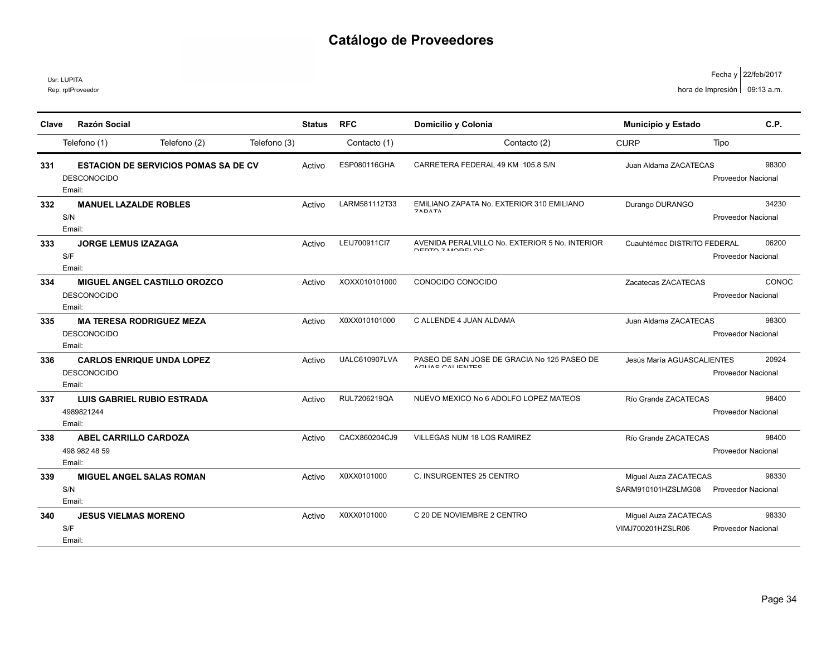Rep: rptProveedor Usr: LUPITA

| Clave | <b>Razón Social</b>                         | <b>Status</b> | <b>RFC</b>    | Domicilio y Colonia                                              | <b>Municipio y Estado</b>   | C.P.                      |
|-------|---------------------------------------------|---------------|---------------|------------------------------------------------------------------|-----------------------------|---------------------------|
|       | Telefono (2)<br>Telefono (1)                | Telefono (3)  | Contacto (1)  | Contacto (2)                                                     | <b>CURP</b>                 | Tipo                      |
|       |                                             |               |               |                                                                  |                             |                           |
| 331   | <b>ESTACION DE SERVICIOS POMAS SA DE CV</b> | Activo        | ESP080116GHA  | CARRETERA FEDERAL 49 KM 105.8 S/N                                | Juan Aldama ZACATECAS       | 98300                     |
|       | <b>DESCONOCIDO</b>                          |               |               |                                                                  |                             | Proveedor Nacional        |
|       | Email:                                      |               |               |                                                                  |                             |                           |
| 332   | <b>MANUEL LAZALDE ROBLES</b>                | Activo        | LARM581112T33 | EMILIANO ZAPATA No. EXTERIOR 310 EMILIANO<br><b>ZADATA</b>       | Durango DURANGO             | 34230                     |
|       | S/N                                         |               |               |                                                                  |                             | <b>Proveedor Nacional</b> |
|       | Email:                                      |               | LEIJ700911Cl7 | AVENIDA PERALVILLO No. EXTERIOR 5 No. INTERIOR                   |                             | 06200                     |
| 333   | <b>JORGE LEMUS IZAZAGA</b><br>S/F           | Activo        |               | DEDTA 7 MODEL OC                                                 | Cuauhtémoc DISTRITO FEDERAL | <b>Proveedor Nacional</b> |
|       | Email:                                      |               |               |                                                                  |                             |                           |
| 334   | <b>MIGUEL ANGEL CASTILLO OROZCO</b>         | Activo        | XOXX010101000 | CONOCIDO CONOCIDO                                                | Zacatecas ZACATECAS         | CONOC                     |
|       | <b>DESCONOCIDO</b>                          |               |               |                                                                  |                             | <b>Proveedor Nacional</b> |
|       | Email:                                      |               |               |                                                                  |                             |                           |
| 335   | <b>MA TERESA RODRIGUEZ MEZA</b>             | Activo        | X0XX010101000 | C ALLENDE 4 JUAN ALDAMA                                          | Juan Aldama ZACATECAS       | 98300                     |
|       | <b>DESCONOCIDO</b>                          |               |               |                                                                  |                             | <b>Proveedor Nacional</b> |
|       | Email:                                      |               |               |                                                                  |                             |                           |
| 336   | <b>CARLOS ENRIQUE UNDA LOPEZ</b>            | Activo        | UALC610907LVA | PASEO DE SAN JOSE DE GRACIA No 125 PASEO DE<br>A OLIAO OALIENTEO | Jesús María AGUASCALIENTES  | 20924                     |
|       | <b>DESCONOCIDO</b>                          |               |               |                                                                  |                             | Proveedor Nacional        |
|       | Email:                                      |               |               |                                                                  |                             |                           |
| 337   | <b>LUIS GABRIEL RUBIO ESTRADA</b>           | Activo        | RUL7206219QA  | NUEVO MEXICO No 6 ADOLFO LOPEZ MATEOS                            | Río Grande ZACATECAS        | 98400                     |
|       | 4989821244                                  |               |               |                                                                  |                             | Proveedor Nacional        |
|       | Email:                                      |               |               |                                                                  |                             |                           |
| 338   | <b>ABEL CARRILLO CARDOZA</b>                | Activo        | CACX860204CJ9 | VILLEGAS NUM 18 LOS RAMIREZ                                      | Río Grande ZACATECAS        | 98400                     |
|       | 498 982 48 59                               |               |               |                                                                  |                             | <b>Proveedor Nacional</b> |
|       | Email:                                      |               |               |                                                                  |                             |                           |
| 339   | <b>MIGUEL ANGEL SALAS ROMAN</b>             | Activo        | X0XX0101000   | C. INSURGENTES 25 CENTRO                                         | Miguel Auza ZACATECAS       | 98330                     |
|       | S/N                                         |               |               |                                                                  | SARM910101HZSLMG08          | <b>Proveedor Nacional</b> |
|       | Email:                                      |               |               |                                                                  |                             |                           |
| 340   | <b>JESUS VIELMAS MORENO</b>                 | Activo        | X0XX0101000   | C 20 DE NOVIEMBRE 2 CENTRO                                       | Miguel Auza ZACATECAS       | 98330                     |
|       | S/F<br>Email:                               |               |               |                                                                  | VIMJ700201HZSLR06           | Proveedor Nacional        |
|       |                                             |               |               |                                                                  |                             |                           |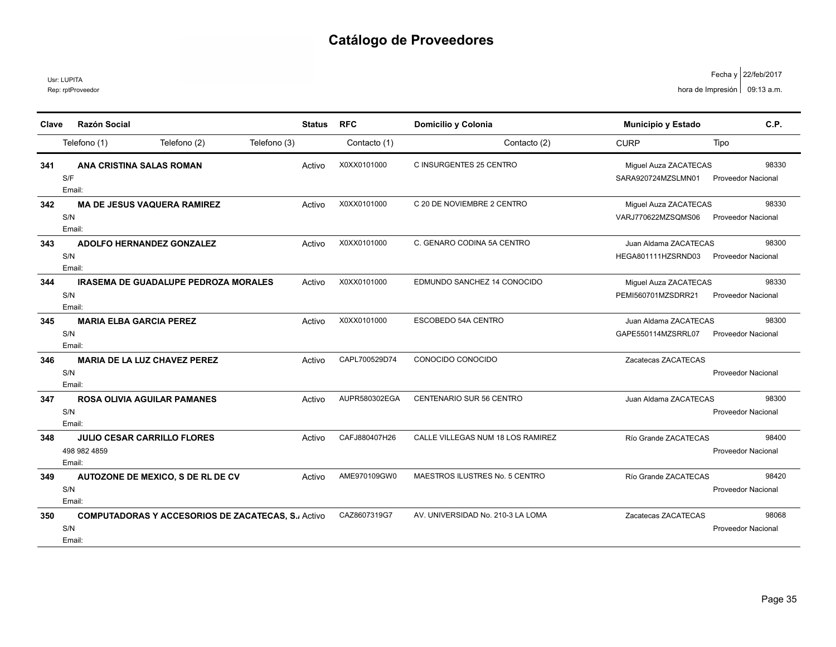Usr: LUPITA

Rep: rptProveedor

| Clave | <b>Razón Social</b>                                                       | <b>Status</b> | <b>RFC</b>    | Domicilio y Colonia               | Municipio y Estado                          | C.P.                               |
|-------|---------------------------------------------------------------------------|---------------|---------------|-----------------------------------|---------------------------------------------|------------------------------------|
|       | Telefono (2)<br>Telefono (1)                                              | Telefono (3)  | Contacto (1)  | Contacto (2)                      | <b>CURP</b>                                 | Tipo                               |
| 341   | ANA CRISTINA SALAS ROMAN<br>S/F<br>Email:                                 | Activo        | X0XX0101000   | C INSURGENTES 25 CENTRO           | Miguel Auza ZACATECAS<br>SARA920724MZSLMN01 | 98330<br><b>Proveedor Nacional</b> |
| 342   | <b>MA DE JESUS VAQUERA RAMIREZ</b><br>S/N<br>Email:                       | Activo        | X0XX0101000   | C 20 DE NOVIEMBRE 2 CENTRO        | Miguel Auza ZACATECAS<br>VARJ770622MZSQMS06 | 98330<br>Proveedor Nacional        |
| 343   | <b>ADOLFO HERNANDEZ GONZALEZ</b><br>S/N<br>Email:                         | Activo        | X0XX0101000   | C. GENARO CODINA 5A CENTRO        | Juan Aldama ZACATECAS<br>HEGA801111HZSRND03 | 98300<br><b>Proveedor Nacional</b> |
| 344   | <b>IRASEMA DE GUADALUPE PEDROZA MORALES</b><br>S/N<br>Email:              | Activo        | X0XX0101000   | EDMUNDO SANCHEZ 14 CONOCIDO       | Miguel Auza ZACATECAS<br>PEMI560701MZSDRR21 | 98330<br><b>Proveedor Nacional</b> |
| 345   | <b>MARIA ELBA GARCIA PEREZ</b><br>S/N<br>Email:                           | Activo        | X0XX0101000   | ESCOBEDO 54A CENTRO               | Juan Aldama ZACATECAS<br>GAPE550114MZSRRL07 | 98300<br><b>Proveedor Nacional</b> |
| 346   | <b>MARIA DE LA LUZ CHAVEZ PEREZ</b><br>S/N<br>Email:                      | Activo        | CAPL700529D74 | CONOCIDO CONOCIDO                 | Zacatecas ZACATECAS                         | <b>Proveedor Nacional</b>          |
| 347   | <b>ROSA OLIVIA AGUILAR PAMANES</b><br>S/N<br>Email:                       | Activo        | AUPR580302EGA | CENTENARIO SUR 56 CENTRO          | Juan Aldama ZACATECAS                       | 98300<br>Proveedor Nacional        |
| 348   | <b>JULIO CESAR CARRILLO FLORES</b><br>498 982 4859<br>Email:              | Activo        | CAFJ880407H26 | CALLE VILLEGAS NUM 18 LOS RAMIREZ | Río Grande ZACATECAS                        | 98400<br><b>Proveedor Nacional</b> |
| 349   | AUTOZONE DE MEXICO, S DE RL DE CV<br>S/N<br>Email:                        | Activo        | AME970109GW0  | MAESTROS ILUSTRES No. 5 CENTRO    | Río Grande ZACATECAS                        | 98420<br><b>Proveedor Nacional</b> |
| 350   | <b>COMPUTADORAS Y ACCESORIOS DE ZACATECAS, S. Activo</b><br>S/N<br>Email: |               | CAZ8607319G7  | AV. UNIVERSIDAD No. 210-3 LA LOMA | Zacatecas ZACATECAS                         | 98068<br>Proveedor Nacional        |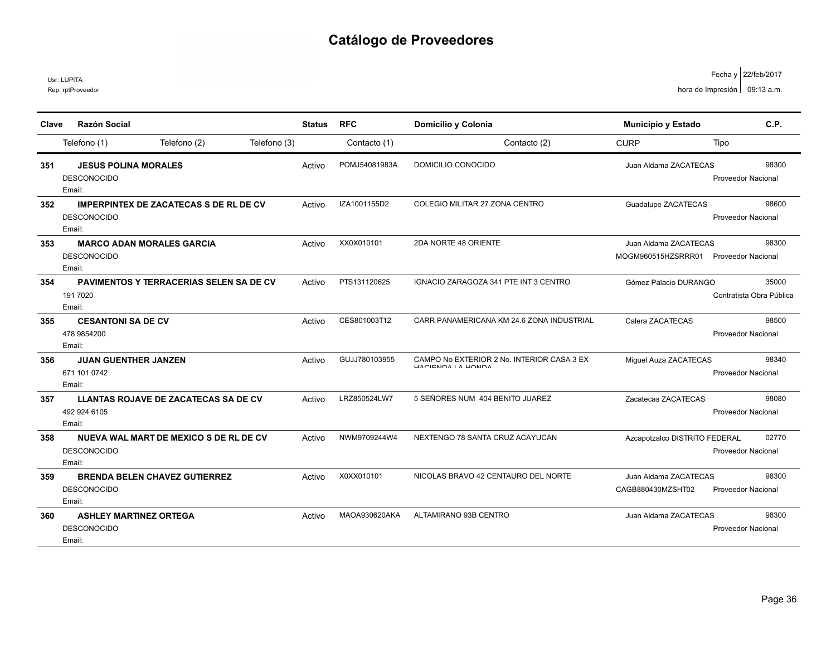Rep: rptProveedor Usr: LUPITA

22/feb/2017 Fecha y hora de Impresión  $\vert$  09:13 a.m.

| Clave | <b>Razón Social</b>                                                           | <b>Status</b> | <b>RFC</b>    | Domicilio y Colonia                                                      | Municipio y Estado                          | C.P.                               |
|-------|-------------------------------------------------------------------------------|---------------|---------------|--------------------------------------------------------------------------|---------------------------------------------|------------------------------------|
|       | Telefono (1)<br>Telefono (2)<br>Telefono (3)                                  |               | Contacto (1)  | Contacto (2)                                                             | <b>CURP</b>                                 | Tipo                               |
| 351   | <b>JESUS POLINA MORALES</b><br><b>DESCONOCIDO</b><br>Email:                   | Activo        | POMJ54081983A | DOMICILIO CONOCIDO                                                       | Juan Aldama ZACATECAS                       | 98300<br>Proveedor Nacional        |
| 352   | <b>IMPERPINTEX DE ZACATECAS S DE RL DE CV</b><br><b>DESCONOCIDO</b><br>Email: | Activo        | IZA1001155D2  | COLEGIO MILITAR 27 ZONA CENTRO                                           | Guadalupe ZACATECAS                         | 98600<br>Proveedor Nacional        |
| 353   | <b>MARCO ADAN MORALES GARCIA</b><br><b>DESCONOCIDO</b><br>Email:              | Activo        | XX0X010101    | 2DA NORTE 48 ORIENTE                                                     | Juan Aldama ZACATECAS<br>MOGM960515HZSRRR01 | 98300<br><b>Proveedor Nacional</b> |
| 354   | <b>PAVIMENTOS Y TERRACERIAS SELEN SA DE CV</b><br>191 7020<br>Email:          | Activo        | PTS131120625  | IGNACIO ZARAGOZA 341 PTE INT 3 CENTRO                                    | Gómez Palacio DURANGO                       | 35000<br>Contratista Obra Pública  |
| 355   | <b>CESANTONI SA DE CV</b><br>478 9854200<br>Email:                            | Activo        | CES801003T12  | CARR PANAMERICANA KM 24.6 ZONA INDUSTRIAL                                | Calera ZACATECAS                            | 98500<br>Proveedor Nacional        |
| 356   | <b>JUAN GUENTHER JANZEN</b><br>671 101 0742<br>Email:                         | Activo        | GUJJ780103955 | CAMPO No EXTERIOR 2 No. INTERIOR CASA 3 EX<br><b>ILACIENDA LA LIONDA</b> | Miguel Auza ZACATECAS                       | 98340<br>Proveedor Nacional        |
| 357   | <b>LLANTAS ROJAVE DE ZACATECAS SA DE CV</b><br>492 924 6105<br>Email:         | Activo        | LRZ850524LW7  | 5 SEÑORES NUM 404 BENITO JUAREZ                                          | Zacatecas ZACATECAS                         | 98080<br>Proveedor Nacional        |
| 358   | NUEVA WAL MART DE MEXICO S DE RL DE CV<br><b>DESCONOCIDO</b><br>Email:        | Activo        | NWM9709244W4  | NEXTENGO 78 SANTA CRUZ ACAYUCAN                                          | Azcapotzalco DISTRITO FEDERAL               | 02770<br>Proveedor Nacional        |
| 359   | <b>BRENDA BELEN CHAVEZ GUTIERREZ</b><br><b>DESCONOCIDO</b><br>Email:          | Activo        | X0XX010101    | NICOLAS BRAVO 42 CENTAURO DEL NORTE                                      | Juan Aldama ZACATECAS<br>CAGB880430MZSHT02  | 98300<br>Proveedor Nacional        |
| 360   | <b>ASHLEY MARTINEZ ORTEGA</b><br><b>DESCONOCIDO</b><br>Email:                 | Activo        | MAOA930620AKA | ALTAMIRANO 93B CENTRO                                                    | Juan Aldama ZACATECAS                       | 98300<br><b>Proveedor Nacional</b> |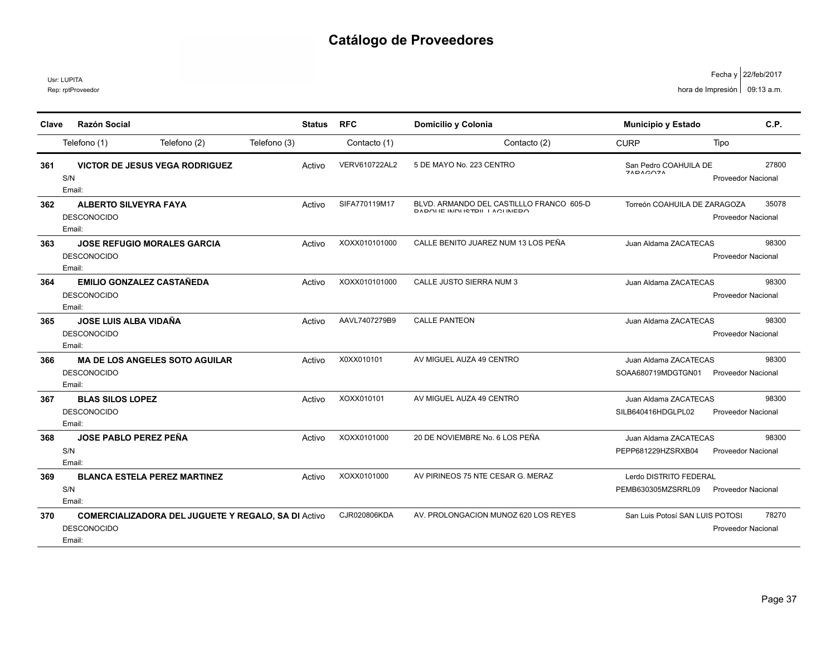Usr: LUPITA

Rep: rptProveedor

| Clave | <b>Razón Social</b>                                                                        | <b>Status</b> | <b>RFC</b>           | Domicilio y Colonia                                                               | Municipio y Estado                           | C.P.                               |
|-------|--------------------------------------------------------------------------------------------|---------------|----------------------|-----------------------------------------------------------------------------------|----------------------------------------------|------------------------------------|
|       | Telefono (2)<br>Telefono (1)                                                               | Telefono (3)  | Contacto (1)         | Contacto (2)                                                                      | <b>CURP</b>                                  | Tipo                               |
| 361   | <b>VICTOR DE JESUS VEGA RODRIGUEZ</b><br>S/N<br>Email:                                     | Activo        | <b>VERV610722AL2</b> | 5 DE MAYO No. 223 CENTRO                                                          | San Pedro COAHUILA DE<br>71010071            | 27800<br><b>Proveedor Nacional</b> |
| 362   | <b>ALBERTO SILVEYRA FAYA</b><br><b>DESCONOCIDO</b><br>Email:                               | Activo        | SIFA770119M17        | BLVD. ARMANDO DEL CASTILLLO FRANCO 605-D<br><b>DADOLIE INDIJIETDII JA QUINEDO</b> | Torreón COAHUILA DE ZARAGOZA                 | 35078<br><b>Proveedor Nacional</b> |
| 363   | <b>JOSE REFUGIO MORALES GARCIA</b><br><b>DESCONOCIDO</b><br>Email:                         | Activo        | XOXX010101000        | CALLE BENITO JUAREZ NUM 13 LOS PEÑA                                               | Juan Aldama ZACATECAS                        | 98300<br>Proveedor Nacional        |
| 364   | <b>EMILIO GONZALEZ CASTAÑEDA</b><br><b>DESCONOCIDO</b><br>Email:                           | Activo        | XOXX010101000        | CALLE JUSTO SIERRA NUM 3                                                          | Juan Aldama ZACATECAS                        | 98300<br>Proveedor Nacional        |
| 365   | <b>JOSE LUIS ALBA VIDAÑA</b><br><b>DESCONOCIDO</b><br>Email:                               | Activo        | AAVL7407279B9        | <b>CALLE PANTEON</b>                                                              | Juan Aldama ZACATECAS                        | 98300<br><b>Proveedor Nacional</b> |
| 366   | <b>MA DE LOS ANGELES SOTO AGUILAR</b><br><b>DESCONOCIDO</b><br>Email:                      | Activo        | X0XX010101           | AV MIGUEL AUZA 49 CENTRO                                                          | Juan Aldama ZACATECAS<br>SOAA680719MDGTGN01  | 98300<br><b>Proveedor Nacional</b> |
| 367   | <b>BLAS SILOS LOPEZ</b><br><b>DESCONOCIDO</b><br>Email:                                    | Activo        | XOXX010101           | AV MIGUEL AUZA 49 CENTRO                                                          | Juan Aldama ZACATECAS<br>SILB640416HDGLPL02  | 98300<br><b>Proveedor Nacional</b> |
| 368   | <b>JOSE PABLO PEREZ PEÑA</b><br>S/N<br>Email:                                              | Activo        | XOXX0101000          | 20 DE NOVIEMBRE No. 6 LOS PEÑA                                                    | Juan Aldama ZACATECAS<br>PEPP681229HZSRXB04  | 98300<br>Proveedor Nacional        |
| 369   | <b>BLANCA ESTELA PEREZ MARTINEZ</b><br>S/N<br>Email:                                       | Activo        | XOXX0101000          | AV PIRINEOS 75 NTE CESAR G. MERAZ                                                 | Lerdo DISTRITO FEDERAL<br>PEMB630305MZSRRL09 | <b>Proveedor Nacional</b>          |
| 370   | <b>COMERCIALIZADORA DEL JUGUETE Y REGALO, SA DI Activo</b><br><b>DESCONOCIDO</b><br>Email: |               | CJR020806KDA         | AV. PROLONGACION MUNOZ 620 LOS REYES                                              | San Luis Potosí SAN LUIS POTOSI              | 78270<br>Proveedor Nacional        |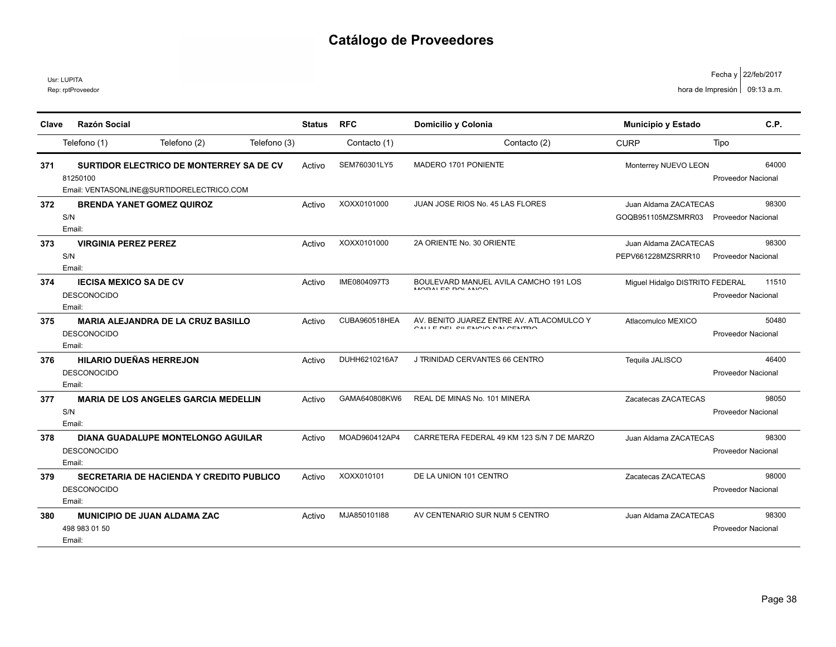|       | Rep: rptProveedor                                                                                 |               |               |                                                                              |                                             | hora de Impresión   09:13 a.m.     |
|-------|---------------------------------------------------------------------------------------------------|---------------|---------------|------------------------------------------------------------------------------|---------------------------------------------|------------------------------------|
| Clave | <b>Razón Social</b>                                                                               | <b>Status</b> | <b>RFC</b>    | Domicilio y Colonia                                                          | Municipio y Estado                          | C.P.                               |
|       | Telefono (1)<br>Telefono (2)<br>Telefono (3)                                                      |               | Contacto (1)  | Contacto (2)                                                                 | <b>CURP</b>                                 | Tipo                               |
| 371   | SURTIDOR ELECTRICO DE MONTERREY SA DE CV<br>81250100<br>Email: VENTASONLINE@SURTIDORELECTRICO.COM | Activo        | SEM760301LY5  | MADERO 1701 PONIENTE                                                         | Monterrey NUEVO LEON                        | 64000<br><b>Proveedor Nacional</b> |
| 372   | <b>BRENDA YANET GOMEZ QUIROZ</b><br>S/N<br>Email:                                                 | Activo        | XOXX0101000   | JUAN JOSE RIOS No. 45 LAS FLORES                                             | Juan Aldama ZACATECAS<br>GOQB951105MZSMRR03 | 98300<br><b>Proveedor Nacional</b> |
| 373   | <b>VIRGINIA PEREZ PEREZ</b><br>S/N<br>Email:                                                      | Activo        | XOXX0101000   | 2A ORIENTE No. 30 ORIENTE                                                    | Juan Aldama ZACATECAS<br>PEPV661228MZSRRR10 | 98300<br><b>Proveedor Nacional</b> |
| 374   | <b>IECISA MEXICO SA DE CV</b><br><b>DESCONOCIDO</b><br>Email:                                     | Activo        | IME0804097T3  | BOULEVARD MANUEL AVILA CAMCHO 191 LOS<br>MODALES DOL ANIOO                   | Miguel Hidalgo DISTRITO FEDERAL             | 11510<br>Proveedor Nacional        |
| 375   | <b>MARIA ALEJANDRA DE LA CRUZ BASILLO</b><br><b>DESCONOCIDO</b><br>Email:                         | Activo        | CUBA960518HEA | AV. BENITO JUAREZ ENTRE AV. ATLACOMULCO Y<br>CALLE DEL QUI ENICIO Q'ALCENTEO | Atlacomulco MEXICO                          | 50480<br><b>Proveedor Nacional</b> |
| 376   | <b>HILARIO DUEÑAS HERREJON</b><br><b>DESCONOCIDO</b><br>Email:                                    | Activo        | DUHH6210216A7 | J TRINIDAD CERVANTES 66 CENTRO                                               | Tequila JALISCO                             | 46400<br><b>Proveedor Nacional</b> |
| 377   | <b>MARIA DE LOS ANGELES GARCIA MEDELLIN</b><br>S/N<br>Email:                                      | Activo        | GAMA640808KW6 | REAL DE MINAS No. 101 MINERA                                                 | Zacatecas ZACATECAS                         | 98050<br><b>Proveedor Nacional</b> |
| 378   | <b>DIANA GUADALUPE MONTELONGO AGUILAR</b><br><b>DESCONOCIDO</b><br>Email:                         | Activo        | MOAD960412AP4 | CARRETERA FEDERAL 49 KM 123 S/N 7 DE MARZO                                   | Juan Aldama ZACATECAS                       | 98300<br>Proveedor Nacional        |
| 379   | <b>SECRETARIA DE HACIENDA Y CREDITO PUBLICO</b><br><b>DESCONOCIDO</b><br>Email:                   | Activo        | XOXX010101    | DE LA UNION 101 CENTRO                                                       | Zacatecas ZACATECAS                         | 98000<br><b>Proveedor Nacional</b> |
| 380   | <b>MUNICIPIO DE JUAN ALDAMA ZAC</b><br>498 983 01 50                                              | Activo        | MJA850101I88  | AV CENTENARIO SUR NUM 5 CENTRO                                               | Juan Aldama ZACATECAS                       | 98300<br>Proveedor Nacional        |

Email:

Usr: LUPITA

22/feb/2017 Fecha y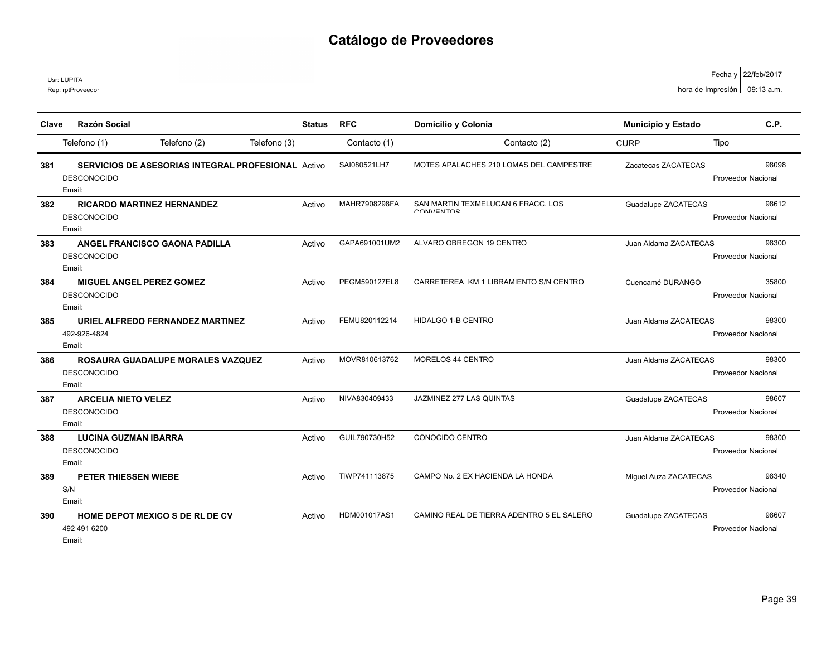|       | Usr: LUPITA<br>Rep: rptProveedor                            |                                                           |               |               |                                                  |                       | Fecha y   22/teb/2017<br>hora de Impresión   09:13 a.m. |
|-------|-------------------------------------------------------------|-----------------------------------------------------------|---------------|---------------|--------------------------------------------------|-----------------------|---------------------------------------------------------|
| Clave | <b>Razón Social</b>                                         |                                                           | <b>Status</b> | <b>RFC</b>    | Domicilio y Colonia                              | Municipio y Estado    | C.P.                                                    |
|       | Telefono (1)                                                | Telefono (2)                                              | Telefono (3)  | Contacto (1)  | Contacto (2)                                     | <b>CURP</b>           | Tipo                                                    |
| 381   | <b>DESCONOCIDO</b><br>Email:                                | <b>SERVICIOS DE ASESORIAS INTEGRAL PROFESIONAL</b> Activo |               | SAI080521LH7  | MOTES APALACHES 210 LOMAS DEL CAMPESTRE          | Zacatecas ZACATECAS   | 98098<br>Proveedor Nacional                             |
| 382   | <b>DESCONOCIDO</b><br>Email:                                | <b>RICARDO MARTINEZ HERNANDEZ</b>                         | Activo        | MAHR7908298FA | SAN MARTIN TEXMELUCAN 6 FRACC. LOS<br>CONNIENTOP | Guadalupe ZACATECAS   | 98612<br><b>Proveedor Nacional</b>                      |
| 383   | <b>DESCONOCIDO</b><br>Email:                                | <b>ANGEL FRANCISCO GAONA PADILLA</b>                      | Activo        | GAPA691001UM2 | ALVARO OBREGON 19 CENTRO                         | Juan Aldama ZACATECAS | 98300<br><b>Proveedor Nacional</b>                      |
| 384   | MIGUEL ANGEL PEREZ GOMEZ<br><b>DESCONOCIDO</b><br>Email:    |                                                           | Activo        | PEGM590127EL8 | CARRETEREA KM 1 LIBRAMIENTO S/N CENTRO           | Cuencamé DURANGO      | 35800<br><b>Proveedor Nacional</b>                      |
| 385   | 492-926-4824<br>Email:                                      | URIEL ALFREDO FERNANDEZ MARTINEZ                          | Activo        | FEMU820112214 | HIDALGO 1-B CENTRO                               | Juan Aldama ZACATECAS | 98300<br>Proveedor Nacional                             |
| 386   | <b>DESCONOCIDO</b><br>Email:                                | ROSAURA GUADALUPE MORALES VAZQUEZ                         | Activo        | MOVR810613762 | <b>MORELOS 44 CENTRO</b>                         | Juan Aldama ZACATECAS | 98300<br><b>Proveedor Nacional</b>                      |
| 387   | <b>ARCELIA NIETO VELEZ</b><br><b>DESCONOCIDO</b><br>Email:  |                                                           | Activo        | NIVA830409433 | JAZMINEZ 277 LAS QUINTAS                         | Guadalupe ZACATECAS   | 98607<br>Proveedor Nacional                             |
| 388   | <b>LUCINA GUZMAN IBARRA</b><br><b>DESCONOCIDO</b><br>Email: |                                                           | Activo        | GUIL790730H52 | CONOCIDO CENTRO                                  | Juan Aldama ZACATECAS | 98300<br>Proveedor Nacional                             |
| 389   | PETER THIESSEN WIEBE<br>S/N<br>Email:                       |                                                           | Activo        | TIWP741113875 | CAMPO No. 2 EX HACIENDA LA HONDA                 | Miguel Auza ZACATECAS | 98340<br><b>Proveedor Nacional</b>                      |
| 390   | 492 491 6200<br>Email:                                      | HOME DEPOT MEXICO S DE RL DE CV                           | Activo        | HDM001017AS1  | CAMINO REAL DE TIERRA ADENTRO 5 EL SALERO        | Guadalupe ZACATECAS   | 98607<br><b>Proveedor Nacional</b>                      |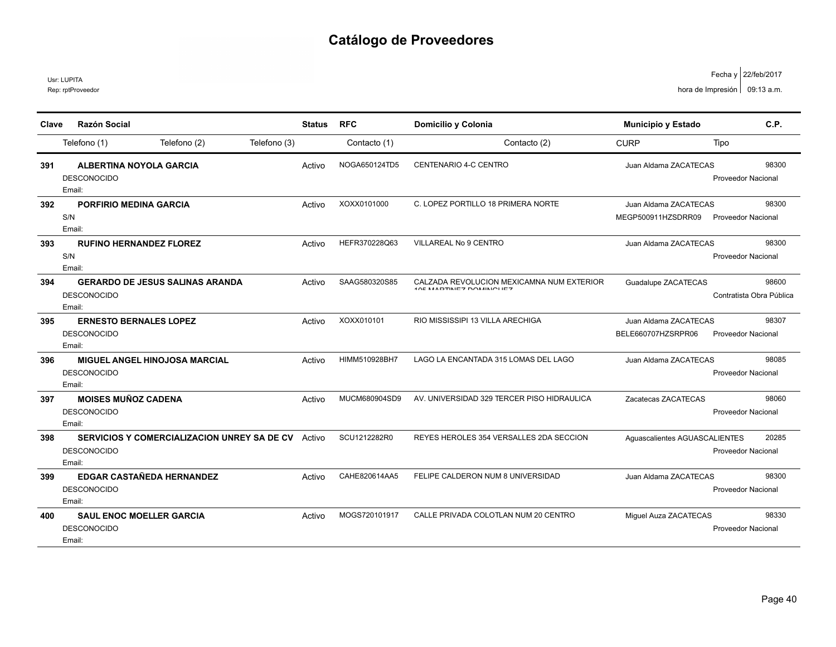Rep: rptProveedor Usr: LUPITA

| Clave                                         | <b>Razón Social</b>                                                                                                                                                                                                                                                                                                                                                                                                                                                                                                      | <b>Status</b>                                  | <b>RFC</b>                                                                                                      | Domicilio y Colonia                                                                                                                                                                                                                                                                         | <b>Municipio y Estado</b>                                                                                                                                                                             | C.P.                                                                                                      |
|-----------------------------------------------|--------------------------------------------------------------------------------------------------------------------------------------------------------------------------------------------------------------------------------------------------------------------------------------------------------------------------------------------------------------------------------------------------------------------------------------------------------------------------------------------------------------------------|------------------------------------------------|-----------------------------------------------------------------------------------------------------------------|---------------------------------------------------------------------------------------------------------------------------------------------------------------------------------------------------------------------------------------------------------------------------------------------|-------------------------------------------------------------------------------------------------------------------------------------------------------------------------------------------------------|-----------------------------------------------------------------------------------------------------------|
|                                               | Telefono (2)<br>Telefono (1)                                                                                                                                                                                                                                                                                                                                                                                                                                                                                             | Telefono (3)                                   | Contacto (1)                                                                                                    | Contacto (2)                                                                                                                                                                                                                                                                                | <b>CURP</b>                                                                                                                                                                                           | Tipo                                                                                                      |
| 391                                           | <b>ALBERTINA NOYOLA GARCIA</b>                                                                                                                                                                                                                                                                                                                                                                                                                                                                                           | Activo                                         | NOGA650124TD5                                                                                                   | CENTENARIO 4-C CENTRO                                                                                                                                                                                                                                                                       | Juan Aldama ZACATECAS                                                                                                                                                                                 | 98300                                                                                                     |
|                                               | <b>DESCONOCIDO</b>                                                                                                                                                                                                                                                                                                                                                                                                                                                                                                       |                                                |                                                                                                                 |                                                                                                                                                                                                                                                                                             |                                                                                                                                                                                                       | Proveedor Nacional                                                                                        |
|                                               | Email:                                                                                                                                                                                                                                                                                                                                                                                                                                                                                                                   |                                                |                                                                                                                 |                                                                                                                                                                                                                                                                                             |                                                                                                                                                                                                       |                                                                                                           |
| 392                                           | <b>PORFIRIO MEDINA GARCIA</b>                                                                                                                                                                                                                                                                                                                                                                                                                                                                                            | Activo                                         | XOXX0101000                                                                                                     | C. LOPEZ PORTILLO 18 PRIMERA NORTE                                                                                                                                                                                                                                                          | Juan Aldama ZACATECAS                                                                                                                                                                                 | 98300                                                                                                     |
|                                               | S/N                                                                                                                                                                                                                                                                                                                                                                                                                                                                                                                      |                                                |                                                                                                                 |                                                                                                                                                                                                                                                                                             | MEGP500911HZSDRR09                                                                                                                                                                                    | <b>Proveedor Nacional</b>                                                                                 |
|                                               | Email:                                                                                                                                                                                                                                                                                                                                                                                                                                                                                                                   |                                                |                                                                                                                 |                                                                                                                                                                                                                                                                                             |                                                                                                                                                                                                       |                                                                                                           |
| 393                                           | <b>RUFINO HERNANDEZ FLOREZ</b>                                                                                                                                                                                                                                                                                                                                                                                                                                                                                           | Activo                                         | HEFR370228Q63                                                                                                   | VILLAREAL No 9 CENTRO                                                                                                                                                                                                                                                                       | Juan Aldama ZACATECAS                                                                                                                                                                                 | 98300                                                                                                     |
|                                               |                                                                                                                                                                                                                                                                                                                                                                                                                                                                                                                          |                                                |                                                                                                                 |                                                                                                                                                                                                                                                                                             |                                                                                                                                                                                                       | Proveedor Nacional                                                                                        |
|                                               |                                                                                                                                                                                                                                                                                                                                                                                                                                                                                                                          |                                                |                                                                                                                 |                                                                                                                                                                                                                                                                                             |                                                                                                                                                                                                       |                                                                                                           |
|                                               |                                                                                                                                                                                                                                                                                                                                                                                                                                                                                                                          | Activo                                         |                                                                                                                 | <b>ADE MADTINIEZ DOMINIOUEZ</b>                                                                                                                                                                                                                                                             |                                                                                                                                                                                                       | 98600                                                                                                     |
|                                               |                                                                                                                                                                                                                                                                                                                                                                                                                                                                                                                          |                                                |                                                                                                                 |                                                                                                                                                                                                                                                                                             |                                                                                                                                                                                                       | Contratista Obra Pública                                                                                  |
|                                               |                                                                                                                                                                                                                                                                                                                                                                                                                                                                                                                          |                                                |                                                                                                                 |                                                                                                                                                                                                                                                                                             |                                                                                                                                                                                                       |                                                                                                           |
|                                               |                                                                                                                                                                                                                                                                                                                                                                                                                                                                                                                          |                                                |                                                                                                                 |                                                                                                                                                                                                                                                                                             |                                                                                                                                                                                                       | 98307                                                                                                     |
|                                               |                                                                                                                                                                                                                                                                                                                                                                                                                                                                                                                          |                                                |                                                                                                                 |                                                                                                                                                                                                                                                                                             |                                                                                                                                                                                                       | <b>Proveedor Nacional</b>                                                                                 |
|                                               |                                                                                                                                                                                                                                                                                                                                                                                                                                                                                                                          |                                                |                                                                                                                 |                                                                                                                                                                                                                                                                                             |                                                                                                                                                                                                       |                                                                                                           |
|                                               |                                                                                                                                                                                                                                                                                                                                                                                                                                                                                                                          |                                                |                                                                                                                 |                                                                                                                                                                                                                                                                                             |                                                                                                                                                                                                       | 98085                                                                                                     |
|                                               |                                                                                                                                                                                                                                                                                                                                                                                                                                                                                                                          |                                                |                                                                                                                 |                                                                                                                                                                                                                                                                                             |                                                                                                                                                                                                       | <b>Proveedor Nacional</b>                                                                                 |
|                                               |                                                                                                                                                                                                                                                                                                                                                                                                                                                                                                                          |                                                |                                                                                                                 |                                                                                                                                                                                                                                                                                             |                                                                                                                                                                                                       |                                                                                                           |
|                                               |                                                                                                                                                                                                                                                                                                                                                                                                                                                                                                                          |                                                |                                                                                                                 |                                                                                                                                                                                                                                                                                             |                                                                                                                                                                                                       | 98060                                                                                                     |
|                                               |                                                                                                                                                                                                                                                                                                                                                                                                                                                                                                                          |                                                |                                                                                                                 |                                                                                                                                                                                                                                                                                             |                                                                                                                                                                                                       |                                                                                                           |
|                                               |                                                                                                                                                                                                                                                                                                                                                                                                                                                                                                                          |                                                |                                                                                                                 |                                                                                                                                                                                                                                                                                             |                                                                                                                                                                                                       |                                                                                                           |
|                                               |                                                                                                                                                                                                                                                                                                                                                                                                                                                                                                                          |                                                |                                                                                                                 |                                                                                                                                                                                                                                                                                             |                                                                                                                                                                                                       | 20285                                                                                                     |
|                                               |                                                                                                                                                                                                                                                                                                                                                                                                                                                                                                                          |                                                |                                                                                                                 |                                                                                                                                                                                                                                                                                             |                                                                                                                                                                                                       |                                                                                                           |
|                                               |                                                                                                                                                                                                                                                                                                                                                                                                                                                                                                                          |                                                |                                                                                                                 |                                                                                                                                                                                                                                                                                             |                                                                                                                                                                                                       | 98300                                                                                                     |
|                                               |                                                                                                                                                                                                                                                                                                                                                                                                                                                                                                                          |                                                |                                                                                                                 |                                                                                                                                                                                                                                                                                             |                                                                                                                                                                                                       |                                                                                                           |
|                                               |                                                                                                                                                                                                                                                                                                                                                                                                                                                                                                                          |                                                |                                                                                                                 |                                                                                                                                                                                                                                                                                             |                                                                                                                                                                                                       |                                                                                                           |
|                                               |                                                                                                                                                                                                                                                                                                                                                                                                                                                                                                                          |                                                |                                                                                                                 |                                                                                                                                                                                                                                                                                             |                                                                                                                                                                                                       | 98330                                                                                                     |
|                                               |                                                                                                                                                                                                                                                                                                                                                                                                                                                                                                                          |                                                |                                                                                                                 |                                                                                                                                                                                                                                                                                             |                                                                                                                                                                                                       |                                                                                                           |
|                                               | Email:                                                                                                                                                                                                                                                                                                                                                                                                                                                                                                                   |                                                |                                                                                                                 |                                                                                                                                                                                                                                                                                             |                                                                                                                                                                                                       |                                                                                                           |
| 394<br>395<br>396<br>397<br>398<br>399<br>400 | S/N<br>Email:<br><b>GERARDO DE JESUS SALINAS ARANDA</b><br><b>DESCONOCIDO</b><br>Email:<br><b>ERNESTO BERNALES LOPEZ</b><br><b>DESCONOCIDO</b><br>Email:<br><b>MIGUEL ANGEL HINOJOSA MARCIAL</b><br><b>DESCONOCIDO</b><br>Email:<br><b>MOISES MUÑOZ CADENA</b><br><b>DESCONOCIDO</b><br>Email:<br><b>SERVICIOS Y COMERCIALIZACION UNREY SA DE CV</b> Activo<br><b>DESCONOCIDO</b><br>Email:<br><b>EDGAR CASTAÑEDA HERNANDEZ</b><br><b>DESCONOCIDO</b><br>Email:<br><b>SAUL ENOC MOELLER GARCIA</b><br><b>DESCONOCIDO</b> | Activo<br>Activo<br>Activo<br>Activo<br>Activo | SAAG580320S85<br>XOXX010101<br>HIMM510928BH7<br>MUCM680904SD9<br>SCU1212282R0<br>CAHE820614AA5<br>MOGS720101917 | CALZADA REVOLUCION MEXICAMNA NUM EXTERIOR<br>RIO MISSISSIPI 13 VILLA ARECHIGA<br>LAGO LA ENCANTADA 315 LOMAS DEL LAGO<br>AV. UNIVERSIDAD 329 TERCER PISO HIDRAULICA<br>REYES HEROLES 354 VERSALLES 2DA SECCION<br>FELIPE CALDERON NUM 8 UNIVERSIDAD<br>CALLE PRIVADA COLOTLAN NUM 20 CENTRO | Guadalupe ZACATECAS<br>Juan Aldama ZACATECAS<br>BELE660707HZSRPR06<br>Juan Aldama ZACATECAS<br>Zacatecas ZACATECAS<br>Aguascalientes AGUASCALIENTES<br>Juan Aldama ZACATECAS<br>Miguel Auza ZACATECAS | Proveedor Nacional<br><b>Proveedor Nacional</b><br><b>Proveedor Nacional</b><br><b>Proveedor Nacional</b> |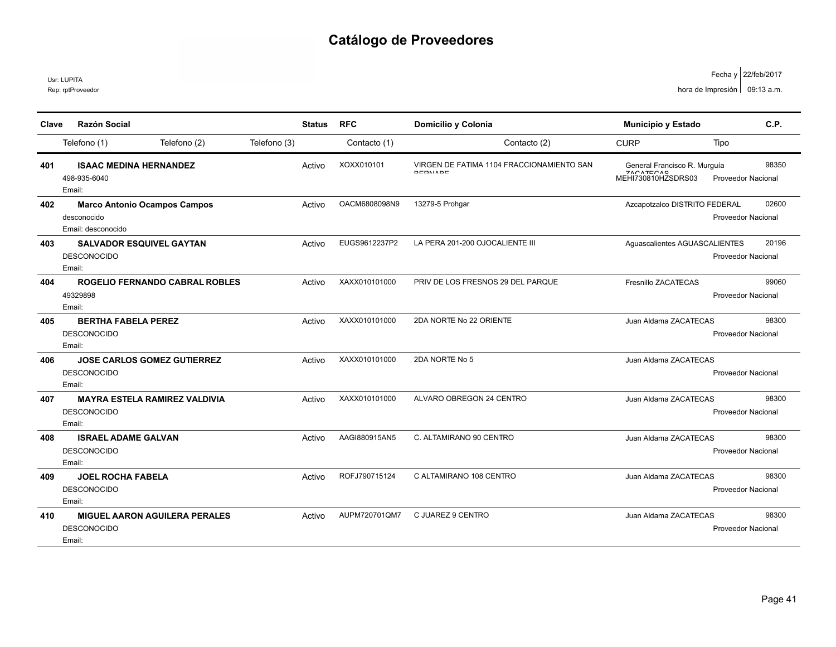Usr: LUPITA

Rep: rptProveedor

| Clave | <b>Razón Social</b>                                                      |              | <b>Status</b> | <b>RFC</b>    | Domicilio y Colonia                                  |                                                                   |                           | C.P.  |
|-------|--------------------------------------------------------------------------|--------------|---------------|---------------|------------------------------------------------------|-------------------------------------------------------------------|---------------------------|-------|
|       |                                                                          |              |               |               |                                                      | <b>Municipio y Estado</b>                                         |                           |       |
|       | Telefono (2)<br>Telefono (1)                                             | Telefono (3) |               | Contacto (1)  | Contacto (2)                                         | <b>CURP</b>                                                       | Tipo                      |       |
| 401   | <b>ISAAC MEDINA HERNANDEZ</b><br>498-935-6040<br>Email:                  |              | Activo        | XOXX010101    | VIRGEN DE FATIMA 1104 FRACCIONAMIENTO SAN<br>DEDNADE | General Francisco R. Murguía<br>$7000T0000$<br>MEHI730810HZSDRS03 | <b>Proveedor Nacional</b> | 98350 |
| 402   | <b>Marco Antonio Ocampos Campos</b><br>desconocido<br>Email: desconocido |              | Activo        | OACM6808098N9 | 13279-5 Prohgar                                      | Azcapotzalco DISTRITO FEDERAL                                     | <b>Proveedor Nacional</b> | 02600 |
| 403   | <b>SALVADOR ESQUIVEL GAYTAN</b><br><b>DESCONOCIDO</b><br>Email:          |              | Activo        | EUGS9612237P2 | LA PERA 201-200 OJOCALIENTE III                      | Aguascalientes AGUASCALIENTES                                     | Proveedor Nacional        | 20196 |
| 404   | <b>ROGELIO FERNANDO CABRAL ROBLES</b><br>49329898<br>Email:              |              | Activo        | XAXX010101000 | PRIV DE LOS FRESNOS 29 DEL PARQUE                    | Fresnillo ZACATECAS                                               | <b>Proveedor Nacional</b> | 99060 |
| 405   | <b>BERTHA FABELA PEREZ</b><br><b>DESCONOCIDO</b><br>Email:               |              | Activo        | XAXX010101000 | 2DA NORTE No 22 ORIENTE                              | Juan Aldama ZACATECAS                                             | Proveedor Nacional        | 98300 |
| 406   | <b>JOSE CARLOS GOMEZ GUTIERREZ</b><br><b>DESCONOCIDO</b><br>Email:       |              | Activo        | XAXX010101000 | 2DA NORTE No 5                                       | Juan Aldama ZACATECAS                                             | <b>Proveedor Nacional</b> |       |
| 407   | <b>MAYRA ESTELA RAMIREZ VALDIVIA</b><br><b>DESCONOCIDO</b><br>Email:     |              | Activo        | XAXX010101000 | ALVARO OBREGON 24 CENTRO                             | Juan Aldama ZACATECAS                                             | Proveedor Nacional        | 98300 |
| 408   | <b>ISRAEL ADAME GALVAN</b><br><b>DESCONOCIDO</b><br>Email:               |              | Activo        | AAGI880915AN5 | C. ALTAMIRANO 90 CENTRO                              | Juan Aldama ZACATECAS                                             | <b>Proveedor Nacional</b> | 98300 |
| 409   | <b>JOEL ROCHA FABELA</b><br><b>DESCONOCIDO</b><br>Email:                 |              | Activo        | ROFJ790715124 | C ALTAMIRANO 108 CENTRO                              | Juan Aldama ZACATECAS                                             | <b>Proveedor Nacional</b> | 98300 |
| 410   | <b>MIGUEL AARON AGUILERA PERALES</b><br><b>DESCONOCIDO</b><br>Email:     |              | Activo        | AUPM720701QM7 | C JUAREZ 9 CENTRO                                    | Juan Aldama ZACATECAS                                             | <b>Proveedor Nacional</b> | 98300 |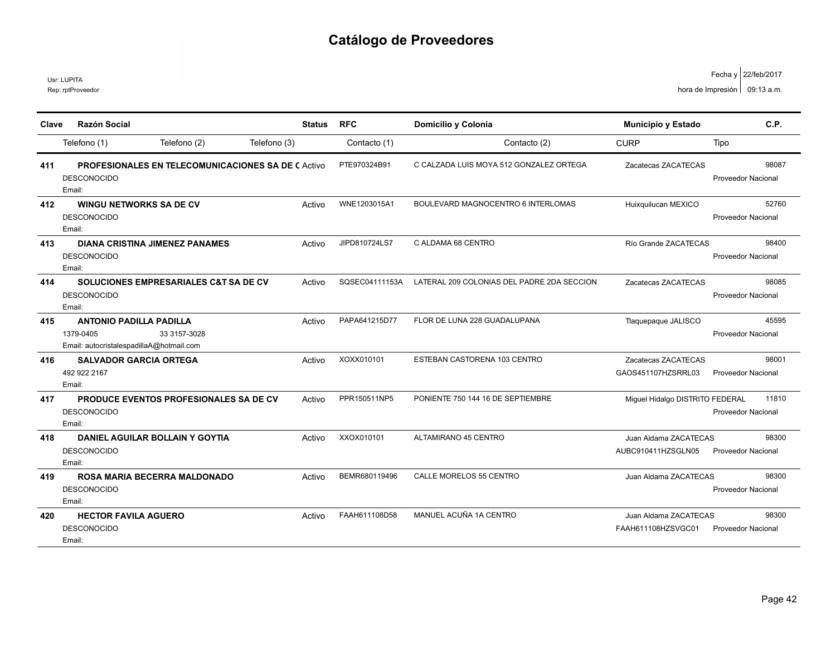|       | Usr: LUPITA<br>Rep: rptProveedor                                                                        |        |                |                                            |                                             | Fecha y   22/teb/2017<br>hora de Impresión   09:13 a.m. |
|-------|---------------------------------------------------------------------------------------------------------|--------|----------------|--------------------------------------------|---------------------------------------------|---------------------------------------------------------|
| Clave | <b>Razón Social</b>                                                                                     | Status | <b>RFC</b>     | Domicilio y Colonia                        | <b>Municipio y Estado</b>                   | C.P.                                                    |
|       | Telefono (2)<br>Telefono (3)<br>Telefono (1)                                                            |        | Contacto (1)   | Contacto (2)                               | <b>CURP</b>                                 | Tipo                                                    |
| 411   | <b>PROFESIONALES EN TELECOMUNICACIONES SA DE CACTIVO</b><br><b>DESCONOCIDO</b><br>Email:                |        | PTE970324B91   | C CALZADA LUIS MOYA 512 GONZALEZ ORTEGA    | Zacatecas ZACATECAS                         | 98087<br><b>Proveedor Nacional</b>                      |
| 412   | WINGU NETWORKS SA DE CV<br><b>DESCONOCIDO</b><br>Email:                                                 | Activo | WNE1203015A1   | BOULEVARD MAGNOCENTRO 6 INTERLOMAS         | Huixquilucan MEXICO                         | 52760<br>Proveedor Nacional                             |
| 413   | <b>DIANA CRISTINA JIMENEZ PANAMES</b><br><b>DESCONOCIDO</b><br>Email:                                   | Activo | JIPD810724LS7  | C ALDAMA 68 CENTRO                         | Río Grande ZACATECAS                        | 98400<br><b>Proveedor Nacional</b>                      |
| 414   | SOLUCIONES EMPRESARIALES C&T SA DE CV<br><b>DESCONOCIDO</b><br>Email:                                   | Activo | SQSEC04111153A | LATERAL 209 COLONIAS DEL PADRE 2DA SECCION | Zacatecas ZACATECAS                         | 98085<br><b>Proveedor Nacional</b>                      |
| 415   | <b>ANTONIO PADILLA PADILLA</b><br>1379-0405<br>33 3157-3028<br>Email: autocristalespadillaA@hotmail.com | Activo | PAPA641215D77  | FLOR DE LUNA 228 GUADALUPANA               | Tlaquepaque JALISCO                         | 45595<br><b>Proveedor Nacional</b>                      |
| 416   | <b>SALVADOR GARCIA ORTEGA</b><br>492 922 2167<br>Email:                                                 | Activo | XOXX010101     | ESTEBAN CASTORENA 103 CENTRO               | Zacatecas ZACATECAS<br>GAOS451107HZSRRL03   | 98001<br>Proveedor Nacional                             |
| 417   | <b>PRODUCE EVENTOS PROFESIONALES SA DE CV</b><br><b>DESCONOCIDO</b><br>Email:                           | Activo | PPR150511NP5   | PONIENTE 750 144 16 DE SEPTIEMBRE          | Miguel Hidalgo DISTRITO FEDERAL             | 11810<br>Proveedor Nacional                             |
| 418   | <b>DANIEL AGUILAR BOLLAIN Y GOYTIA</b><br><b>DESCONOCIDO</b><br>Email:                                  | Activo | XXOX010101     | ALTAMIRANO 45 CENTRO                       | Juan Aldama ZACATECAS<br>AUBC910411HZSGLN05 | 98300<br>Proveedor Nacional                             |
| 419   | ROSA MARIA BECERRA MALDONADO<br><b>DESCONOCIDO</b><br>Email:                                            | Activo | BEMR680119496  | CALLE MORELOS 55 CENTRO                    | Juan Aldama ZACATECAS                       | 98300<br><b>Proveedor Nacional</b>                      |
| 420   | <b>HECTOR FAVILA AGUERO</b><br><b>DESCONOCIDO</b><br>Email:                                             | Activo | FAAH611108D58  | MANUEL ACUÑA 1A CENTRO                     | Juan Aldama ZACATECAS<br>FAAH611108HZSVGC01 | 98300<br>Proveedor Nacional                             |

22/feb/2017 Fecha y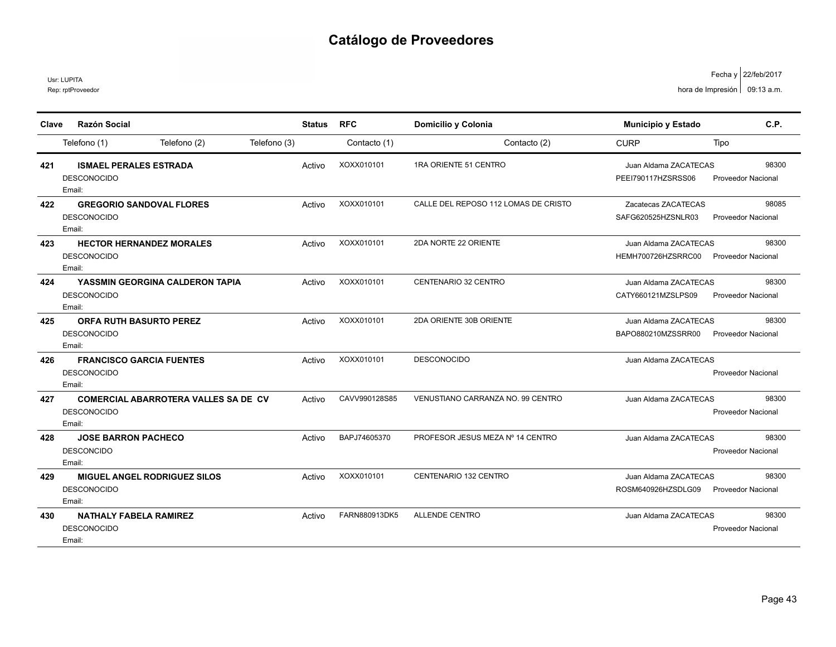Usr: LUPITA

| Clave | <b>Razón Social</b>                         | <b>Status</b> | <b>RFC</b>    | Domicilio y Colonia                  | <b>Municipio y Estado</b> | C.P.                      |
|-------|---------------------------------------------|---------------|---------------|--------------------------------------|---------------------------|---------------------------|
|       | Telefono (2)<br>Telefono (1)                | Telefono (3)  | Contacto (1)  | Contacto (2)                         | <b>CURP</b>               | Tipo                      |
| 421   | <b>ISMAEL PERALES ESTRADA</b>               | Activo        | XOXX010101    | 1RA ORIENTE 51 CENTRO                | Juan Aldama ZACATECAS     | 98300                     |
|       | <b>DESCONOCIDO</b><br>Email:                |               |               |                                      | PEEI790117HZSRSS06        | <b>Proveedor Nacional</b> |
| 422   | <b>GREGORIO SANDOVAL FLORES</b>             | Activo        | XOXX010101    | CALLE DEL REPOSO 112 LOMAS DE CRISTO | Zacatecas ZACATECAS       | 98085                     |
|       | <b>DESCONOCIDO</b><br>Email:                |               |               |                                      | SAFG620525HZSNLR03        | <b>Proveedor Nacional</b> |
| 423   | <b>HECTOR HERNANDEZ MORALES</b>             | Activo        | XOXX010101    | 2DA NORTE 22 ORIENTE                 | Juan Aldama ZACATECAS     | 98300                     |
|       | <b>DESCONOCIDO</b><br>Email:                |               |               |                                      | HEMH700726HZSRRC00        | <b>Proveedor Nacional</b> |
| 424   | YASSMIN GEORGINA CALDERON TAPIA             | Activo        | XOXX010101    | <b>CENTENARIO 32 CENTRO</b>          | Juan Aldama ZACATECAS     | 98300                     |
|       | <b>DESCONOCIDO</b><br>Email:                |               |               |                                      | CATY660121MZSLPS09        | <b>Proveedor Nacional</b> |
| 425   | <b>ORFA RUTH BASURTO PEREZ</b>              | Activo        | XOXX010101    | 2DA ORIENTE 30B ORIENTE              | Juan Aldama ZACATECAS     | 98300                     |
|       | <b>DESCONOCIDO</b><br>Email:                |               |               |                                      | BAPO880210MZSSRR00        | <b>Proveedor Nacional</b> |
| 426   | <b>FRANCISCO GARCIA FUENTES</b>             | Activo        | XOXX010101    | <b>DESCONOCIDO</b>                   | Juan Aldama ZACATECAS     |                           |
|       | <b>DESCONOCIDO</b>                          |               |               |                                      |                           | Proveedor Nacional        |
|       | Email:                                      |               |               |                                      |                           |                           |
| 427   | <b>COMERCIAL ABARROTERA VALLES SA DE CV</b> | Activo        | CAVV990128S85 | VENUSTIANO CARRANZA NO. 99 CENTRO    | Juan Aldama ZACATECAS     | 98300                     |
|       | <b>DESCONOCIDO</b><br>Email:                |               |               |                                      |                           | Proveedor Nacional        |
| 428   | <b>JOSE BARRON PACHECO</b>                  | Activo        | BAPJ74605370  | PROFESOR JESUS MEZA Nº 14 CENTRO     | Juan Aldama ZACATECAS     | 98300                     |
|       | <b>DESCONCIDO</b><br>Email:                 |               |               |                                      |                           | <b>Proveedor Nacional</b> |
| 429   | <b>MIGUEL ANGEL RODRIGUEZ SILOS</b>         | Activo        | XOXX010101    | CENTENARIO 132 CENTRO                | Juan Aldama ZACATECAS     | 98300                     |
|       | <b>DESCONOCIDO</b><br>Email:                |               |               |                                      | ROSM640926HZSDLG09        | <b>Proveedor Nacional</b> |
| 430   | <b>NATHALY FABELA RAMIREZ</b>               | Activo        | FARN880913DK5 | <b>ALLENDE CENTRO</b>                | Juan Aldama ZACATECAS     | 98300                     |
|       | <b>DESCONOCIDO</b><br>Email:                |               |               |                                      |                           | Proveedor Nacional        |